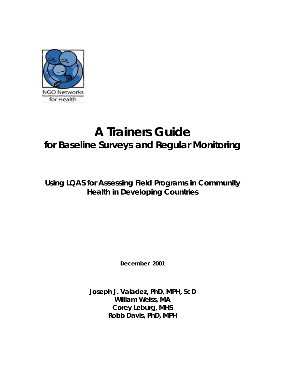

# **A Trainers Guide for Baseline Surveys and Regular Monitoring**

**Using LQAS for Assessing Field Programs in Community Health in Developing Countries**

**December 2001**

**Joseph J. Valadez, PhD, MPH, ScD William Weiss, MA Corey Leburg, MHS Robb Davis, PhD, MPH**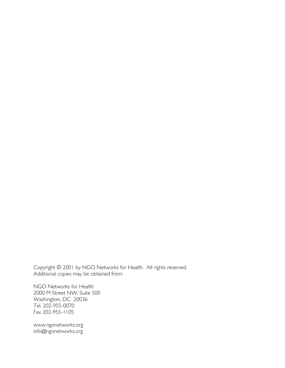Copyright © 2001 by NGO Networks for Health. All rights reserved. Additional copies may be obtained from:

NGO Networks for Health 2000 M Street NW, Suite 500 Washington, DC 20036 Tel. 202-955-0070 Fax 202-955-1105

www.ngonetworks.org info@ngonetworks.org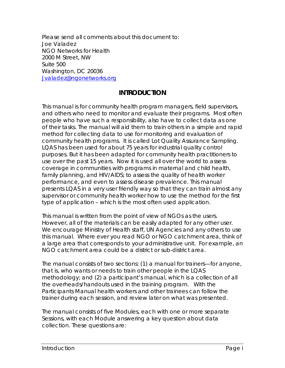Please send all comments about this document to: Joe Valadez NGO Networks for Health 2000 M Street, NW Suite 500 Washington, DC 20036 Jvaladez@ngonetworks.org

## **INTRODUCTION**

This manual is for community health program managers, field supervisors, and others who need to monitor and evaluate their programs. Most often people who have such a responsibility, also have to collect data as one of their tasks. The manual will aid them to train others in a simple and rapid method for collecting data to use for monitoring and evaluation of community health programs. It is called Lot Quality Assurance Sampling. LQAS has been used for about 75 years for industrial quality control purposes. But it has been adapted for community health practitioners to use over the past 15 years. Now it is used all over the world to assess coverage in communities with programs in maternal and child health, family planning, and HIV/AIDS; to assess the quality of health worker performance, and even to assess disease prevalence. This manual presents LQAS in a very user friendly way so that they can train almost any supervisor or community health worker how to use the method for the first type of application – which is the most often used application.

This manual is written from the point of view of NGOs as the users. However, all of the materials can be easily adapted for any other user. We encourage Ministry of Health staff, UN Agencies and any others to use this manual. Where ever you read NGO or *NGO catchment area*, think of a large area that corresponds to your administrative unit. For example, an NGO catchment area could be a district or sub-district area.

The manual consists of two sections: (1) a manual for trainers—for anyone, that is, who wants or needs to train other people in the LQAS methodology; and (2) a participant's manual, which is a collection of all the overheads/handouts used in the training program. With the Participants Manual health workers and other trainees can follow the trainer during each session, and review later on what was presented.

The manual consists of five Modules, each with one or more separate Sessions, with each Module answering a key question about data collection. These questions are: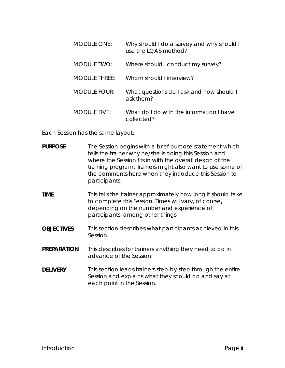| <b>MODULE ONE:</b>   | Why should I do a survey and why should I<br>use the LQAS method? |
|----------------------|-------------------------------------------------------------------|
| <b>MODULE TWO:</b>   | Where should I conduct my survey?                                 |
| <b>MODULE THREE:</b> | Whom should Linterview?                                           |
| <b>MODULE FOUR:</b>  | What questions do I ask and how should I<br>ask them?             |
| $MODUIF$ FIVE:       | What do I do with the information I have<br>collected?            |

Each Session has the same layout:

| <b>PURPOSE</b> | The Session begins with a brief purpose statement which   |
|----------------|-----------------------------------------------------------|
|                | tells the trainer why he/she is doing this Session and    |
|                | where the Session fits in with the overall design of the  |
|                | training program. Trainers might also want to use some of |
|                | the comments here when they introduce this Session to     |
|                | participants.                                             |

- **TIME** This tells the trainer approximately how long it should take to complete this Session. Times will vary, of course, depending on the number and experience of participants, among other things.
- **OBJECTIVES** This section describes what participants achieved in this Session.
- **PREPARATION** This describes for trainers anything they need to do in advance of the Session.
- **DELIVERY** This section leads trainers step-by-step through the entire Session and explains what they should do and say at each point in the Session.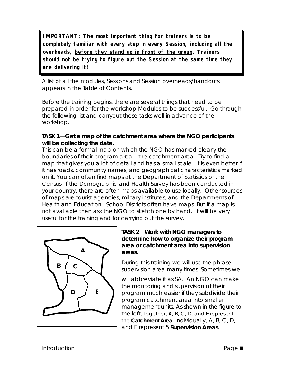**IMPORTANT: The most important thing for trainers is to be completely familiar with every step in every Session, including all the overheads, before they stand up in front of the group. Trainers should not be trying to figure out the Session at the same time they are delivering it!**

A list of all the modules, Sessions and Session overheads/handouts appears in the Table of Contents.

Before the training begins, there are several things that need to be prepared in order for the workshop Modules to be successful. Go through the following list and carryout these tasks well in advance of the workshop.

### **TASK 1**—**Get a map of the catchment area where the NGO participants will be collecting the data.**

This can be a formal map on which the NGO has marked clearly the boundaries of their program area – the catchment area. Try to find a map that gives you a lot of detail and has a small scale. It is even better if it has roads, community names, and geographical characteristics marked on it. You can often find maps at the Department of Statistics or the Census. If the Demographic and Health Survey has been conducted in your country, there are often maps available to use locally. Other sources of maps are tourist agencies, military institutes, and the Departments of Health and Education. School Districts often have maps. But if a map is not available then ask the NGO to sketch one by hand. It will be very useful for the training and for carrying out the survey.



### **TASK 2**—**Work with NGO managers to determine how to organize their program area or catchment area into supervision areas.**

During this training we will use the phrase *supervision area* many times. Sometimes we

will abbreviate it as *SA.* An NGO can make the monitoring and supervision of their program much easier if they subdivide their program catchment area into smaller management units. As shown in the figure to the left, Together, A, B, C, D, and E represent the **Catchment Area**. Individually, A, B, C, D, and E represent 5 **Supervision Areas**.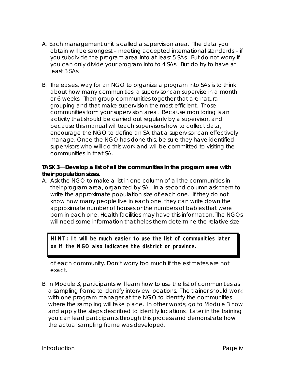- A. Each management unit is called a *supervision area*. The data you obtain will be strongest – meeting accepted international standards – if you subdivide the program area into at least 5 SAs. But do not worry if you can only divide your program into to 4 SAs. But do try to have at least 3 SAs.
- B. The easiest way for an NGO to organize a program into SAs is to think about how many communities, a supervisor can supervise in a month or 6-weeks. Then group communities together that are natural grouping and that make supervision the most efficient. Those communities form your supervision area. Because monitoring is an activity that should be carried out regularly by a supervisor, and because this manual will teach supervisors how to collect data, encourage the NGO to define an SA that a supervisor can effectively manage. Once the NGO has done this, be sure they have identified supervisors who will do this work and will be committed to visiting the communities in that SA.

### **TASK 3**—**Develop a list of all the communities in the program area with their population sizes.**

A. Ask the NGO to make a list in one column of all the communities in their program area, organized by SA. In a second column ask them to write the approximate population size of each one. If they do not know how many people live in each one, they can write down the approximate number of houses or the numbers of babies that were born in each one. Health facilities may have this information. The NGOs will need some information that helps them determine the relative size

**HINT: It will be much easier to use the list of communities later on if the NGO also indicates the district or province.**

of each community. Don't worry too much if the estimates are not exact.

B. In Module 3, participants will learn how to use the list of communities as a sampling frame to identify interview locations. The trainer should work with one program manager at the NGO to identify the communities where the sampling will take place. In other words, go to Module 3 now and apply the steps described to identify locations. Later in the training you can lead participants through this process and demonstrate how the actual sampling frame was developed.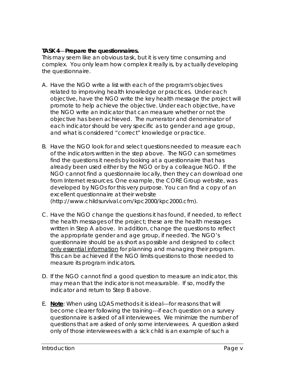### **TASK 4**—**Prepare the questionnaires.**

This may seem like an obvious task, but it is very time consuming and complex. You only learn how complex it really is, by actually developing the questionnaire.

- A. Have the NGO write a list with each of the program's objectives related to improving health knowledge or practices. Under each objective, have the NGO write the key health message the project will promote to help achieve the objective. Under each objective, have the NGO write an indicator that can measure whether or not the objective has been achieved. The numerator and denominator of each indicator should be very specific as to gender and age group, and what is considered "correct" knowledge or practice.
- B. Have the NGO look for and select questions needed to measure each of the indicators written in the step above. The NGO can sometimes find the questions it needs by looking at a questionnaire that has already been used either by the NGO or by a colleague NGO. If the NGO cannot find a questionnaire locally, then they can download one from Internet resources. One example, the CORE Group website, was developed by NGOs for this very purpose. You can find a copy of an excellent questionnaire at their website (http://www.childsurvival.com/kpc2000/kpc2000.cfm).
- C. Have the NGO change the questions it has found, if needed, to reflect the health messages of the project; these are the health messages written in Step A above. In addition, change the questions to reflect the appropriate gender and age group, if needed. The NGO's questionnaire should be as short as possible and designed to collect only essential information for planning and managing their program. This can be achieved if the NGO limits questions to those needed to measure its program indicators.
- D. If the NGO cannot find a good question to measure an indicator, this may mean that the indicator is not measurable. If so, modify the indicator and return to Step B above.
- E. **Note**: When using LQAS methods it is ideal---for reasons that will become clearer following the training---if each question on a survey questionnaire is asked of all interviewees. We minimize the number of questions that are asked of only some interviewees. A question asked only of those interviewees with a sick child is an example of such a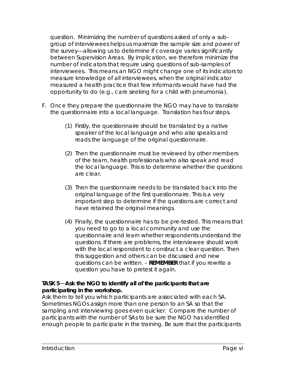question. Minimizing the number of questions asked of only a subgroup of interviewees helps us maximize the sample size and power of the survey---allowing us to determine if coverage varies significantly between Supervision Areas. By implication, we therefore minimize the number of indicators that require using questions of sub-samples of interviewees. This means an NGO might change one of its indicators to measure knowledge of all interviewees, when the original indicator measured a health practice that few informants would have had the opportunity to do (e.g., care seeking for a child with pneumonia).

- F. Once they prepare the questionnaire the NGO may have to translate the questionnaire into a local language. Translation has four steps.
	- (1) Firstly, the questionnaire should be translated by a native speaker of the local language and who also speaks and reads the language of the original questionnaire.
	- (2) Then the questionnaire must be reviewed by other members of the team, health professionals who also speak and read the local language. This is to determine whether the questions are clear.
	- (3) Then the questionnaire needs to be translated back into the original language of the first questionnaire. This is a very important step to determine if the questions are correct and have retained the original meanings.
	- (4) Finally, the questionnaire has to be pre-tested. This means that you need to go to a local community and use the questionnaire and learn whether respondents understand the questions. If there are problems, the interviewee should work with the local respondent to construct a clear question. Then this suggestion and others can be discussed and new questions can be written. – **REMEMBER** that if you rewrite a question you have to pretest it again.

### **TASK 5**—**Ask the NGO to identify all of the participants that are participating in the workshop.**

Ask them to tell you which participants are associated with each SA. Sometimes NGOs assign more than one person to an SA so that the sampling and interviewing goes even quicker. Compare the number of participants with the number of SAs to be sure the NGO has identified enough people to participate in the training. Be sure that the participants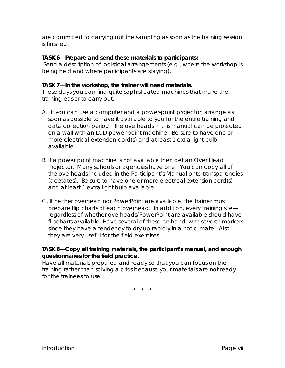are committed to carrying out the sampling as soon as the training session is finished.

### **TASK 6**—**Prepare and send these materials to participants:**

 Send a description of logistical arrangements (e.g., where the workshop is being held and where participants are staying).

### **TASK 7**—**In the workshop, the trainer will need materials.**

These days you can find quite sophisticated machines that make the training easier to carry out.

- A. If you can use a computer and a *power-point* projector, arrange as soon as possible to have it available to you for the entire training and data collection period. The overheads in this manual can be projected on a wall with an LCD *power point* machine. Be sure to have one or more electrical extension cord(s) and at least 1 extra light bulb available.
- B. If a *power point* machine is not available then get an *Over Head Projector.* Many schools or agencies have one. You can copy all of the overheads included in the Participant's Manual onto transparencies (acetates). Be sure to have one or more electrical extension cord(s) and at least 1 extra light bulb available.
- C. If neither overhead nor PowerPoint are available, the trainer must prepare flip charts of each overhead. In addition, every training site regardless of whether overheads/PowerPoint are available should have flipcharts available. Have several of these on hand, with several markers since they have a tendency to dry up rapidly in a hot climate. Also they are very useful for the field exercises.

### **TASK 8**—**Copy all training materials, the participant's manual, and enough questionnaires for the field practice.**

Have all materials prepared and ready so that you can focus on the training rather than solving a crisis because your materials are not ready for the trainees to use.

**\* \* \***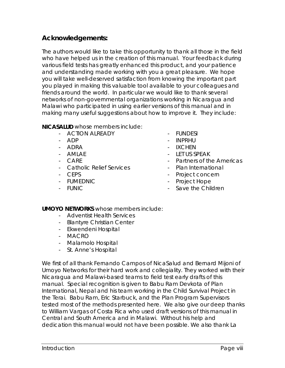## **Acknowledgements:**

The authors would like to take this opportunity to thank all those in the field who have helped us in the creation of this manual. Your feedback during various field tests has greatly enhanced this product, and your patience and understanding made working with you a great pleasure. We hope you will take well-deserved satisfaction from knowing the important part you played in making this valuable tool available to your colleagues and friends around the world. In particular we would like to thank several networks of non-governmental organizations working in Nicaragua and Malawi who participated in using earlier versions of this manual and in making many useful suggestions about how to improve it. They include:

**NICASALUD** whose members include:

- ACTION ALREADY
- ADP
- ADRA
- AMLAE
- CAR<sub>E</sub>
- Catholic Relief Services
- CEPS
- FUMEDNIC
- FUNIC
- FUNDESI
- INPRHU
- IXCHEN
- LET US SPEAK
- Partners of the Americas
- Plan International
- Project concern
- Project Hope
- Save the Children

**UMOYO NETWORKS** whose members include:

- Adventist Health Services
- Blantyre Christian Center
- Ekwendeni Hospital
- MACRO
- Malamolo Hospital
- St. Anne's Hospital

We first of all thank Fernando Campos of NicaSalud and Bernard Mijoni of Umoyo Networks for their hard work and collegiality. They worked with their Nicaragua and Malawi-based teams to field test early drafts of this manual. Special recognition is given to Babu Ram Devkota of Plan International, Nepal and his team working in the Child Survival Project in the Terai. Babu Ram, Eric Starbuck, and the Plan Program Supervisors tested most of the methods presented here. We also give our deep thanks to William Vargas of Costa Rica who used draft versions of this manual in Central and South America and in Malawi. Without his help and dedication this manual would not have been possible. We also thank La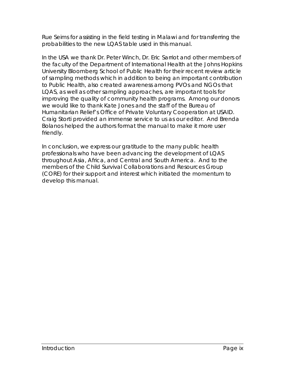Rue Seims for assisting in the field testing in Malawi and for transferring the probabilities to the new LQAS table used in this manual.

In the USA we thank Dr. Peter Winch, Dr. Eric Sarriot and other members of the faculty of the Department of International Health at the Johns Hopkins University Bloomberg School of Public Health for their recent review article of sampling methods which in addition to being an important contribution to Public Health, also created awareness among PVOs and NGOs that LQAS, as well as other sampling approaches, are important tools for improving the quality of community health programs. Among our donors we would like to thank Kate Jones and the staff of the Bureau of Humanitarian Relief's Office of Private Voluntary Cooperation at USAID. Craig Storti provided an immense service to us as our editor. And Brenda Bolanos helped the authors format the manual to make it more user friendly.

In conclusion, we express our gratitude to the many public health professionals who have been advancing the development of LQAS throughout Asia, Africa, and Central and South America. And to the members of the Child Survival Collaborations and Resources Group (CORE) for their support and interest which initiated the momentum to develop this manual.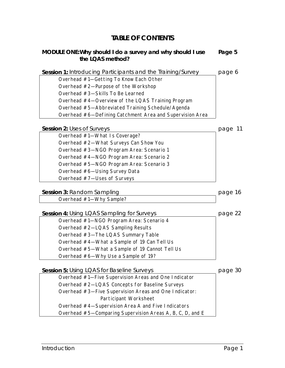## **TABLE OF CONTENTS**

#### **MODULE ONE:Why should I do a survey and why should I use the LQAS method? Page 5**

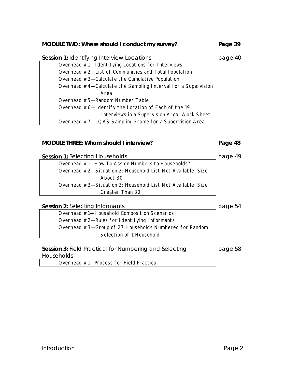#### **MODULE TWO: Where should I conduct my survey? Page 39**

| Session 1: Identifying Interview Locations                    | page 40 |
|---------------------------------------------------------------|---------|
| Overhead #1-I dentifying Locations for Interviews             |         |
| Overhead #2-List of Communities and Total Population          |         |
| Overhead $#3$ -Calculate the Cumulative Population            |         |
| Overhead #4—Calculate the Sampling Interval for a Supervision |         |
| Area                                                          |         |
| Overhead #5-Random Number Table                               |         |
| Overhead #6-I dentify the Location of Each of the 19          |         |
| Interviews in a Supervision Area: Work Sheet                  |         |
| Overhead #7-LQAS Sampling Frame for a Supervision Area        |         |

#### **MODULE THREE: Whom should I interview? Page 48**

**Session 1:** Selecting Households **page 49** page 49

Overhead #1—How To Assign Numbers to Households? Overhead #2—Situation 2: Household List Not Available: Size About 30 Overhead #3—Situation 3: Household List Not Available: Size Greater Than 30

**Session 2:** Selecting Informants **page 54** 

page 58

Overhead #1—Household Composition Scenarios Overhead #2—Rules for Identifying Informants Overhead #3—Group of 27 Households Numbered for Random Selection of 1 Household

**Session 3:** Field Practical for Numbering and Selecting **Households** 

Overhead #1—Process for Field Practical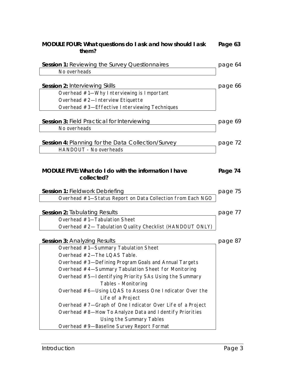| MODULE FOUR: What questions do I ask and how should I ask<br>them?                 | Page 63 |
|------------------------------------------------------------------------------------|---------|
| Session 1: Reviewing the Survey Questionnaires                                     | page 64 |
| No overheads                                                                       |         |
| <b>Session 2: Interviewing Skills</b><br>Overhead #1-Why Interviewing is Important | page 66 |
| Overhead #2-Interview Etiquette                                                    |         |
| Overhead #3-Effective Interviewing Techniques                                      |         |
| Session 3: Field Practical for Interviewing<br>No overheads                        | page 69 |
|                                                                                    |         |
| <b>Session 4: Planning for the Data Collection/Survey</b>                          | page 72 |
| HANDOUT - No overheads                                                             |         |
| <b>MODULE FIVE: What do I do with the information I have</b><br>collected?         | Page 74 |
| <b>Session 1: Fieldwork Debriefing</b>                                             | page 75 |
| Overhead #1-Status Report on Data Collection from Each NGO                         |         |
| <b>Session 2: Tabulating Results</b>                                               | page 77 |
| Overhead #1-Tabulation Sheet                                                       |         |
| Overhead #2- Tabulation Quality Checklist (HANDOUT ONLY)                           |         |
| <b>Session 3: Analyzing Results</b>                                                | page 87 |
| Overhead #1-Summary Tabulation Sheet                                               |         |
| Overhead #2-The LQAS Table.                                                        |         |
| Overhead #3-Defining Program Goals and Annual Targets                              |         |
| Overhead #4-Summary Tabulation Sheet for Monitoring                                |         |
| Overhead #5-I dentifying Priority SAs Using the Summary<br>Tables - Monitoring     |         |
| Overhead #6-Using LQAS to Assess One Indicator Over the<br>Life of a Project       |         |
| Overhead #7-Graph of One Indicator Over Life of a Project                          |         |
| Overhead #8-How To Analyze Data and I dentify Priorities                           |         |
| Using the Summary Tables                                                           |         |
| Overhead #9-Baseline Survey Report Format                                          |         |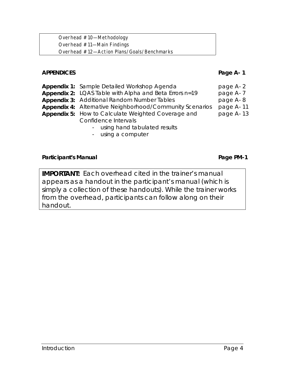Overhead #10—Methodology Overhead #11—Main Findings Overhead #12—Action Plans/Goals/Benchmarks

### **APPENDICES Page A- 1**

| <b>Appendix 1: Sample Detailed Workshop Agenda</b>              | page A-2  |
|-----------------------------------------------------------------|-----------|
| Appendix 2: LQAS Table with Alpha and Beta Errors n=19          | page A-7  |
| <b>Appendix 3: Additional Random Number Tables</b>              | page A-8  |
| <b>Appendix 4:</b> Alternative Neighborhood/Community Scenarios | page A-11 |
| Appendix 5: How to Calculate Weighted Coverage and              | page A-13 |
| Confidence Intervals                                            |           |
| - using hand tabulated results                                  |           |

- using a computer

#### Participant's Manual **Participant's Manual**

**IMPORTANT:** Each overhead cited in the trainer's manual appears as a handout in the participant's manual (which is simply a collection of these handouts). While the trainer works from the overhead, participants can follow along on their handout.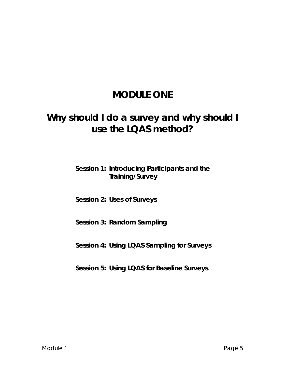## **MODULE ONE**

## **Why should I do a survey and why should I use the LQAS method?**

## **Session 1: Introducing Participants and the Training/Survey**

### **Session 2: Uses of Surveys**

## **Session 3: Random Sampling**

## **Session 4: Using LQAS Sampling for Surveys**

## **Session 5: Using LQAS for Baseline Surveys**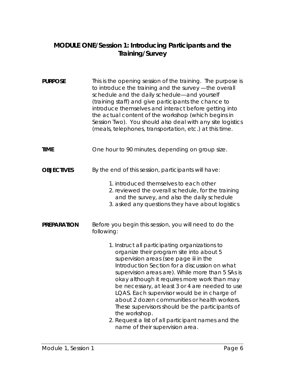## **MODULE ONE/Session 1: Introducing Participants and the Training/Survey**

| <b>PURPOSE</b>     | This is the opening session of the training. The purpose is<br>to introduce the training and the survey - the overall<br>schedule and the daily schedule-and yourself<br>(training staff) and give participants the chance to<br>introduce themselves and interact before getting into<br>the actual content of the workshop (which begins in<br>Session Two). You should also deal with any site logistics<br>(meals, telephones, transportation, etc.) at this time.                                                                                                                                                                                                           |
|--------------------|----------------------------------------------------------------------------------------------------------------------------------------------------------------------------------------------------------------------------------------------------------------------------------------------------------------------------------------------------------------------------------------------------------------------------------------------------------------------------------------------------------------------------------------------------------------------------------------------------------------------------------------------------------------------------------|
| <b>TIME</b>        | One hour to 90 minutes, depending on group size.                                                                                                                                                                                                                                                                                                                                                                                                                                                                                                                                                                                                                                 |
| <b>OBJECTIVES</b>  | By the end of this session, participants will have:<br>1. introduced themselves to each other<br>2. reviewed the overall schedule, for the training<br>and the survey, and also the daily schedule<br>3. asked any questions they have about logistics                                                                                                                                                                                                                                                                                                                                                                                                                           |
| <b>PREPARATION</b> | Before you begin this session, you will need to do the<br>following:<br>1. Instruct all participating organizations to<br>organize their program site into about 5<br>supervision areas (see page iii in the<br>Introduction Section for a discussion on what<br>supervision areas are). While more than 5 SAs is<br>okay although it requires more work than may<br>be necessary, at least 3 or 4 are needed to use<br>LQAS. Each supervisor would be in charge of<br>about 2 dozen communities or health workers.<br>These supervisors should be the participants of<br>the workshop.<br>2. Request a list of all participant names and the<br>name of their supervision area. |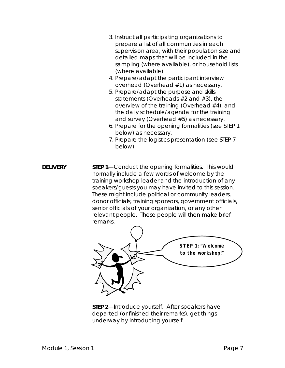- 3. Instruct all participating organizations to prepare a list of all communities in each supervision area, with their population size and detailed maps that will be included in the sampling (where available), or household lists (where available).
- 4. Prepare/adapt the participant interview overhead (Overhead #1) as necessary.
- 5. Prepare/adapt the purpose and skills statements (Overheads #2 and #3), the overview of the training (Overhead #4), and the daily schedule/agenda for the training and survey (Overhead #5) as necessary.
- 6. Prepare for the opening formalities (see STEP 1 below) as necessary.
- 7. Prepare the logistics presentation (see STEP 7 below).
- **DELIVERY** STEP 1—Conduct the opening formalities. This would normally include a few words of welcome by the training workshop leader and the introduction of any speakers/guests you may have invited to this session. These might include political or community leaders, donor officials, training sponsors, government officials, senior officials of your organization, or any other relevant people. These people will then make brief remarks.



**STEP 2**—Introduce yourself. After speakers have departed (or finished their remarks), get things underway by introducing yourself.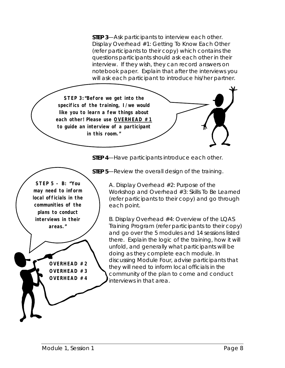**STEP 3**—Ask participants to interview each other. Display Overhead #1: Getting To Know Each Other (refer participants to their copy) which contains the questions participants should ask each other in their interview. If they wish, they can record answers on notebook paper. Explain that after the interviews you will ask each participant to introduce his/her partner.



**STEP 4**—Have participants introduce each other.

**STEP 5 - B: "You may need to inform local officials in the communities of the plans to conduct interviews in their areas."**

> **OVERHEAD #2 OVERHEAD #3 OVERHEAD #4**

**STEP 5**—Review the overall design of the training.

A. Display Overhead #2: Purpose of the Workshop and Overhead #3: Skills To Be Learned (refer participants to their copy) and go through each point.

B. Display Overhead #4: Overview of the LQAS Training Program (refer participants to their copy) and go over the 5 modules and 14 sessions listed there. Explain the logic of the training, how it will unfold, and generally what participants will be doing as they complete each module. In discussing Module Four, advise participants that they will need to inform local officials in the community of the plan to come and conduct interviews in that area.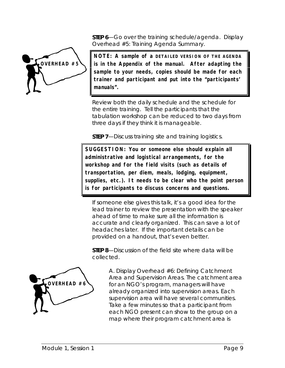**STEP 6**—Go over the training schedule/agenda. Display Overhead #5: Training Agenda Summary.



**NOTE: A sample of a DETAILED VERSION OF THE AGENDA is in the Appendix of the manual. After adapting the sample to your needs, copies should be made for each trainer and participant and put into the "participants' manuals".**

Review both the daily schedule and the schedule for the entire training. Tell the participants that the tabulation workshop can be reduced to two days from three days if they think it is manageable.

**STEP 7**—Discuss training site and training logistics.

**SUGGESTION: You or someone else should explain all administrative and logistical arrangements, for the workshop and for the field visits (such as details of transportation, per diem, meals, lodging, equipment, supplies, etc.). It needs to be clear who the point person is for participants to discuss concerns and questions.**

If someone else gives this talk, it's a good idea for the lead trainer to review the presentation with the speaker ahead of time to make sure all the information is accurate and clearly organized. This can save a lot of headaches later. If the important details can be provided on a handout, that's even better.

**STEP 8**—Discussion of the field site where data will be collected.



A. Display Overhead #6: Defining Catchment Area and Supervision Areas. The catchment area for an NGO's program, managers will have already organized into supervision areas. Each supervision area will have several communities. Take a few minutes so that a participant from each NGO present can show to the group on a map where their program catchment area is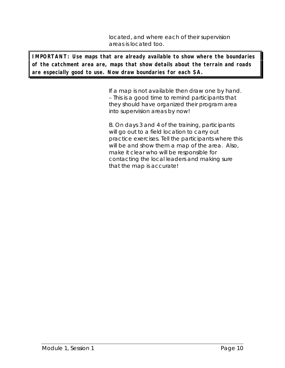located, and where each of their supervision areas is located too.

**IMPORTANT: Use maps that are already available to show where the boundaries of the catchment area are, maps that show details about the terrain and roads are especially good to use. Now draw boundaries for each SA.**

> If a map is not available then draw one by hand. – This is a good time to remind participants that they should have organized their program area into supervision areas by now!

> B. On days 3 and 4 of the training, participants will go out to a field location to carry out practice exercises. Tell the participants where this will be and show them a map of the area. Also, make it clear who will be responsible for contacting the local leaders and making sure that the map is accurate!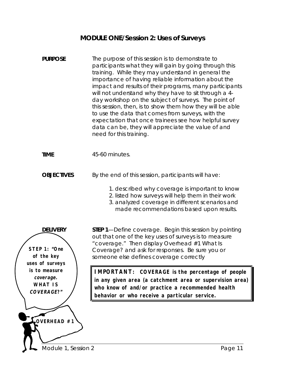## **MODULE ONE/Session 2: Uses of Surveys**

| <b>PURPOSE</b>                                                   | The purpose of this session is to demonstrate to<br>participants what they will gain by going through this<br>training. While they may understand in general the<br>importance of having reliable information about the<br>impact and results of their programs, many participants<br>will not understand why they have to sit through a 4-<br>day workshop on the subject of surveys. The point of<br>this session, then, is to show them how they will be able<br>to use the data that comes from surveys, with the<br>expectation that once trainees see how helpful survey<br>data can be, they will appreciate the value of and<br>need for this training. |  |
|------------------------------------------------------------------|-----------------------------------------------------------------------------------------------------------------------------------------------------------------------------------------------------------------------------------------------------------------------------------------------------------------------------------------------------------------------------------------------------------------------------------------------------------------------------------------------------------------------------------------------------------------------------------------------------------------------------------------------------------------|--|
| <b>TIME</b>                                                      | 45-60 minutes.                                                                                                                                                                                                                                                                                                                                                                                                                                                                                                                                                                                                                                                  |  |
| <b>OBJECTIVES</b>                                                | By the end of this session, participants will have:<br>1. described why coverage is important to know<br>2. listed how surveys will help them in their work<br>3. analyzed coverage in different scenarios and<br>made recommendations based upon results.                                                                                                                                                                                                                                                                                                                                                                                                      |  |
| <b>DELIVERY</b><br>STEP 1: "One<br>of the key<br>uses of surveys | STEP 1-Define coverage. Begin this session by pointing<br>out that one of the key uses of surveys is to measure<br>"coverage." Then display Overhead #1 What Is<br>Coverage? and ask for responses. Be sure you or<br>someone else defines coverage correctly                                                                                                                                                                                                                                                                                                                                                                                                   |  |
| is to measure<br>coverage.<br><b>WHAT IS</b><br>COVERAGE?"       | IMPORTANT: COVERAGE is the percentage of people<br>in any given area (a catchment area or supervision area)<br>who know of and/or practice a recommended health<br>behavior or who receive a particular service.                                                                                                                                                                                                                                                                                                                                                                                                                                                |  |
| OVERHEAD #1                                                      |                                                                                                                                                                                                                                                                                                                                                                                                                                                                                                                                                                                                                                                                 |  |
| Module 1, Session 2                                              | Page 11                                                                                                                                                                                                                                                                                                                                                                                                                                                                                                                                                                                                                                                         |  |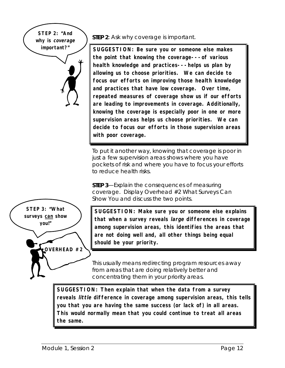**STEP 2: "And why is coverage important?"**

**STEP 2**: Ask why coverage is important.

**SUGGESTION: Be sure you or someone else makes the point that knowing the coverage---of various health knowledge and practices---helps us plan by allowing us to choose priorities. We can decide to focus our efforts on improving those health knowledge and practices that have low coverage. Over time, repeated measures of coverage show us if our efforts are leading to improvements in coverage. Additionally, knowing the coverage is especially poor in one or more supervision areas helps us choose priorities. We can decide to focus our efforts in those supervision areas with poor coverage.**

To put it another way, knowing that coverage is poor in just a few supervision areas shows where you have pockets of risk and where you have to focus your efforts to reduce health risks.

**STEP 3**—Explain the consequences of measuring coverage. Display Overhead #2 What Surveys Can Show You and discuss the two points.

**SUGGESTION: Make sure you or someone else explains that when a survey reveals large differences in coverage among supervision areas, this identifies the areas that are not doing well and, all other things being equal should be your priority.**

This usually means redirecting program resources away from areas that are doing relatively better and concentrating them in your priority areas.

**SUGGESTION: Then explain that when the data from a survey reveals little difference in coverage among supervision areas, this tells you that you are having the same success (or lack of) in all areas. This would normally mean that you could continue to treat all areas the same.**

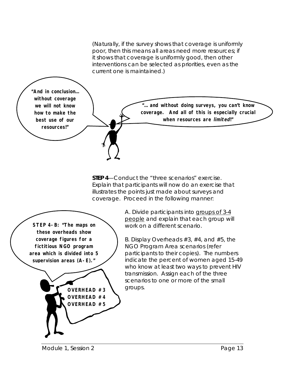(Naturally, if the survey shows that coverage is uniformly poor, then this means all areas need more resources; if it shows that coverage is uniformly good, then other interventions can be selected as priorities, even as the current one is maintained.)

**"And in conclusion… without coverage we will not know how to make the best use of our resources!"**

**"… and without doing surveys, you can't know coverage. And all of this is especially crucial when resources are limited!"**

**STEP 4**—Conduct the "three scenarios" exercise. Explain that participants will now do an exercise that illustrates the points just made about surveys and coverage. Proceed in the following manner:



A. Divide participants into groups of 3-4 people and explain that each group will work on a different scenario.

B. Display Overheads #3, #4, and #5, the NGO Program Area scenarios (refer participants to their copies). The numbers indicate the percent of women aged 15-49 who know at least two ways to prevent HIV transmission. Assign each of the three scenarios to one or more of the small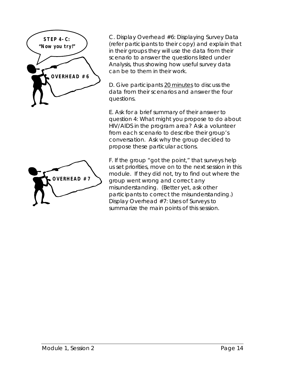

C. Display Overhead #6: Displaying Survey Data (refer participants to their copy) and explain that in their groups they will use the data from their scenario to answer the questions listed under Analysis, thus showing how useful survey data can be to them in their work.

D. Give participants 20 minutes to discuss the data from their scenarios and answer the four questions.

E. Ask for a brief summary of their answer to question 4: What might you propose to do about HIV/AIDS in the program area? Ask a volunteer from each scenario to describe their group's conversation. Ask why the group decided to propose these particular actions.



F. If the group "got the point," that surveys help us set priorities, move on to the next session in this module. If they did not, try to find out where the group went wrong and correct any misunderstanding. (Better yet, ask other participants to correct the misunderstanding.) Display Overhead #7: Uses of Surveys to summarize the main points of this session.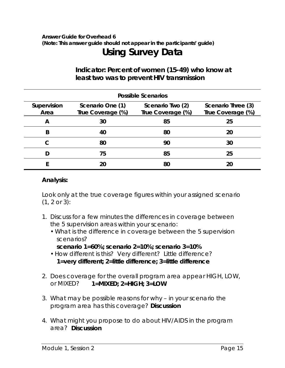## *Answer Guide for Overhead 6 (Note: This answer guide should not appear in the participants' guide)* **Using Survey Data**

## **Indicator: Percent of women (15-49) who know at least two was to prevent HIV transmission**

| <b>Possible Scenarios</b> |                                       |                                       |                                         |
|---------------------------|---------------------------------------|---------------------------------------|-----------------------------------------|
| Supervision<br>Area       | Scenario One (1)<br>True Coverage (%) | Scenario Two (2)<br>True Coverage (%) | Scenario Three (3)<br>True Coverage (%) |
| A                         | 30                                    | 85                                    | 25                                      |
| B                         | 40                                    | 80                                    | 20                                      |
|                           | 80                                    | 90                                    | 30                                      |
|                           | 75                                    | 85                                    | 25                                      |
|                           |                                       | 80                                    | 20                                      |

### **Analysis:**

Look only at the true coverage figures within your assigned scenario (1, 2 or 3):

- 1. Discuss for a few minutes the differences in coverage between the 5 supervision areas *within your scenario*:
	- What is the difference in coverage between the 5 supervision scenarios?
		- **scenario 1=60%; scenario 2=10%; scenario 3=10%**
	- How different is this? Very different? Little difference? **1=very different; 2=little difference; 3=little difference**
- 2. Does coverage for the overall program area appear HIGH, LOW, or MIXED? **1=MIXED; 2=HIGH; 3=LOW**
- 3. What may be possible reasons for why in your scenario the program area has this coverage? **Discussion**
- 4. What might you propose to do about HIV/AIDS in the program area? **Discussion**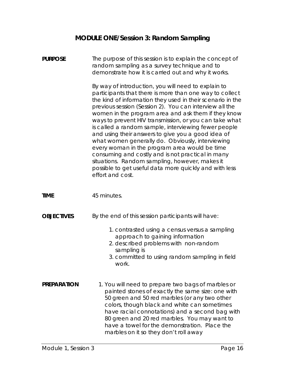## **MODULE ONE/Session 3: Random Sampling**

| <b>PURPOSE</b>     | The purpose of this session is to explain the concept of<br>random sampling as a survey technique and to<br>demonstrate how it is carried out and why it works.<br>By way of introduction, you will need to explain to<br>participants that there is more than one way to collect<br>the kind of information they used in their scenario in the<br>previous session (Session 2). You can interview all the<br>women in the program area and ask them if they know<br>ways to prevent HIV transmission, or you can take what<br>is called a random sample, interviewing fewer people<br>and using their answers to give you a good idea of<br>what women generally do. Obviously, interviewing<br>every woman in the program area would be time<br>consuming and costly and is not practical in many<br>situations. Random sampling, however, makes it<br>possible to get useful data more quickly and with less<br>effort and cost. |
|--------------------|-------------------------------------------------------------------------------------------------------------------------------------------------------------------------------------------------------------------------------------------------------------------------------------------------------------------------------------------------------------------------------------------------------------------------------------------------------------------------------------------------------------------------------------------------------------------------------------------------------------------------------------------------------------------------------------------------------------------------------------------------------------------------------------------------------------------------------------------------------------------------------------------------------------------------------------|
| <b>TIME</b>        | 45 minutes.                                                                                                                                                                                                                                                                                                                                                                                                                                                                                                                                                                                                                                                                                                                                                                                                                                                                                                                         |
| <b>OBJECTIVES</b>  | By the end of this session participants will have:<br>1. contrasted using a census versus a sampling<br>approach to gaining information<br>2. described problems with non-random<br>sampling is<br>3. committed to using random sampling in field<br>work.                                                                                                                                                                                                                                                                                                                                                                                                                                                                                                                                                                                                                                                                          |
| <b>PREPARATION</b> | 1. You will need to prepare two bags of marbles or<br>painted stones of exactly the same size: one with<br>50 green and 50 red marbles (or any two other<br>colors, though black and white can sometimes<br>have racial connotations) and a second bag with<br>80 green and 20 red marbles. You may want to<br>have a towel for the demonstration. Place the<br>marbles on it so they don't roll away                                                                                                                                                                                                                                                                                                                                                                                                                                                                                                                               |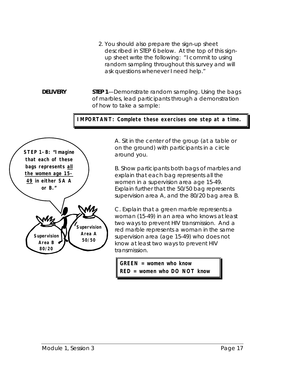- 2. You should also prepare the sign-up sheet described in STEP 6 below. At the top of this signup sheet write the following: "I commit to using random sampling throughout this survey and will ask questions whenever I need help."
- **DELIVERY** STEP 1—Demonstrate random sampling. Using the bags of marbles, lead participants through a demonstration of how to take a sample:

**IMPORTANT: Complete these exercises one step at a time.**



A. Sit in the center of the group (at a table or on the ground) with participants in a circle around you.

B. Show participants both bags of marbles and explain that each bag represents all the women in a supervision area age 15-49. Explain further that the 50/50 bag represents supervision area A, and the 80/20 bag area B.

C. Explain that a green marble represents a woman (15-49) in an area who knows at least two ways to prevent HIV transmission. And a red marble represents a woman in the same supervision area (age 15-49) who does not know at least two ways to prevent HIV transmission.

**GREEN = women who know RED = women who DO NOT know**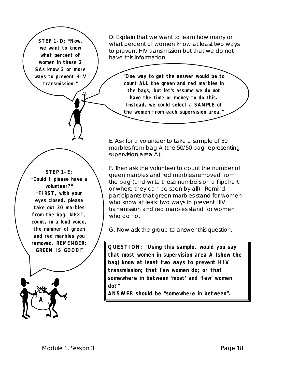**STEP 1-D: "Now, we want to know what percent of women in these 2 SAs know 2 or more ways to prevent HIV transmission."**

**STEP 1-E: "Could I please have a volunteer?" "FIRST, with your eyes closed, please take out 30 marbles from the bag. NEXT, count, in a loud voice, the number of green and red marbles you removed. REMEMBER: GREEN IS GOOD!"**

**A**

D. Explain that we want to learn how many or what percent of women know at least two ways to prevent HIV transmission but that we do not have this information.

> **"One way to get the answer would be to count ALL the green and red marbles in the bags, but let's assume we do not have the time or money to do this. Instead, we could select a SAMPLE of the women from each supervision area."**

E. Ask for a volunteer to take a sample of 30 marbles from bag A (the 50/50 bag representing supervision area A).

F. Then ask the volunteer to count the number of green marbles and red marbles removed from the bag (and write these numbers on a flipchart or where they can be seen by all). Remind participants that green marbles stand for women who know at least two ways to prevent HIV transmission and red marbles stand for women who do not.

G. Now ask the group to answer this question:

**QUESTION: "Using this sample, would you say that most women in supervision area A (show the bag) know at least two ways to prevent HIV transmission; that few women do; or that somewhere in between 'most' and 'few' women do?"**

**ANSWER should be "somewhere in between".**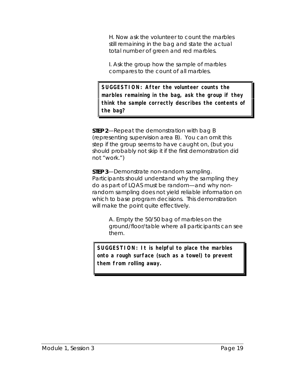H. Now ask the volunteer to count the marbles still remaining in the bag and state the actual total number of green and red marbles.

I. Ask the group how the sample of marbles compares to the count of all marbles.

**SUGGESTION: After the volunteer counts the marbles remaining in the bag, ask the group if they think the sample correctly describes the contents of the bag?**

**STEP 2**—Repeat the demonstration with bag B (representing supervision area B). You can omit this step if the group seems to have caught on, (but you should probably not skip it if the first demonstration did not "work.")

**STEP 3**—Demonstrate *non*-random sampling. Participants should understand why the sampling they do as part of LQAS must be random—and why nonrandom sampling does not yield reliable information on which to base program decisions. This demonstration will make the point quite effectively.

> A. Empty the 50/50 bag of marbles on the ground/floor/table where all participants can see them.

**SUGGESTION: It is helpful to place the marbles onto a rough surface (such as a towel) to prevent them from rolling away.**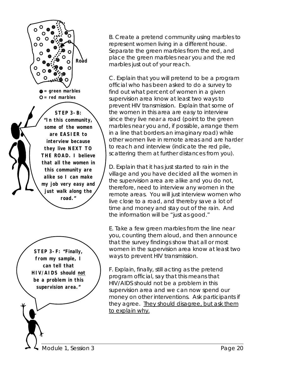

B. Create a pretend community using marbles to represent women living in a different house. Separate the green marbles from the red, and place the green marbles near you and the red marbles just out of your reach.

C. Explain that you will pretend to be a program official who has been asked to do a survey to find out what percent of women in a given supervision area know at least two ways to prevent HIV transmission. Explain that some of the women in this area are easy to interview since they live near a road (point to the green marbles near you and, if possible, arrange them in a line that borders an imaginary road) while other women live in remote areas and are harder to reach and interview (indicate the red pile, scattering them at further distances from you).

D. Explain that it has just started to rain in the village and you have decided all the women in the supervision area are alike and you do not, therefore, need to interview any women in the remote areas. You will just interview women who live close to a road, and thereby save a lot of time and money and stay out of the rain. And the information will be "just as good."

E. Take a few green marbles from the line near you, counting them aloud, and then announce that the survey findings show that all or most women in the supervision area know at least two ways to prevent HIV transmission.

F. Explain, finally, still acting as the pretend program official, say that this means that HIV/AIDS should not be a problem in this supervision area and we can now spend our money on other interventions. Ask participants if they agree. They should disagree, but ask them to explain why.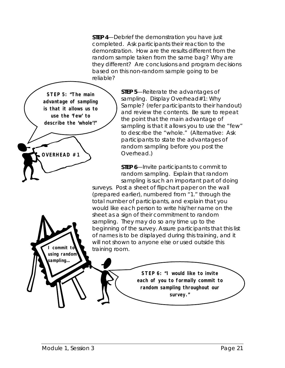**STEP 4**—Debrief the demonstration you have just completed. Ask participants their reaction to the demonstration. How are the results different from the random sample taken from the same bag? Why are they different? Are conclusions and program decisions based on this non-random sample going to be reliable?



**STEP 5**—Reiterate the advantages of sampling. Display Overhead#1: Why Sample? (refer participants to their handout) and review the contents. Be sure to repeat the point that the main advantage of sampling is that it allows you to use the "few" to describe the "whole." (Alternative: Ask participants to state the advantages of random sampling *before* you post the Overhead.)

**STEP 6**—Invite participants to commit to random sampling. Explain that random sampling is such an important part of doing

surveys. Post a sheet of flipchart paper on the wall (prepared earlier), numbered from "1." through the total number of participants, and explain that you would like each person to write his/her name on the sheet as a sign of their commitment to random sampling. They may do so any time up to the beginning of the survey. Assure participants that this list of names is to be displayed during this training, and it will not shown to anyone else or used outside this training room.

> **STEP 6: "I would like to invite each of you to formally commit to random sampling throughout our survey."**

**I commit to using random sampling…**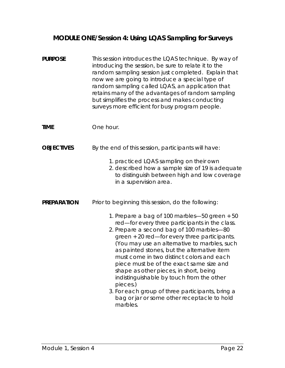## **MODULE ONE/Session 4: Using LQAS Sampling for Surveys**

| <b>PURPOSE</b>     | This session introduces the LQAS technique. By way of<br>introducing the session, be sure to relate it to the<br>random sampling session just completed. Explain that<br>now we are going to introduce a special type of<br>random sampling called LQAS, an application that<br>retains many of the advantages of random sampling<br>but simplifies the process and makes conducting<br>surveys more efficient for busy program people.                                                                                                                                                                                                                      |
|--------------------|--------------------------------------------------------------------------------------------------------------------------------------------------------------------------------------------------------------------------------------------------------------------------------------------------------------------------------------------------------------------------------------------------------------------------------------------------------------------------------------------------------------------------------------------------------------------------------------------------------------------------------------------------------------|
| <b>TIME</b>        | One hour.                                                                                                                                                                                                                                                                                                                                                                                                                                                                                                                                                                                                                                                    |
| <b>OBJECTIVES</b>  | By the end of this session, participants will have:<br>1. practiced LQAS sampling on their own                                                                                                                                                                                                                                                                                                                                                                                                                                                                                                                                                               |
|                    | 2. described how a sample size of 19 is adequate<br>to distinguish between high and low coverage<br>in a supervision area.                                                                                                                                                                                                                                                                                                                                                                                                                                                                                                                                   |
| <b>PREPARATION</b> | Prior to beginning this session, do the following:<br>1. Prepare a bag of 100 marbles-50 green + 50<br>red-for every three participants in the class.<br>2. Prepare a second bag of 100 marbles-80<br>green + 20 red-for every three participants.<br>(You may use an alternative to marbles, such<br>as painted stones, but the alternative item<br>must come in two distinct colors and each<br>piece must be of the exact same size and<br>shape as other pieces, in short, being<br>indistinguishable by touch from the other<br>pieces.)<br>3. For each group of three participants, bring a<br>bag or jar or some other receptacle to hold<br>marbles. |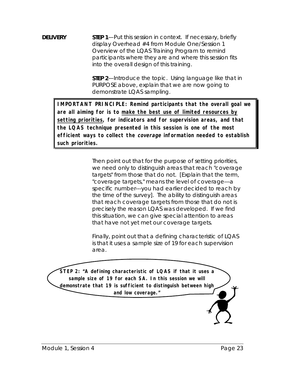**DELIVERY** STEP 1—Put this session in context. If necessary, briefly display Overhead #4 from Module One/Session 1 Overview of the LQAS Training Program to remind participants where they are and where this session fits into the overall design of this training.

> **STEP 2**—Introduce the topic. Using language like that in PURPOSE above, explain that we are now going to demonstrate LQAS sampling.

**IMPORTANT PRINCIPLE: Remind participants that the overall goal we are all aiming for is to make the best use of limited resources by setting priorities, for indicators and for supervision areas, and that the LQAS technique presented in this session is one of the most efficient ways to collect the coverage information needed to establish such priorities.**

> Then point out that for the purpose of setting priorities, we need only to distinguish areas that reach "coverage targets" from those that do not. [Explain that the term, "coverage targets," means the level of coverage---a specific number---you had earlier decided to reach by the time of the survey]. The ability to distinguish areas that reach coverage targets from those that do not is precisely the reason LQAS was developed. If we find this situation, we can give special attention to areas that have not yet met our coverage targets.

Finally, point out that a defining characteristic of LQAS is that it uses a sample size of 19 for each supervision area.

**STEP 2: "A defining characteristic of LQAS if that it uses a sample size of 19 for each SA. In this session we will demonstrate that 19 is sufficient to distinguish between high and low coverage."**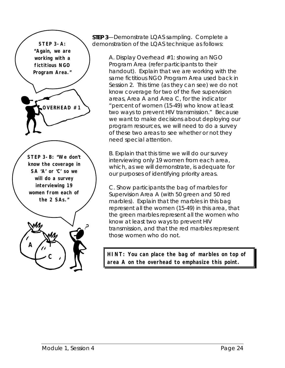

**STEP 3**—Demonstrate LQAS sampling. Complete a demonstration of the LQAS technique as follows:

> A. Display Overhead #1: showing an NGO Program Area (refer participants to their handout). Explain that we are working with the same fictitious NGO Program Area used back in Session 2. This time (as they can see) we do not know coverage for two of the five supervision areas, Area A and Area C, for the indicator "percent of women (15-49) who know at least two ways to prevent HIV transmission." Because we want to make decisions about deploying our program resources, we will need to do a survey of these two areas to see whether or not they need special attention.

B. Explain that this time we will do our survey interviewing only 19 women from each area, which, as we will demonstrate, is adequate for our purposes of identifying priority areas.

C. Show participants the bag of marbles for Supervision Area A (with 50 green and 50 red marbles). Explain that the marbles in this bag represent all the women (15-49) in this area, that the green marbles represent all the women who know at least two ways to prevent HIV transmission, and that the red marbles represent those women who do not.

**HINT: You can place the bag of marbles on top of area A on the overhead to emphasize this point.**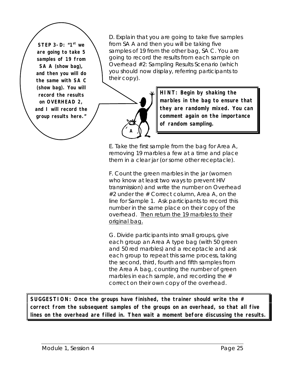**STEP 3-D: "1<sup>st</sup> we are going to take 5 samples of 19 from SA A (show bag), and then you will do the same with SA C (show bag). You will record the results on OVERHEAD 2, and I will record the group results here."**

D. Explain that you are going to take five samples from SA A and then you will be taking five samples of 19 from the other bag, SA C. You are going to record the results from each sample on Overhead #2: Sampling Results Scenario (which you should now display, referring participants to their copy).



**HINT: Begin by shaking the marbles in the bag to ensure that they are randomly mixed. You can comment again on the importance of random sampling.**

E. Take the first sample from the bag for Area A, removing 19 marbles a few at a time and place them in a clear jar (or some other receptacle).

F. Count the green marbles in the jar (women who know at least two ways to prevent HIV transmission) and write the number on Overhead  $#2$  under the  $#$  Correct column, Area A, on the line for Sample 1. Ask participants to record this number in the same place on their copy of the overhead. Then return the 19 marbles to their original bag.

G. Divide participants into small groups, give each group an Area A type bag (with 50 green and 50 red marbles) and a receptacle and ask each group to repeat this same process, taking the second, third, fourth and fifth samples from the Area A bag, counting the number of green marbles in each sample, and recording the  $#$ correct on their own copy of the overhead.

**SUGGESTION: Once the groups have finished, the trainer should write the # correct from the subsequent samples of the groups on an overhead, so that all five lines on the overhead are filled in. Then wait a moment before discussing the results.**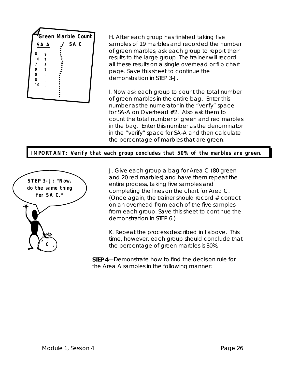

H. After each group has finished taking five samples of 19 marbles and recorded the number of green marbles, ask each group to report their results to the large group. The trainer will record all these results on a single overhead or flip chart page. Save this sheet to continue the demonstration in STEP 3-J.

I. Now ask each group to count the total number of green marbles in the entire bag. Enter this number as the numerator in the "verify" space for SA-A on Overhead #2. Also ask them to count the total number of green and red marbles in the bag. Enter this number as the denominator in the "verify" space for SA-A and then calculate the percentage of marbles that are green.

**IMPORTANT: Verify that each group concludes that 50% of the marbles are green.**



J. Give each group a bag for Area C (80 green and 20 red marbles) and have them repeat the entire process, taking five samples and completing the lines on the chart for Area C. (Once again, the trainer should record  $#$  correct on an overhead from each of the five samples from each group. Save this sheet to continue the demonstration in STEP 6.)

K. Repeat the process described in I above. This time, however, each group should conclude that the percentage of green marbles is 80%.

**STEP 4**—Demonstrate how to find the decision rule for the Area A samples in the following manner: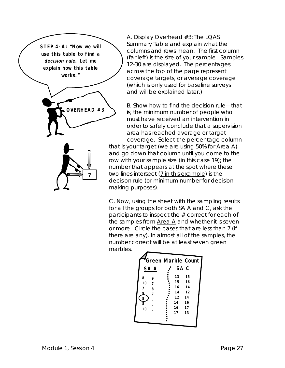

A. Display Overhead #3: The LQAS Summary Table and explain what the columns and rows mean. The first column (far left) is the size of your sample. Samples 12-30 are displayed. The percentages across the top of the page represent coverage targets, or average coverage (which is only used for baseline surveys and will be explained later.)

B. Show how to find the decision rule—that is, the minimum number of people who must have received an intervention in order to safely conclude that a supervision area has reached average or target coverage. Select the percentage column

that is your target (we are using 50% for Area A) and go down that column until you come to the row with your sample size (in this case 19); the number that appears at the spot where these two lines intersect (7 in this example) is the decision rule (or minimum number for decision making purposes).

C. Now, using the sheet with the sampling results for all the groups for both SA A and C, ask the participants to inspect the # correct for each of the samples from Area A and whether it is seven or more. Circle the cases that are less than 7 (if there are any). In almost all of the samples, the number correct will be at least seven green marbles.

|                | <b>Green Marble Count</b> |    |                 |  |
|----------------|---------------------------|----|-----------------|--|
|                | SA A                      |    | SA <sub>C</sub> |  |
| 8              | 9                         | 13 | 15              |  |
| 10             | 7                         | 15 | 16              |  |
| 7              | 8                         | 16 | 14              |  |
| 9              | 7                         | 14 | 12              |  |
| $\overline{5}$ |                           | 12 | 14              |  |
| 8              |                           | 14 | 16              |  |
| 10             |                           | 16 | 17              |  |
|                |                           | 17 | 13              |  |
|                |                           |    |                 |  |
|                |                           |    |                 |  |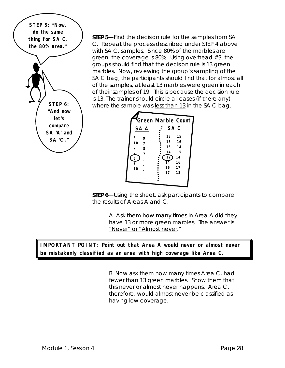**STEP 5: "Now, do the same thing for SA C, the 80% area." STEP 6: "And now let's compare SA 'A' and SA 'C'."**

**STEP 5**—Find the decision rule for the samples from SA C. Repeat the process described under STEP 4 above with SA C. samples. Since 80% of the marbles are green, the coverage is 80%. Using overhead #3, the groups should find that the decision rule is 13 green marbles. Now, reviewing the group's sampling of the SA C bag, the participants should find that for almost all of the samples, at least 13 marbles were green in each of their samples of 19. This is because the decision rule is 13. The trainer should circle all cases (if there any) where the sample was less than 13 in the SA C bag.



**STEP 6**—Using the sheet, ask participants to compare the results of Areas A and C.

> A. Ask them how many times in Area A did they have 13 or more green marbles. The answer is "Never" or "Almost never."

**IMPORTANT POINT: Point out that Area A would never or almost never be mistakenly classified as an area with high coverage like Area C.**

> B. Now ask them how many times Area C. had fewer than 13 green marbles. Show them that this never or almost never happens. Area C, therefore, would almost never be classified as having low coverage.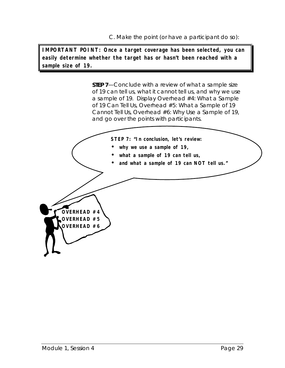C. Make the point (or have a participant do so):

**IMPORTANT POINT: Once a target coverage has been selected, you can easily determine whether the target has or hasn't been reached with a sample size of 19.**

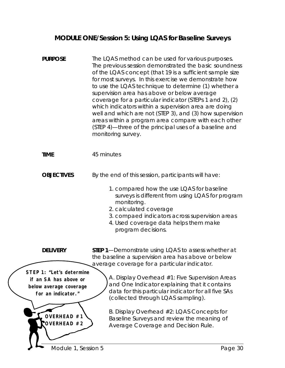### **MODULE ONE/Session 5: Using LQAS for Baseline Surveys**

| <b>PURPOSE</b>                                                                                                   | The LQAS method can be used for various purposes.<br>The previous session demonstrated the basic soundness<br>of the LQAS concept (that 19 is a sufficient sample size<br>for most surveys. In this exercise we demonstrate how<br>to use the LQAS technique to determine (1) whether a<br>supervision area has above or below average<br>coverage for a particular indicator (STEPs 1 and 2), (2)<br>which indicators within a supervision area are doing<br>well and which are not (STEP 3), and (3) how supervision<br>areas within a program area compare with each other<br>(STEP 4)-three of the principal uses of a baseline and<br>monitoring survey. |
|------------------------------------------------------------------------------------------------------------------|---------------------------------------------------------------------------------------------------------------------------------------------------------------------------------------------------------------------------------------------------------------------------------------------------------------------------------------------------------------------------------------------------------------------------------------------------------------------------------------------------------------------------------------------------------------------------------------------------------------------------------------------------------------|
| <b>TIME</b>                                                                                                      | 45 minutes                                                                                                                                                                                                                                                                                                                                                                                                                                                                                                                                                                                                                                                    |
| <b>OBJECTIVES</b>                                                                                                | By the end of this session, participants will have:<br>1. compared how the use LQAS for baseline<br>surveys is different from using LQAS for program<br>monitoring.<br>2. calculated coverage<br>3. compaed indicators across supervision areas<br>4. Used coverage data helps them make<br>program decisions.                                                                                                                                                                                                                                                                                                                                                |
| <b>DELIVERY</b>                                                                                                  | <b>STEP 1—Demonstrate using LQAS to assess whether at</b><br>the baseline a supervision area has above or below                                                                                                                                                                                                                                                                                                                                                                                                                                                                                                                                               |
| STEP 1: "Let's determine<br>if an SA has above or<br>below average coverage<br>for an indicator."<br>OVERHEAD #1 | average coverage for a particular indicator.<br>A. Display Overhead #1: Five Supervision Areas<br>and One Indicator explaining that it contains<br>data for this particular indicator for all five SAs<br>(collected through LQAS sampling).<br>B. Display Overhead #2: LQAS Concepts for<br>Baseline Surveys and review the meaning of                                                                                                                                                                                                                                                                                                                       |
| OVERHEAD #2<br>Module 1, Session 5                                                                               | Average Coverage and Decision Rule.<br>Page 30                                                                                                                                                                                                                                                                                                                                                                                                                                                                                                                                                                                                                |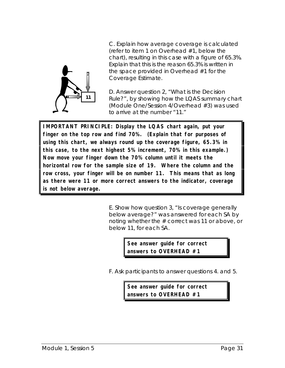

C. Explain how average coverage is calculated (refer to item 1 on Overhead #1, below the chart), resulting in this case with a figure of 65.3%. Explain that this is the reason 65.3% is written in the space provided in Overhead #1 for the Coverage Estimate.

D. Answer question 2, "What is the Decision Rule?", by showing how the LQAS summary chart (Module One/Session 4/Overhead #3) was used to arrive at the number "11."

**IMPORTANT PRINCIPLE: Display the LQAS chart again, put your finger on the top row and find 70%. (Explain that for purposes of using this chart, we always round up the coverage figure, 65.3% in this case, to the next highest 5% increment, 70% in this example.) Now move your finger down the 70% column until it meets the horizontal row for the sample size of 19. Where the column and the row cross, your finger will be on number 11. This means that as long as there were 11 or more correct answers to the indicator, coverage is not below average.**

> E. Show how question 3, "Is coverage generally below average?" was answered for each SA by noting whether the # correct was 11 or above, or below 11, for each SA.

> > **See answer guide for correct answers to OVERHEAD #1**

F. Ask participants to answer questions 4. and 5.

**See answer guide for correct answers to OVERHEAD #1**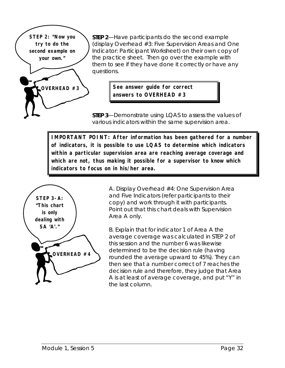**STEP 2: "Now you try to do the second example on your own." OVERHEAD #3**

**STEP 2**—Have participants do the second example (display Overhead #3: Five Supervision Areas and One Indicator: Participant Worksheet) on their own copy of the practice sheet. Then go over the example with them to see if they have done it correctly or have any questions.

> **See answer guide for correct answers to OVERHEAD #3**

**STEP 3**—Demonstrate using LQAS to assess the values of various indicators within the same supervision area.

**IMPORTANT POINT: After information has been gathered for a number of indicators, it is possible to use LQAS to determine which indicators within a particular supervision area are reaching average coverage and which are not, thus making it possible for a supervisor to know which indicators to focus on in his/her area.**



A. Display Overhead #4: One Supervision Area and Five Indicators (refer participants to their copy) and work through it with participants. Point out that this chart deals with Supervision Area A only.

B. Explain that for indicator 1 of Area A the average coverage was calculated in STEP 2 of this session and the number 6 was likewise determined to be the decision rule (having rounded the average upward to 45%). They can then see that a number correct of 7 reaches the decision rule and therefore, they judge that Area A is at least of average coverage, and put "Y" in the last column.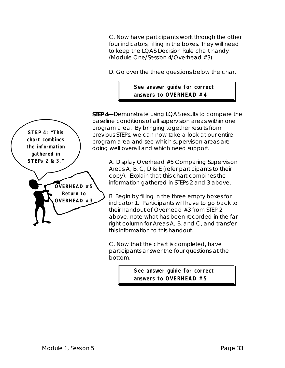C. Now have participants work through the other four indicators, filling in the boxes. They will need to keep the LQAS Decision Rule chart handy (Module One/Session 4/Overhead #3).

D. Go over the three questions below the chart.

#### **See answer guide for correct answers to OVERHEAD #4**

**STEP 4**—Demonstrate using LQAS results to compare the baseline conditions of all supervision areas within one program area. By bringing together results from previous STEPs, we can now take a look at our entire program area and see which supervision areas are doing well overall and which need support.

> A. Display Overhead #5 Comparing Supervision Areas A, B, C, D & E (refer participants to their copy). Explain that this chart combines the information gathered in STEPs 2 and 3 above.

> B. Begin by filling in the three empty boxes for indicator 1. Participants will have to go back to their handout of Overhead #3 from STEP 2 above, note what has been recorded in the far right column for Areas A, B, and C, and transfer this information to this handout.

C. Now that the chart is completed, have participants answer the four questions at the bottom.

> **See answer guide for correct answers to OVERHEAD #5**

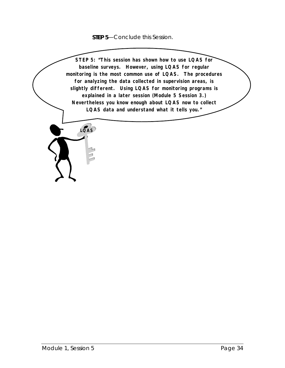**STEP 5**—Conclude this Session.

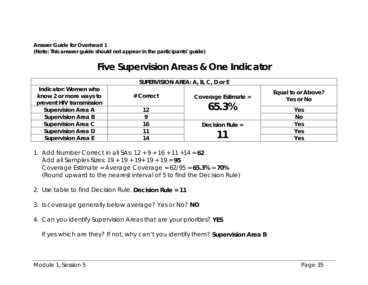*Answer Guide for Overhead 1(Note: This answer guide should not appear in the participants' guide)*

### **Five Supervision Areas & One Indicator**

| SUPERVISION AREA: A, B, C, D or E                                          |           |                     |                                 |  |
|----------------------------------------------------------------------------|-----------|---------------------|---------------------------------|--|
| Indicator: Women who<br>know 2 or more ways to<br>prevent HIV transmission | # Correct | Coverage Estimate = | Equal to or Above?<br>Yes or No |  |
| <b>Supervision Area A</b>                                                  | 12        | 65.3%               | Yes                             |  |
| <b>Supervision Area B</b>                                                  |           |                     | <b>No</b>                       |  |
| <b>Supervision Area C</b>                                                  | 16        | Decision Rule $=$   | Yes                             |  |
| <b>Supervision Area D</b>                                                  | 11        |                     | Yes                             |  |
| <b>Supervision Area E</b>                                                  | 14        |                     | Yes                             |  |

- 1. Add Number Correct in all SAs: 12 + 9 + 16 + 11 +14 = **62**Add all Samples Sizes: 19 + 19 + 19+ 19 + 19 = **95** Coverage Estimate = Average Coverage = 62/95 = **65.3%** = **70%** (Round upward to the nearest interval of 5 to find the Decision Rule)
- 2. Use table to find Decision Rule. **Decision Rule = 11**
- 3. Is coverage generally below average? Yes or No? **NO**
- 4. Can you identify Supervision Areas that are your priorities? **YES**

If yes which are they? If not, why can't you identify them? **Supervision Area B**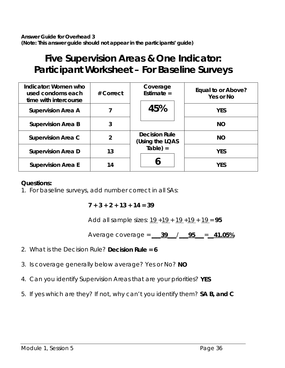## **Five Supervision Areas & One Indicator: Participant Worksheet – For Baseline Surveys**

| Indicator: Women who<br>used condoms each<br>time with intercourse | # Correct      | Coverage<br>Estimate $=$                | Equal to or Above?<br>Yes or No |
|--------------------------------------------------------------------|----------------|-----------------------------------------|---------------------------------|
| <b>Supervision Area A</b>                                          |                | 45%                                     | <b>YES</b>                      |
| <b>Supervision Area B</b>                                          | 3              |                                         | <b>NO</b>                       |
| <b>Supervision Area C</b>                                          | $\overline{2}$ | <b>Decision Rule</b><br>(Using the LQAS | <b>NO</b>                       |
| <b>Supervision Area D</b>                                          | 13             | $Table) =$                              | <b>YES</b>                      |
| <b>Supervision Area E</b>                                          | 14             |                                         | <b>YES</b>                      |

#### **Questions:**

1. For baseline surveys, add number correct in all SAs:

**7 + 3 + 2 + 13 + 14 = 39**

Add all sample sizes: 19 +19 + 19 +19 + 19 = **95**

Average coverage = **\_\_\_39\_\_\_**/**\_\_\_95\_\_\_**=**\_\_41.05%**

- 2. What is the Decision Rule? **Decision Rule = 6**
- 3. Is coverage generally below average? Yes or No? **NO**
- 4. Can you identify Supervision Areas that are your priorities? **YES**
- 5. If yes which are they? If not, why can't you identify them? **SA B, and C**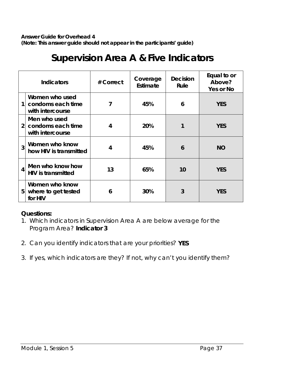### **Supervision Area A & Five Indicators**

| <b>Indicators</b>       |                                                         | # Correct | Coverage<br>Estimate | <b>Decision</b><br>Rule | Equal to or<br>Above?<br>Yes or No |
|-------------------------|---------------------------------------------------------|-----------|----------------------|-------------------------|------------------------------------|
| 1                       | Women who used<br>condoms each time<br>with intercourse | 7         | 45%                  | 6                       | <b>YES</b>                         |
| $\overline{2}$          | Men who used<br>condoms each time<br>with intercourse   | 4         | 20%                  |                         | <b>YES</b>                         |
| 3                       | Women who know<br>how HIV is transmitted                | 4         | 45%                  | 6                       | <b>NO</b>                          |
| $\overline{\mathbf{4}}$ | Men who know how<br><b>HIV</b> is transmitted           | 13        | 65%                  | 10                      | <b>YES</b>                         |
| 5                       | Women who know<br>where to get tested<br>for HIV        | 6         | 30%                  | 3                       | <b>YES</b>                         |

#### **Questions:**

- 1. Which indicators in Supervision Area A are below average for the Program Area? **Indicator 3**
- 2. Can you identify indicators that are your priorities? **YES**
- 3. If yes, which indicators are they? If not, why can't you identify them?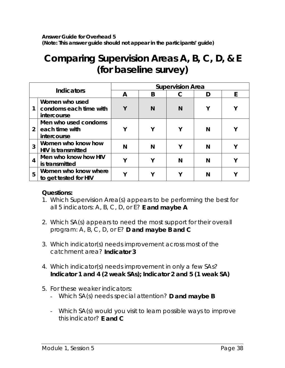*Answer Guide for Overhead 5 (Note: This answer guide should not appear in the participants' guide)*

## **Comparing Supervision Areas A, B, C, D, & E (for baseline survey)**

| <b>Indicators</b> |                                                         | <b>Supervision Area</b> |   |  |   |   |
|-------------------|---------------------------------------------------------|-------------------------|---|--|---|---|
|                   |                                                         | А                       | B |  |   | F |
|                   | Women who used<br>condoms each time with<br>intercourse | γ                       | N |  | ν |   |
| $2^{\circ}$       | Men who used condoms<br>each time with<br>intercourse   | $\mathbf v$             |   |  | N |   |
| 3                 | Women who know how<br><b>HIV</b> is transmitted         | N                       |   |  | N |   |
| $\overline{4}$    | Men who know how HIV<br>is transmitted                  | v                       |   |  | N |   |
| 5                 | Women who know where<br>to get tested for HIV           | v                       |   |  | N |   |

#### **Questions:**

- 1. Which Supervision Area(s) appears to be performing the best for all 5 indicators: A, B, C, D, or E? **E and maybe A**
- 2. Which SA(s) appears to need the most support for their overall program: A, B, C, D, or E? **D and maybe B and C**
- 3. Which indicator(s) needs improvement across most of the catchment area? **Indicator 3**
- 4. Which indicator(s) needs improvement in only a few SAs? **Indicator 1 and 4 (2 weak SAs); Indicator 2 and 5 (1 weak SA)**
- 5. For these weaker indicators:
	- Which SA(s) needs special attention? **D and maybe B**
	- Which SA(s) would you visit to learn possible ways to improve this indicator? **E and C**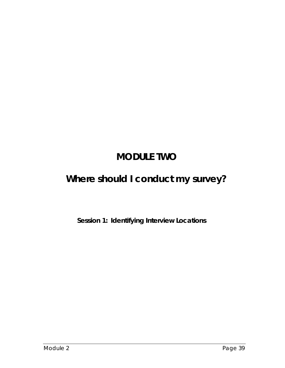# **MODULE TWO**

# **Where should I conduct my survey?**

**Session 1: Identifying Interview Locations**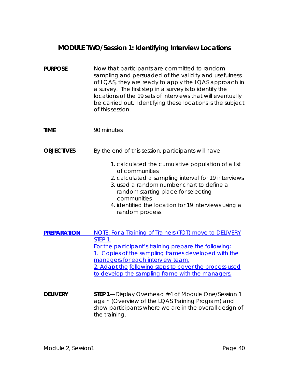### **MODULE TWO/Session 1: Identifying Interview Locations**

| <b>PURPOSE</b>     | Now that participants are committed to random<br>sampling and persuaded of the validity and usefulness<br>of LQAS, they are ready to apply the LQAS approach in<br>a survey. The first step in a survey is to identify the<br>locations of the 19 sets of interviews that will eventually<br>be carried out. Identifying these locations is the subject<br>of this session. |
|--------------------|-----------------------------------------------------------------------------------------------------------------------------------------------------------------------------------------------------------------------------------------------------------------------------------------------------------------------------------------------------------------------------|
| <b>TIME</b>        | 90 minutes                                                                                                                                                                                                                                                                                                                                                                  |
| <b>OBJECTIVES</b>  | By the end of this session, participants will have:                                                                                                                                                                                                                                                                                                                         |
|                    | 1. calculated the cumulative population of a list<br>of communities<br>2. calculated a sampling interval for 19 interviews<br>3. used a random number chart to define a<br>random starting place for selecting<br>communities<br>4. identified the location for 19 interviews using a<br>random process                                                                     |
| <b>PREPARATION</b> | NOTE: For a Training of Trainers (TOT) move to DELIVERY<br>STEP 1.<br>For the participant's training prepare the following:<br>1. Copies of the sampling frames developed with the<br>managers for each interview team.<br>2. Adapt the following steps to cover the process used<br>to develop the sampling frame with the managers.                                       |
| <b>DELIVERY</b>    | STEP 1-Display Overhead #4 of Module One/Session 1<br>again (Overview of the LQAS Training Program) and<br>show participants where we are in the overall design of<br>the training.                                                                                                                                                                                         |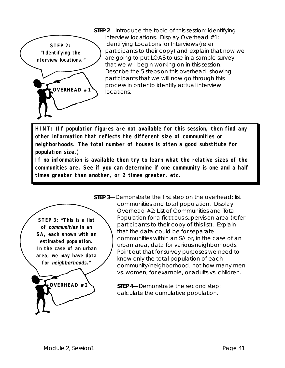

**STEP 2**—Introduce the topic of this session: identifying interview locations. Display Overhead #1: Identifying Locations for Interviews (refer participants to their copy) and explain that now we are going to put LQAS to use in a sample survey that we will begin working on in this session. Describe the 5 steps on this overhead, showing participants that we will now go through this process in order to identify actual interview locations.

**HINT: (If population figures are not available for this session, then find any other information that reflects the different size of communities or neighborhoods. The total number of houses is often a good substitute for population size.)**

**If no information is available then try to learn what the relative sizes of the communities are. See if you can determine if one community is one and a half times greater than another, or 2 times greater, etc.**



**STEP 3**—Demonstrate the first step on the overhead: list communities and total population. Display Overhead #2: List of Communities and Total Population for a fictitious supervision area (refer participants to their copy of this list). Explain that the data could be for separate communities within an SA or, in the case of an urban area, data for various neighborhoods. Point out that for survey purposes we need to know only the total population of each community/neighborhood, not how many men vs. women, for example, or adults vs. children.

> **STEP 4**—Demonstrate the second step: calculate the cumulative population.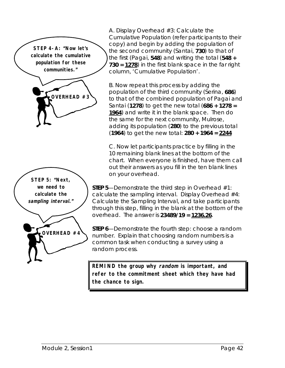**STEP 4-A: "Now let's calculate the cumulative population for these communities."**





A. Display Overhead #3: Calculate the Cumulative Population (refer participants to their copy) and begin by adding the population of the second community (Santai, **730**) to that of the first (Pagai, **548**) and writing the total (**548 + 730 = 1278**) in the first blank space in the far right column, 'Cumulative Population'.

B. Now repeat this process by adding the population of the third community (Serina, **686**) to that of the combined population of Pagai and Santai (**1278**) to get the new total (**686 + 1278 = 1964**) and write it in the blank space. Then do the same for the next community, Mulrose, adding its population (**280**) to the previous total (**1964**) to get the new total: **280 + 1964 = 2244**

C. Now let participants practice by filling in the 10 remaining blank lines at the bottom of the chart. When everyone is finished, have them call out their answers as you fill in the ten blank lines on your overhead.

**STEP 5**—Demonstrate the third step in Overhead #1: calculate the sampling interval. Display Overhead #4: Calculate the Sampling Interval, and take participants through this step, filling in the blank at the bottom of the overhead. The answer is **23489/19 = 1236.26**.

**STEP 6**—Demonstrate the fourth step: choose a random number. Explain that choosing random numbers is a common task when conducting a survey using a random process.

**REMIND the group why random is important, and refer to the commitment sheet which they have had the chance to sign.**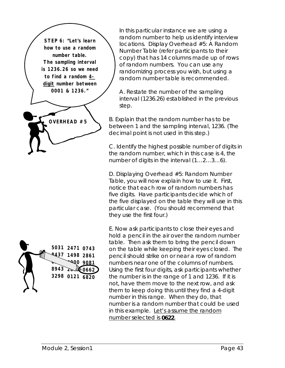**STEP 6: "Let's learn how to use a random number table. The sampling interval is 1236.26 so we need to find a random 4 digit number between 0001 & 1236."**





In this particular instance we are using a random number to help us identify interview locations. Display Overhead #5: A Random Number Table (refer participants to their copy) that has 14 columns made up of rows of random numbers. You can use any randomizing process you wish, but using a random number table is recommended.

A. Restate the number of the sampling interval (1236.26) established in the previous step.

B. Explain that the random number has to be between 1 and the sampling interval, 1236. (The decimal point is not used in this step.)

C. Identify the highest possible number of digits in the random number, which in this case is 4, the number of digits in the interval (1…2…3…6).

D. Displaying Overhead #5: Random Number Table, you will now explain how to use it. First, notice that each row of random numbers has five digits. Have participants decide which of the five displayed on the table they will use in this particular case. (You should recommend that they use the first four.)

E. Now ask participants to close their eyes and hold a pencil in the air over the random number table. Then ask them to bring the pencil down on the table while keeping their eyes closed. The pencil should strike on or near a row of random numbers near one of the columns of numbers. Using the first four digits, ask participants whether the number is in the range of 1 and 1236. If it is not, have them move to the next row, and ask them to keep doing this until they find a 4-digit number in this range. When they do, *that* number is a random number that could be used in this example. Let's assume the random number selected is **0622**.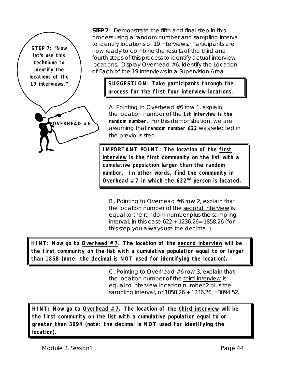**STEP 7: "Now let's use this technique to identify the locations of the**

**OVERHEAD #6**

**STEP 7**—Demonstrate the fifth and final step in this process using a random number and sampling interval to identify locations of 19 interviews. Participants are now ready to combine the results of the third and fourth steps of this process to identify actual interview locations. Display Overhead #6: Identify the Location of Each of the 19 Interviews in a Supervision Area.

**19 interviews." SUGGESTION: Take participants through the process for the first four interview locations.**

> A. Pointing to Overhead #6 row 1, explain: the location number of the **1st interview is the random number**. For this demonstration, we are assuming that **random number 622** was selected in the previous step.

**IMPORTANT POINT: The location of the first interview is the first community on the list with a cumulative population larger than the random number. In other words, find the community in Overhead #7 in which the 622nd person is located.**

B . Pointing to Overhead #6 row 2, explain that the location number of the second interview is equal to the random number plus the sampling interval, in this case 622 + 1236.26= 1858.26 (for this step you always use the decimal.)

**HINT: Now go to Overhead #7. The location of the second interview will be the first community on the list with a cumulative population equal to or larger than 1858 (note: the decimal is NOT used for identifying the location).**

> C. Pointing to Overhead #6 row 3, explain that the location number of the third interview is equal to interview location number 2 plus the sampling interval, or 1858.26 + 1236.26 = 3094.52.

**HINT: Now go to Overhead #7. The location of the third interview will be the first community on the list with a cumulative population equal to or greater than 3094 (note: the decimal is NOT used for identifying the location).**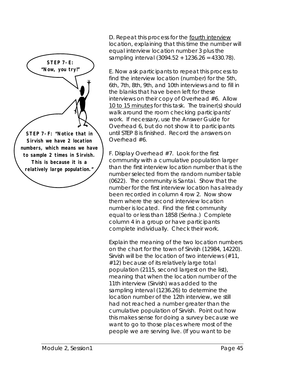

D. Repeat this process for the fourth interview location, explaining that this time the number will equal interview location number 3 plus the sampling interval (3094.52 + 1236.26 = 4330.78).

E. Now ask participants to repeat this process to find the interview location (number) for the 5th, 6th, 7th, 8th, 9th, and 10th interviews and to fill in the blanks that have been left for these interviews on their copy of Overhead #6. Allow 10 to 15 minutes for this task. The trainer(s) should walk around the room checking participants' work. If necessary, use the Answer Guide for Overhead 6, but do not show it to participants until STEP 8 is finished. Record the answers on Overhead #6.

F. Display Overhead #7. Look for the first community with a cumulative population larger than the first interview location number that is the number selected from the random number table (0622). The community is Santai. Show that the number for the first interview location has already been recorded in column 4 row 2. Now show them where the second interview location number is located. Find the first community equal to or less than 1858 (Serina.) Complete column 4 in a group or have participants complete individually. Check their work.

Explain the meaning of the two location numbers on the chart for the town of Sirvish (12984, 14220). Sirvish will be the location of two interviews (#11, #12) because of its relatively large total population (2115, second largest on the list), meaning that when the location number of the 11th interview (Sirvish) was added to the sampling interval (1236.26) to determine the location number of the 12th interview, we still had not reached a number greater than the cumulative population of Sirvish. Point out how this makes sense for doing a survey because we want to go to those places where most of the people we are serving live. (If you want to be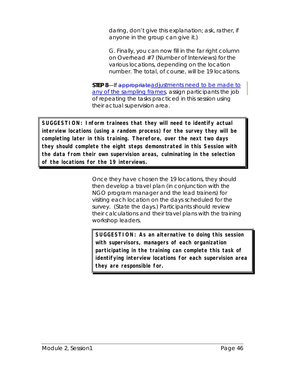daring, don't give this explanation; ask, rather, if anyone in the group can give it.)

G. Finally, you can now fill in the far right column on Overhead #7 (Number of Interviews) for the various locations, depending on the location number. The total, of course, will be 19 locations.

**STEP 8**—If appropriateadjustments need to be made to any of the sampling frames, assign participants the job of repeating the tasks practiced in this session using their actual supervision area.

**SUGGESTION: Inform trainees that they will need to identify actual interview locations (using a random process) for the survey they will be completing later in this training. Therefore, over the next two days they should complete the eight steps demonstrated in this Session with the data from their own supervision areas, culminating in the selection of the locations for the 19 interviews.**

> Once they have chosen the 19 locations, they should then develop a travel plan (in conjunction with the NGO program manager and the lead trainers) for visiting each location on the days scheduled for the survey. (State the days.) Participants should review their calculations and their travel plans with the training workshop leaders.

**SUGGESTION: As an alternative to doing this session with supervisors, managers of each organization participating in the training can complete this task of identifying interview locations for each supervision area they are responsible for.**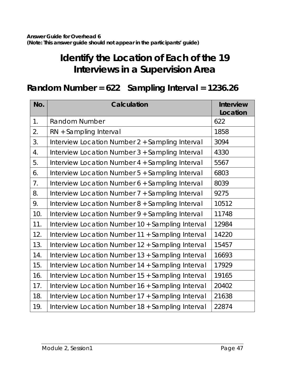# **Identify the Location of Each of the 19 Interviews in a Supervision Area**

## **Random Number = 622 Sampling Interval = 1236.26**

| No. | Calculation                                      | <b>Interview</b><br>Location |
|-----|--------------------------------------------------|------------------------------|
| 1.  | <b>Random Number</b>                             | 622                          |
| 2.  | RN + Sampling Interval                           | 1858                         |
| 3.  | Interview Location Number 2 + Sampling Interval  | 3094                         |
| 4.  | Interview Location Number 3 + Sampling Interval  | 4330                         |
| 5.  | Interview Location Number 4 + Sampling Interval  | 5567                         |
| 6.  | Interview Location Number 5 + Sampling Interval  | 6803                         |
| 7.  | Interview Location Number 6 + Sampling Interval  | 8039                         |
| 8.  | Interview Location Number 7 + Sampling Interval  | 9275                         |
| 9.  | Interview Location Number 8 + Sampling Interval  | 10512                        |
| 10. | Interview Location Number 9 + Sampling Interval  | 11748                        |
| 11. | Interview Location Number 10 + Sampling Interval | 12984                        |
| 12. | Interview Location Number 11 + Sampling Interval | 14220                        |
| 13. | Interview Location Number 12 + Sampling Interval | 15457                        |
| 14. | Interview Location Number 13 + Sampling Interval | 16693                        |
| 15. | Interview Location Number 14 + Sampling Interval | 17929                        |
| 16. | Interview Location Number 15 + Sampling Interval | 19165                        |
| 17. | Interview Location Number 16 + Sampling Interval | 20402                        |
| 18. | Interview Location Number 17 + Sampling Interval | 21638                        |
| 19. | Interview Location Number 18 + Sampling Interval | 22874                        |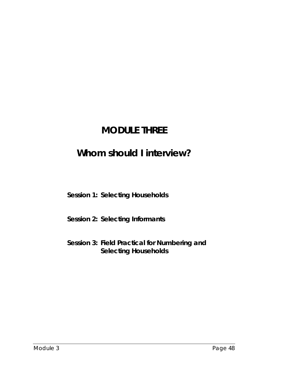## **MODULE THREE**

## **Whom should I interview?**

**Session 1: Selecting Households**

**Session 2: Selecting Informants**

**Session 3: Field Practical for Numbering and Selecting Households**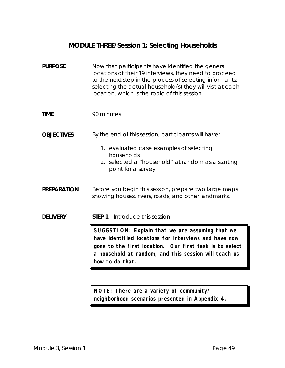### **MODULE THREE/Session 1: Selecting Households**

| <b>PURPOSE</b>     | Now that participants have identified the general<br>locations of their 19 interviews, they need to proceed<br>to the next step in the process of selecting informants:<br>selecting the actual household(s) they will visit at each<br>location, which is the topic of this session. |
|--------------------|---------------------------------------------------------------------------------------------------------------------------------------------------------------------------------------------------------------------------------------------------------------------------------------|
| <b>TIME</b>        | 90 minutes                                                                                                                                                                                                                                                                            |
| <b>OBJECTIVES</b>  | By the end of this session, participants will have:                                                                                                                                                                                                                                   |
|                    | 1. evaluated case examples of selecting<br>households<br>2. selected a "household" at random as a starting<br>point for a survey                                                                                                                                                      |
| <b>PREPARATION</b> | Before you begin this session, prepare two large maps<br>showing houses, rivers, roads, and other landmarks.                                                                                                                                                                          |
| <b>DELIVERY</b>    | <b>STEP 1</b> —Introduce this session.                                                                                                                                                                                                                                                |
|                    | SUGGSTION: Explain that we are assuming that we<br>have identified locations for interviews and have now<br>gone to the first location. Our first task is to select<br>a household at random, and this session will teach us<br>how to do that.                                       |

**NOTE: There are a variety of community/ neighborhood scenarios presented in Appendix 4.**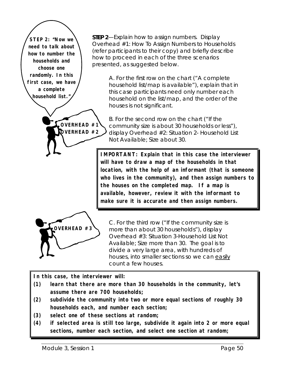**STEP 2: "Now we need to talk about how to number the households and choose one randomly. In this first case, we have a complete household list."**

**STEP 2**—Explain how to assign numbers. Display Overhead #1: How To Assign Numbers to Households (refer participants to their copy) and briefly describe how to proceed in each of the three scenarios presented, as suggested below.

> A. For the first row on the chart ("A complete household list/map is available"), explain that in this case participants need only number each household on the list/map, and the order of the houses is not significant.

B. For the second row on the chart ("If the community size is about 30 households or less"), display Overhead #2: Situation 2- Household List Not Available; Size about 30.

**IMPORTANT: Explain that in this case the interviewer will have to draw a map of the households in that location, with the help of an informant (that is someone who lives in the community), and then assign numbers to the houses on the completed map. If a map is available, however, review it with the informant to make sure it is accurate and then assign numbers.**



C. For the third row ("If the community size is more than about 30 households"), display Overhead #3: Situation 3-Household List Not Available; Size more than 30. The goal is to divide a very large area, with hundreds of houses, into smaller sections so we can easily count a few houses.

**In this case, the interviewer will:**

**OVERHEAD #1 OVERHEAD #2**

- **(1) learn that there are more than 30 households in the community, let's assume there are 700 households;**
- **(2) subdivide the community into two or more equal sections of roughly 30 households each, and number each section;**
- **(3) select one of these sections at random;**
- **(4) if selected area is still too large, subdivide it again into 2 or more equal sections, number each section, and select one section at random;**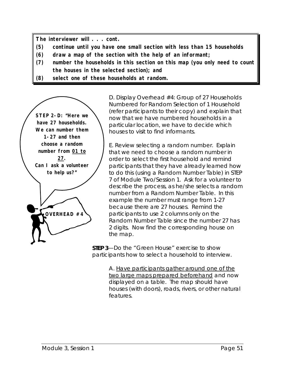**The interviewer will . . . cont.**

- **(5) continue until you have one small section with less than 15 households**
- **(6) draw a map of the section with the help of an informant;**
- **(7) number the households in this section on this map (you only need to count the houses in the selected section); and**
- **(8) select one of these households at random.**

**OVERHEAD #4 STEP 2-D: "Here we have 27 households. We can number them 1-27 and then choose a random number from 01 to 27. Can I ask a volunteer to help us?"**

D. Display Overhead #4: Group of 27 Households Numbered for Random Selection of 1 Household (refer participants to their copy) and explain that now that we have numbered households in a particular location, we have to decide which houses to visit to find informants.

E. Review selecting a random number. Explain that we need to choose a random number in order to select the first household and remind participants that they have already learned how to do this (using a Random Number Table) in STEP 7 of Module Two/Session 1. Ask for a volunteer to describe the process, as he/she selects a random number from a Random Number Table. In this example the number must range from 1-27 because there are 27 houses. Remind the participants to use 2 columns only on the Random Number Table since the number 27 has 2 digits. Now find the corresponding house on the map.

**STEP 3**—Do the "Green House" exercise to show participants how to select a household to interview.

> A. Have participants gather around one of the two large maps prepared beforehand and now displayed on a table. The map should have houses (with doors), roads, rivers, or other natural features.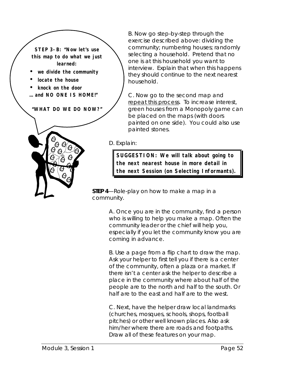**STEP 3-B: "Now let's use this map to do what we just learned:**

- **we divide the community**
- **locate the house**
- **knock on the door**
- **… and NO ONE IS HOME!"**

**"WHAT DO WE DO NOW?"**



B. Now go step-by-step through the exercise described above: dividing the community; numbering houses; randomly selecting a household. Pretend that no one is at this household you want to interview. Explain that when this happens they should continue to the next nearest household.

C. Now go to the second map and repeat this process. To increase interest, green houses from a Monopoly game can be placed on the maps (with doors painted on one side). You could also use painted stones.

D. Explain:

**SUGGESTION: We will talk about going to the next nearest house in more detail in the next Session (on Selecting Informants).**

**STEP 4**—Role-play on how to make a map in a community.

> A. Once you are in the community, find a person who is willing to help you make a map. Often the community leader or the chief will help you, especially if you let the community know you are coming in advance.

B. Use a page from a flip chart to draw the map. Ask your helper to first tell you if there is a center of the community, often a plaza or a market. If there isn't a center ask the helper to describe a place in the community where about half of the people are to the north and half to the south. Or half are to the east and half are to the west.

C. Next, have the helper draw local landmarks (churches, mosques, schools, shops, football pitches) or other well known places. Also ask him/her where there are roads and footpaths. Draw all of these features on your map.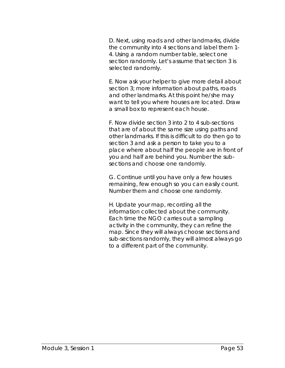D. Next, using roads and other landmarks, divide the community into 4 sections and label them 1- 4. Using a random number table, select one section randomly. Let's assume that section 3 is selected randomly.

E. Now ask your helper to give more detail about section 3; more information about paths, roads and other landmarks. At this point he/she may want to tell you where houses are located. Draw a small box to represent each house.

F. Now divide section 3 into 2 to 4 sub-sections that are of about the same size using paths and other landmarks. If this is difficult to do then go to section 3 and ask a person to take you to a place where about half the people are in front of you and half are behind you. Number the subsections and choose one randomly.

G. Continue until you have only a few houses remaining, few enough so you can easily count. Number them and choose one randomly.

H. Update your map, recording all the information collected about the community. Each time the NGO carries out a sampling activity in the community, they can refine the map. Since they will always choose sections and sub-sections randomly, they will almost always go to a different part of the community.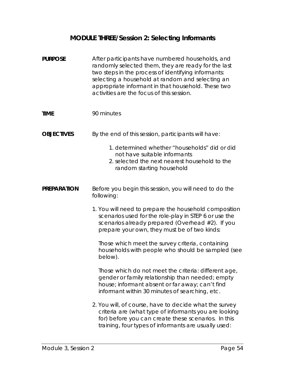### **MODULE THREE/Session 2: Selecting Informants**

| <b>PURPOSE</b>     | After participants have numbered households, and<br>randomly selected them, they are ready for the last<br>two steps in the process of identifying informants:<br>selecting a household at random and selecting an<br>appropriate informant in that household. These two<br>activities are the focus of this session. |
|--------------------|-----------------------------------------------------------------------------------------------------------------------------------------------------------------------------------------------------------------------------------------------------------------------------------------------------------------------|
| <b>TIME</b>        | 90 minutes                                                                                                                                                                                                                                                                                                            |
| <b>OBJECTIVES</b>  | By the end of this session, participants will have:                                                                                                                                                                                                                                                                   |
|                    | 1. determined whether "households" did or did<br>not have suitable informants<br>2. selected the next nearest household to the<br>random starting household                                                                                                                                                           |
| <b>PREPARATION</b> | Before you begin this session, you will need to do the<br>following:                                                                                                                                                                                                                                                  |
|                    | 1. You will need to prepare the household composition<br>scenarios used for the role-play in STEP 6 or use the<br>scenarios already prepared (Overhead #2). If you<br>prepare your own, they must be of two kinds:                                                                                                    |
|                    | Those which meet the survey criteria, containing<br>households with people who should be sampled (see<br>below).                                                                                                                                                                                                      |
|                    | Those which <i>do not meet</i> the criteria: different age,<br>gender or family relationship than needed; empty<br>house; informant absent or far away; can't find<br>informant within 30 minutes of searching, etc.                                                                                                  |
|                    | 2. You will, of course, have to decide what the survey<br>criteria are (what type of informants you are looking<br>for) before you can create these scenarios. In this<br>training, four types of informants are usually used:                                                                                        |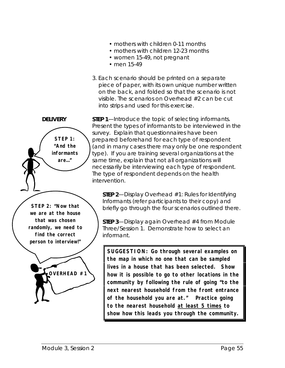- mothers with children 0-11 months
- mothers with children 12-23 months
- women 15-49, not pregnant
- men 15-49
- 3. Each scenario should be printed on a separate piece of paper, with its own unique number written on the back, and folded so that the scenario is not visible. The scenarios on Overhead #2 can be cut into strips and used for this exercise.



**DELIVERY** STEP 1—Introduce the topic of selecting informants. Present the types of informants to be interviewed in the survey. Explain that questionnaires have been prepared beforehand for each type of respondent (and in many cases there may only be one respondent type). If you are training several organizations at the same time, explain that not all organizations will necessarily be interviewing each type of respondent. The type of respondent depends on the health intervention.

> **STEP 2**—Display Overhead #1: Rules for Identifying Informants (refer participants to their copy) and briefly go through the four scenarios outlined there.

**STEP 3**—Display again Overhead #4 from Module Three/Session 1. Demonstrate how to select an informant.

**SUGGESTION: Go through several examples on the map in which no one that can be sampled lives in a house that has been selected. Show how it is possible to go to other locations in the community by following the rule of going "to the next nearest household from the front entrance of the household you are at." Practice going to the nearest household at least 5 times to show how this leads you through the community.**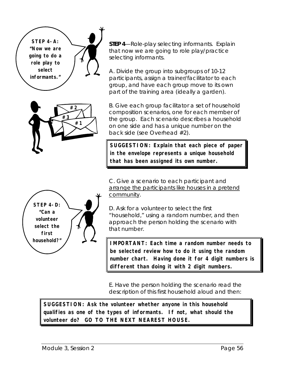**STEP 4-A: "Now we are going to do a role play to select informants."**



**STEP 4**—Role-play selecting informants. Explain that now we are going to role play/practice selecting informants.

A. Divide the group into subgroups of 10-12 participants, assign a trainer/facilitator to each group, and have each group move to its own part of the training area (ideally a garden).

B. Give each group facilitator a set of household composition scenarios, one for each member of the group. Each scenario describes a household on one side and has a unique number on the back side (see Overhead #2).

**SUGGESTION: Explain that each piece of paper in the envelope represents a unique household that has been assigned its own number.**

C. Give a scenario to each participant and arrange the participants like houses in a pretend community.

D. Ask for a volunteer to select the first "household," using a random number, and then approach the person holding the scenario with that number.

**IMPORTANT: Each time a random number needs to be selected review how to do it using the random number chart. Having done it for 4 digit numbers is different than doing it with 2 digit numbers.**

E. Have the person holding the scenario read the description of this first household aloud and then:

**SUGGESTION: Ask the volunteer whether anyone in this household qualifies as one of the types of informants. If not, what should the volunteer do? GO TO THE NEXT NEAREST HOUSE.**

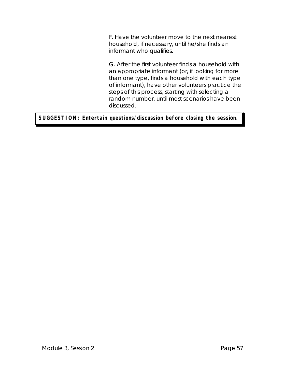F. Have the volunteer move to the next nearest household, if necessary, until he/she finds an informant who qualifies.

G. After the first volunteer finds a household with an appropriate informant (or, if looking for more than one type, finds a household with each type of informant), have other volunteers practice the steps of this process, starting with selecting a random number, until most scenarios have been discussed.

#### **SUGGESTION: Entertain questions/discussion before closing the session.**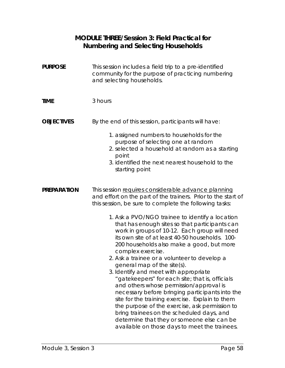#### **MODULE THREE/Session 3: Field Practical for Numbering and Selecting Households**

| <b>PURPOSE</b>     | This session includes a field trip to a pre-identified<br>community for the purpose of practicing numbering<br>and selecting households.                                                                                                                                                                                                                                                                                                                                                                                                                                                                                                                                                                                                                                                                                                                                                                                                                                            |
|--------------------|-------------------------------------------------------------------------------------------------------------------------------------------------------------------------------------------------------------------------------------------------------------------------------------------------------------------------------------------------------------------------------------------------------------------------------------------------------------------------------------------------------------------------------------------------------------------------------------------------------------------------------------------------------------------------------------------------------------------------------------------------------------------------------------------------------------------------------------------------------------------------------------------------------------------------------------------------------------------------------------|
| <b>TIME</b>        | 3 hours                                                                                                                                                                                                                                                                                                                                                                                                                                                                                                                                                                                                                                                                                                                                                                                                                                                                                                                                                                             |
| <b>OBJECTIVES</b>  | By the end of this session, participants will have:<br>1. assigned numbers to households for the<br>purpose of selecting one at random<br>2. selected a household at random as a starting<br>point<br>3. identified the next nearest household to the<br>starting point                                                                                                                                                                                                                                                                                                                                                                                                                                                                                                                                                                                                                                                                                                             |
| <b>PREPARATION</b> | This session requires considerable advance planning<br>and effort on the part of the trainers. Prior to the start of<br>this session, be sure to complete the following tasks:<br>1. Ask a PVO/NGO trainee to identify a location<br>that has enough sites so that participants can<br>work in groups of 10-12. Each group will need<br>its own site of at least 40-50 households. 100-<br>200 households also make a good, but more<br>complex exercise.<br>2. Ask a trainee or a volunteer to develop a<br>general map of the site(s).<br>3. Identify and meet with appropriate<br>"gatekeepers" for each site; that is, officials<br>and others whose permission/approval is<br>necessary before bringing participants into the<br>site for the training exercise. Explain to them<br>the purpose of the exercise, ask permission to<br>bring trainees on the scheduled days, and<br>determine that they or someone else can be<br>available on those days to meet the trainees. |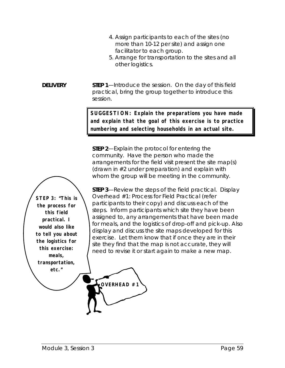- 4. Assign participants to each of the sites (no more than 10-12 per site) and assign one facilitator to each group.
- 5. Arrange for transportation to the sites and all other logistics.

**DELIVERY** STEP 1—Introduce the session. On the day of this field practical, bring the group together to introduce this session.

**OVERHEAD #1**

**SUGGESTION: Explain the preparations you have made and explain that the goal of this exercise is to practice numbering and selecting households in an actual site.**

**STEP 2**—Explain the protocol for entering the community. Have the person who made the arrangements for the field visit present the site map(s) (drawn in #2 under preparation) and explain with whom the group will be meeting in the community.

**STEP 3**—Review the steps of the field practical. Display Overhead #1: Process for Field Practical (refer participants to their copy) and discuss each of the steps. Inform participants which site they have been assigned to, any arrangements that have been made for meals, and the logistics of drop-off and pick-up. Also display and discuss the site maps developed for this exercise. Let them know that if once they are in their site they find that the map is not accurate, they will need to revise it or start again to make a new map.

**STEP 3: "This is the process for this field practical. I would also like to tell you about the logistics for this exercise: meals, transportation, etc."**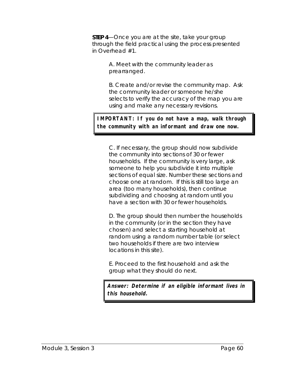**STEP 4**—Once you are at the site, take your group through the field practical using the process presented in Overhead #1.

> A. Meet with the community leader as prearranged.

B. Create and/or revise the community map. Ask the community leader or someone he/she selects to verify the accuracy of the map you are using and make any necessary revisions.

**IMPORTANT: If you do not have a map, walk through the community with an informant and draw one now.**

C. If necessary, the group should now subdivide the community into sections of 30 or fewer households. If the community is very large, ask someone to help you subdivide it into multiple sections of equal size. Number these sections and choose one at random. If this is still too large an area (too many households), then continue subdividing and choosing at random until you have a section with 30 or fewer households.

D. The group should then number the households in the community (or in the section they have chosen) and select a starting household at random using a random number table (or select two households if there are two interview locations in this site).

E. Proceed to the first household and ask the group what they should do next.

**Answer: Determine if an eligible informant lives in this household.**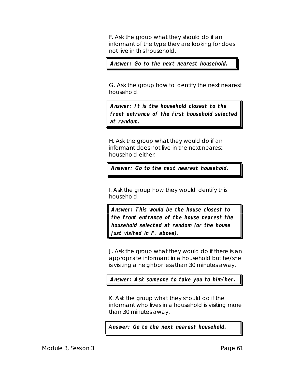F. Ask the group what they should do if an informant of the type they are looking for does not live in this household.

**Answer: Go to the next nearest household.**

G. Ask the group how to identify the next nearest household.

**Answer: It is the household closest to the front entrance of the first household selected at random.**

H. Ask the group what they would do if an informant does not live in the next nearest household either.

**Answer: Go to the next nearest household.**

I. Ask the group how they would identify this household.

**Answer: This would be the house closest to the front entrance of the house nearest the household selected at random (or the house just visited in F. above).**

J. Ask the group what they would do if there is an appropriate informant in a household but he/she is visiting a neighbor less than 30 minutes away.

**Answer: Ask someone to take you to him/her.**

K. Ask the group what they should do if the informant who lives in a household is visiting more than 30 minutes away.

**Answer: Go to the next nearest household.**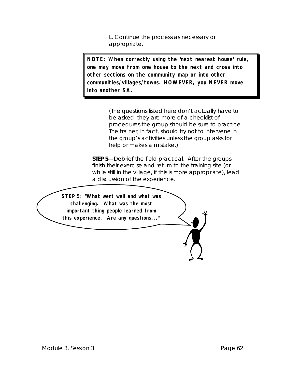L. Continue the process as necessary or appropriate.

**NOTE: When correctly using the 'next nearest house' rule, one may move from one house to the next and cross into other sections on the community map or into other communities/villages/towns. HOWEVER, you NEVER move into another SA.**

> (The questions listed here don't actually have to be *asked*; they are more of a checklist of procedures the group should be sure to practice. The trainer, in fact, should try not to intervene in the group's activities unless the group asks for help or makes a mistake.)

**STEP 5**—Debrief the field practical. After the groups finish their exercise and return to the training site (or while still in the village, if this is more appropriate), lead a discussion of the experience.

**STEP 5: "What went well and what was challenging. What was the most important thing people learned from this experience. Are any questions..."**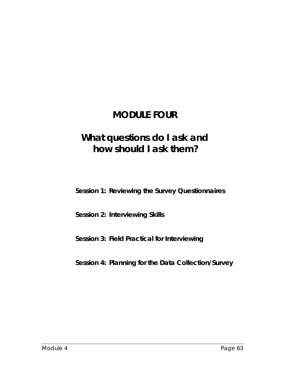# **MODULE FOUR**

# **What questions do I ask and how should I ask them?**

**Session 1: Reviewing the Survey Questionnaires**

**Session 2: Interviewing Skills**

**Session 3: Field Practical for Interviewing**

**Session 4: Planning for the Data Collection/Survey**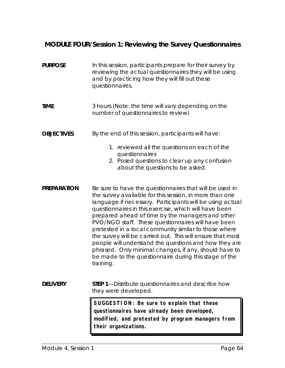# **MODULE FOUR/Session 1: Reviewing the Survey Questionnaires**

| <b>PURPOSE</b>     | In this session, participants prepare for their survey by<br>reviewing the actual questionnaires they will be using<br>and by practicing how they will fill out these<br>questionnaires.                                                                                                                                                                                                                                                                                                                                                                                                                                                                         |
|--------------------|------------------------------------------------------------------------------------------------------------------------------------------------------------------------------------------------------------------------------------------------------------------------------------------------------------------------------------------------------------------------------------------------------------------------------------------------------------------------------------------------------------------------------------------------------------------------------------------------------------------------------------------------------------------|
| <b>TIME</b>        | 3 hours (Note: the time will vary depending on the<br>number of questionnaires to review)                                                                                                                                                                                                                                                                                                                                                                                                                                                                                                                                                                        |
| <b>OBJECTIVES</b>  | By the end of this session, participants will have:<br>1. reviewed all the questions on each of the<br>questionnaires<br>2. Posed questions to clear up any confusion<br>about the questions to be asked.                                                                                                                                                                                                                                                                                                                                                                                                                                                        |
| <b>PREPARATION</b> | Be sure to have the questionnaires that will be used in<br>the survey available for this session, in more than one<br>language if necessary. Participants will be using actual<br>questionnaires in this exercise, which will have been<br>prepared ahead of time by the managers and other<br>PVO/NGO staff. These questionnaires will have been<br>pretested in a local community similar to those where<br>the survey will be carried out. This will ensure that most<br>people will understand the questions and how they are<br>phrased. Only minimal changes, if any, should have to<br>be made to the questionnaire during this stage of the<br>training. |
| <b>DELIVERY</b>    | <b>STEP 1—Distribute questionnaires and describe how</b><br>they were developed.                                                                                                                                                                                                                                                                                                                                                                                                                                                                                                                                                                                 |
|                    | SUGGESTION: Be sure to explain that these<br>questionnaires have already been developed,<br>modified, and pretested by program managers from<br>their organizations.                                                                                                                                                                                                                                                                                                                                                                                                                                                                                             |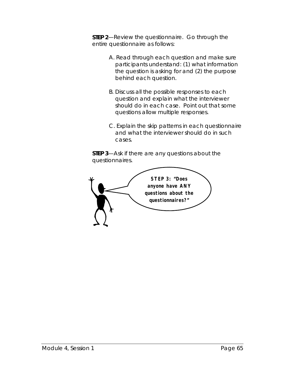**STEP 2**—Review the questionnaire. Go through the entire questionnaire as follows:

- A. Read through each question and make sure participants understand: (1) what information the question is asking for and (2) the purpose behind each question.
- B. Discuss all the possible responses to each question and explain what the interviewer should do in each case. Point out that some questions allow multiple responses.
- C. Explain the skip patterns in each questionnaire and what the interviewer should do in such cases.

**STEP 3**—Ask if there are any questions about the questionnaires.

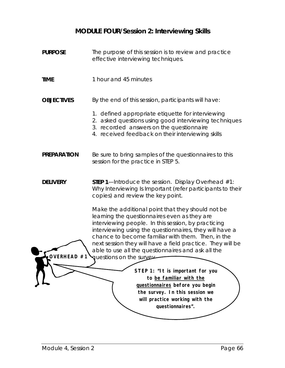#### **MODULE FOUR/Session 2: Interviewing Skills**

**PURPOSE** The purpose of this session is to review and practice effective interviewing techniques. **TIME** 1 hour and 45 minutes **OBJECTIVES** By the end of this session, participants will have: 1. defined appropriate etiquette for interviewing 2. asked questions using good interviewing techniques 3. recorded answers on the questionnaire 4. received feedback on their interviewing skills **PREPARATION** Be sure to bring samples of the questionnaires to this session for the practice in STEP 5. **DELIVERY** STEP 1—Introduce the session. Display Overhead #1: Why Interviewing Is Important (refer participants to their copies) and review the key point. Make the additional point that they should not be learning the questionnaires even as they are interviewing people. In this session, by practicing interviewing using the questionnaires, they will have a chance to become familiar with them. Then, in the next session they will have a field practice. They will be able to use all the questionnaires and ask all the **OVERHEAD #1** questions on the survey. **STEP 1: "It is important for you to be familiar with the questionnaires before you begin the survey. In this session we will practice working with the questionnaires".**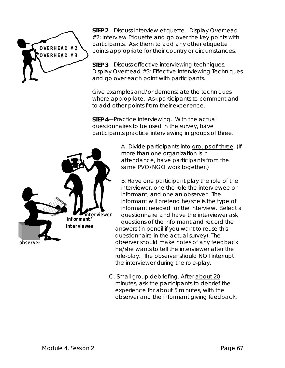

**STEP 2**—Discuss interview etiquette. Display Overhead #2: Interview Etiquette and go over the key points with participants. Ask them to add any other etiquette points appropriate for their country or circumstances.

**STEP 3**—Discuss effective interviewing techniques. Display Overhead #3: Effective Interviewing Techniques and go over each point with participants.

Give examples and/or demonstrate the techniques where appropriate. Ask participants to comment and to add other points from their experience.

**STEP 4**—Practice interviewing. With the actual questionnaires to be used in the survey, have participants practice interviewing in groups of three.



A. Divide participants into groups of three. (If more than one organization is in attendance, have participants from the same PVO/NGO work together.)

B. Have one participant play the role of the interviewer, one the role the interviewee or informant, and one an observer. The informant will pretend he/she is the type of informant needed for the interview. Select a questionnaire and have the interviewer ask questions of the informant and record the answers (in pencil if you want to reuse this questionnaire in the actual survey). The observer should make notes of any feedback he/she wants to tell the interviewer after the role-play. The observer should NOT interrupt the interviewer during the role-play.

C. Small group debriefing. After about 20 minutes, ask the participants to debrief the experience for about 5 minutes, with the observer and the informant giving feedback.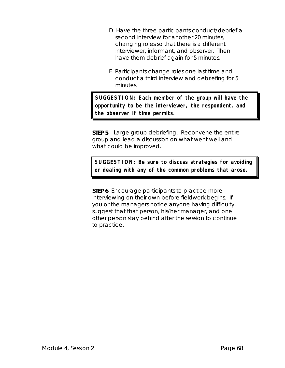- D. Have the three participants conduct/debrief a second interview for another 20 minutes, changing roles so that there is a different interviewer, informant, and observer. Then have them debrief again for 5 minutes.
- E. Participants change roles one last time and conduct a third interview and debriefing for 5 minutes.

**SUGGESTION: Each member of the group will have the opportunity to be the interviewer, the respondent, and the observer if time permits.**

**STEP 5**—Large group debriefing. Reconvene the entire group and lead a discussion on what went well and what could be improved.

**SUGGESTION: Be sure to discuss strategies for avoiding or dealing with any of the common problems that arose.**

**STEP 6**: Encourage participants to practice more interviewing on their own before fieldwork begins. If you or the managers notice anyone having difficulty, suggest that that person, his/her manager, and one other person stay behind after the session to continue to practice.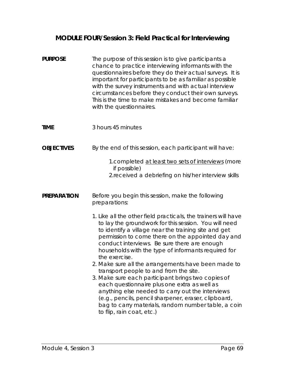## **MODULE FOUR/Session 3: Field Practical for Interviewing**

| <b>PURPOSE</b>     | The purpose of this session is to give participants a<br>chance to practice interviewing informants with the<br>questionnaires before they do their actual surveys. It is<br>important for participants to be as familiar as possible<br>with the survey instruments and with actual interview<br>circumstances before they conduct their own surveys.<br>This is the time to make mistakes and become familiar<br>with the questionnaires.                                                                                                                                                                                                                                                                                                                         |
|--------------------|---------------------------------------------------------------------------------------------------------------------------------------------------------------------------------------------------------------------------------------------------------------------------------------------------------------------------------------------------------------------------------------------------------------------------------------------------------------------------------------------------------------------------------------------------------------------------------------------------------------------------------------------------------------------------------------------------------------------------------------------------------------------|
| <b>TIME</b>        | 3 hours 45 minutes                                                                                                                                                                                                                                                                                                                                                                                                                                                                                                                                                                                                                                                                                                                                                  |
| <b>OBJECTIVES</b>  | By the end of this session, each participant will have:                                                                                                                                                                                                                                                                                                                                                                                                                                                                                                                                                                                                                                                                                                             |
|                    | 1. completed at least two sets of interviews (more<br>if possible)<br>2. received a debriefing on his/her interview skills                                                                                                                                                                                                                                                                                                                                                                                                                                                                                                                                                                                                                                          |
| <b>PREPARATION</b> | Before you begin this session, make the following<br>preparations:                                                                                                                                                                                                                                                                                                                                                                                                                                                                                                                                                                                                                                                                                                  |
|                    | 1. Like all the other field practicals, the trainers will have<br>to lay the groundwork for this session. You will need<br>to identify a village near the training site and get<br>permission to come there on the appointed day and<br>conduct interviews. Be sure there are enough<br>households with the type of informants required for<br>the exercise.<br>2. Make sure all the arrangements have been made to<br>transport people to and from the site.<br>3. Make sure each participant brings two copies of<br>each questionnaire plus one extra as well as<br>anything else needed to carry out the interviews<br>(e.g., pencils, pencil sharpener, eraser, clipboard,<br>bag to carry materials, random number table, a coin<br>to flip, rain coat, etc.) |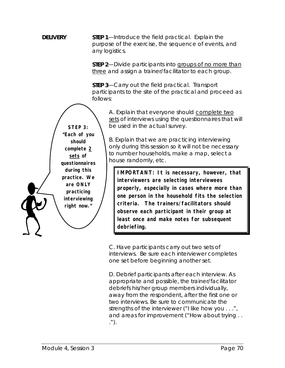**DELIVERY** STEP 1—Introduce the field practical. Explain the purpose of the exercise, the sequence of events, and any logistics.

> **STEP 2**—Divide participants into groups of no more than three and assign a trainer/facilitator to each group.

> **STEP 3**—Carry out the field practical. Transport participants to the site of the practical and proceed as follows:

A. Explain that everyone should complete two sets of interviews using the questionnaires that will be used in the actual survey.

B. Explain that we are practicing interviewing *only* during this session so it will not be necessary to number households, make a map, select a house randomly, etc.

**IMPORTANT: It is necessary, however, that interviewers are selecting interviewees properly, especially in cases where more than one person in the household fits the selection criteria. The trainers/facilitators should observe each participant in their group at least once and make notes for subsequent debriefing.**

C. Have participants carry out two sets of interviews. Be sure each interviewer completes one set before beginning another set.

D. Debrief participants after each interview. As appropriate and possible, the trainer/facilitator debriefs his/her group members individually, away from the respondent, after the first one or two interviews. Be sure to communicate the strengths of the interviewer ("I like how you . . .", and areas for improvement ("How about trying . . .").

**STEP 3: "Each of you should complete 2 sets of questionnaires during this practice. We are ONLY practicing interviewing right now."**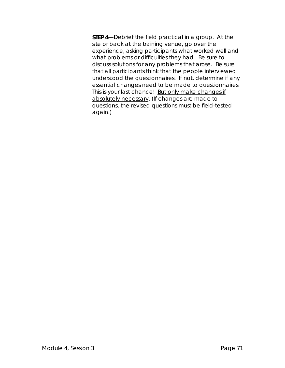**STEP 4**—Debrief the field practical in a group. At the site or back at the training venue, go over the experience, asking participants what worked well and what problems or difficulties they had. Be sure to discuss solutions for any problems that arose. Be sure that all participants think that the people interviewed understood the questionnaires. If not, determine if any essential changes need to be made to questionnaires. This is your last chance! But only make changes if absolutely necessary. (If changes are made to questions, the revised questions must be field-tested again.)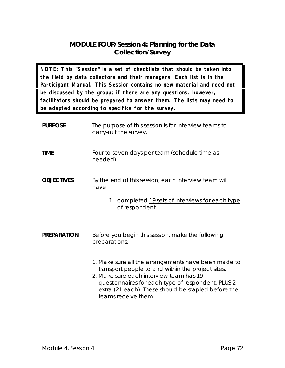### **MODULE FOUR/Session 4: Planning for the Data Collection/Survey**

**NOTE: This "Session" is a set of checklists that should be taken into the field by data collectors and their managers. Each list is in the Participant Manual. This Session contains no new material and need not be discussed by the group; if there are any questions, however, facilitators should be prepared to answer them. The lists may need to be adapted according to specifics for the survey.**

| <b>PURPOSE</b>     | The purpose of this session is for interview teams to<br>carry-out the survey.                                                                                                                                                                                                          |
|--------------------|-----------------------------------------------------------------------------------------------------------------------------------------------------------------------------------------------------------------------------------------------------------------------------------------|
| <b>TIME</b>        | Four to seven days per team (schedule time as<br>needed)                                                                                                                                                                                                                                |
| <b>OBJECTIVES</b>  | By the end of this session, each interview team will<br>have:                                                                                                                                                                                                                           |
|                    | 1. completed 19 sets of interviews for each type<br>of respondent                                                                                                                                                                                                                       |
| <b>PREPARATION</b> | Before you begin this session, make the following<br>preparations:                                                                                                                                                                                                                      |
|                    | 1. Make sure all the arrangements have been made to<br>transport people to and within the project sites.<br>2. Make sure each interview team has 19<br>questionnaires for each type of respondent, PLUS 2<br>extra (21 each). These should be stapled before the<br>teams receive them. |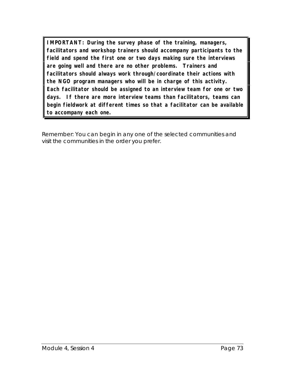**IMPORTANT: During the survey phase of the training, managers, facilitators and workshop trainers should accompany participants to the field and spend the first one or two days making sure the interviews are going well and there are no other problems. Trainers and facilitators should always work through/coordinate their actions with the NGO program managers who will be in charge of this activity. Each facilitator should be assigned to an interview team for one or two days. If there are more interview teams than facilitators, teams can begin fieldwork at different times so that a facilitator can be available to accompany each one.**

Remember: You can begin in any one of the selected communities and visit the communities in the order you prefer.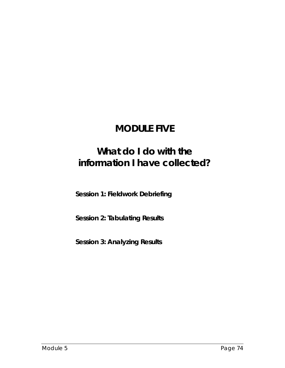# **MODULE FIVE**

# **What do I do with the information I have collected?**

**Session 1: Fieldwork Debriefing**

**Session 2: Tabulating Results**

**Session 3: Analyzing Results**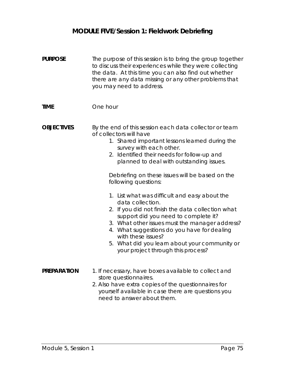## **MODULE FIVE/Session 1: Fieldwork Debriefing**

| <b>PURPOSE</b>     | The purpose of this session is to bring the group together<br>to discuss their experiences while they were collecting<br>the data. At this time you can also find out whether<br>there are any data missing or any other problems that<br>you may need to address.                                                                                                                                                                                                                                                                                                                                                                                                                                                   |
|--------------------|----------------------------------------------------------------------------------------------------------------------------------------------------------------------------------------------------------------------------------------------------------------------------------------------------------------------------------------------------------------------------------------------------------------------------------------------------------------------------------------------------------------------------------------------------------------------------------------------------------------------------------------------------------------------------------------------------------------------|
| <b>TIME</b>        | One hour                                                                                                                                                                                                                                                                                                                                                                                                                                                                                                                                                                                                                                                                                                             |
| <b>OBJECTIVES</b>  | By the end of this session each data collector or team<br>of collectors will have<br>1. Shared important lessons learned during the<br>survey with each other.<br>2. Identified their needs for follow-up and<br>planned to deal with outstanding issues.<br>Debriefing on these issues will be based on the<br>following questions:<br>1. List what was difficult and easy about the<br>data collection.<br>2. If you did not finish the data collection what<br>support did you need to complete it?<br>3. What other issues must the manager address?<br>4. What suggestions do you have for dealing<br>with these issues?<br>5. What did you learn about your community or<br>your project through this process? |
| <b>PREPARATION</b> | 1. If necessary, have boxes available to collect and<br>store questionnaires.<br>2. Also have extra copies of the questionnaires for<br>yourself available in case there are questions you<br>need to answer about them.                                                                                                                                                                                                                                                                                                                                                                                                                                                                                             |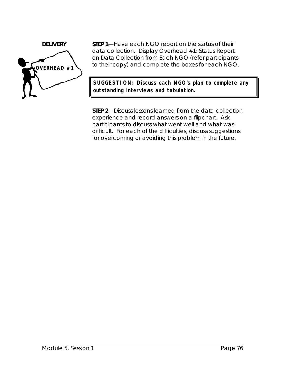

**DELIVERY** STEP 1—Have each NGO report on the status of their data collection. Display Overhead #1: Status Report on Data Collection from Each NGO (refer participants to their copy) and complete the boxes for each NGO.

> **SUGGESTION: Discuss each NGO's plan to complete any outstanding interviews and tabulation.**

**STEP 2**—Discuss lessons learned from the data collection experience and record answers on a flipchart. Ask participants to discuss what went well and what was difficult. For each of the difficulties, discuss suggestions for overcoming or avoiding this problem in the future.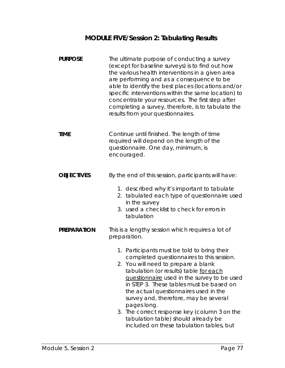## **MODULE FIVE/Session 2: Tabulating Results**

| <b>PURPOSE</b>     | The ultimate purpose of conducting a survey<br>(except for baseline surveys) is to find out how<br>the various health interventions in a given area<br>are performing and as a consequence to be<br>able to identify the best places (locations and/or<br>specific interventions within the same location) to<br>concentrate your resources. The first step after<br>completing a survey, therefore, is to tabulate the<br>results from your questionnaires.                                                                                                                  |  |
|--------------------|-------------------------------------------------------------------------------------------------------------------------------------------------------------------------------------------------------------------------------------------------------------------------------------------------------------------------------------------------------------------------------------------------------------------------------------------------------------------------------------------------------------------------------------------------------------------------------|--|
| <b>TIME</b>        | Continue until finished. The length of time<br>required will depend on the length of the<br>questionnaire. One day, minimum, is<br>encouraged.                                                                                                                                                                                                                                                                                                                                                                                                                                |  |
| <b>OBJECTIVES</b>  | By the end of this session, participants will have:<br>1. described why it's important to tabulate<br>2. tabulated each type of questionnaire used<br>in the survey<br>3. used a checklist to check for errors in<br>tabulation                                                                                                                                                                                                                                                                                                                                               |  |
| <b>PREPARATION</b> | This is a lengthy session which requires a lot of<br>preparation.<br>1. Participants must be told to bring their<br>completed questionnaires to this session.<br>2. You will need to prepare a blank<br>tabulation (or results) table for each<br>questionnaire used in the survey to be used<br>in STEP 3. These tables must be based on<br>the actual questionnaires used in the<br>survey and, therefore, may be several<br>pages long.<br>3. The correct response key (column 3 on the<br>tabulation table) should already be<br>included on these tabulation tables, but |  |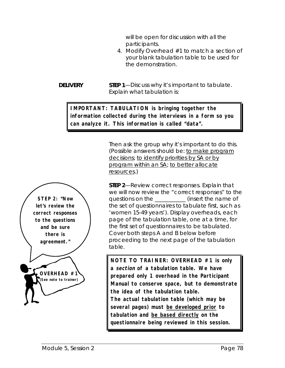will be open for discussion with all the participants.

4. Modify Overhead #1 to match a section of your blank tabulation table to be used for the demonstration.

**DELIVERY** STEP 1-Discuss why it's important to tabulate. Explain what tabulation is:

#### **IMPORTANT: TABULATION is bringing together the information collected during the interviews in a form so you can analyze it. This information is called "data".**

Then ask the group why it's important to do this. (Possible answers should be: to make program decisions; to identify priorities by SA or by program within an SA; to better allocate resources.)



**NOTE TO TRAINER: OVERHEAD #1 is only a section of a tabulation table. We have prepared only 1 overhead in the Participant Manual to conserve space, but to demonstrate the idea of the tabulation table. The actual tabulation table (which may be several pages) must be developed prior to tabulation and be based directly on the questionnaire being reviewed in this session.**

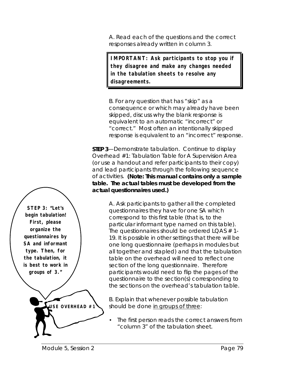A. Read each of the questions and the correct responses already written in column 3.

**IMPORTANT: Ask participants to stop you if they disagree and make any changes needed in the tabulation sheets to resolve any disagreements.**

B. For any question that has "skip" as a consequence or which may already have been skipped, discuss why the blank response is equivalent to an automatic "incorrect" or "correct." Most often an intentionally skipped response is equivalent to an "incorrect" response.

**STEP 3**—Demonstrate tabulation. Continue to display Overhead #1: Tabulation Table for A Supervision Area (or use a handout and refer participants to their copy) and lead participants through the following sequence of activities. **(Note: This manual contains only a sample table. The actual tables must be developed from the actual questionnaires used.)**

> A. Ask participants to gather all the completed questionnaires they have for one SA which correspond to this first table (that is, to the particular informant type named on this table). The questionnaires should be ordered LQAS  $# 1$ -19. It is possible in other settings that there will be one long questionnaire (perhaps in modules but all together and stapled) and that the tabulation table on the overhead will need to reflect one section of the long questionnaire. Therefore participants would need to flip the pages of the questionnaire to the section(s) corresponding to the sections on the overhead's tabulation table.

B. Explain that whenever possible tabulation should be done in groups of three:

The first person reads the correct answers from "column 3" of the tabulation sheet.

**STEP 3: "Let's begin tabulation! First, please organize the questionnaires by SA and informant type. Then, for the tabulation, it is best to work in groups of 3."**

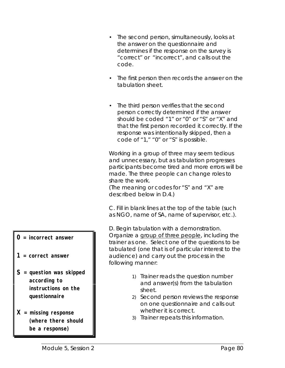- The second person, simultaneously, looks at the answer on the questionnaire and determines if the response on the survey is "correct" or "incorrect", and calls out the code.
- The first person then records the answer on the tabulation sheet.
- The third person verifies that the second person correctly determined if the answer should be coded "1" or "0" or "S" or "X" and that the first person recorded it correctly. If the response was intentionally skipped, then a code of "1," "0" or "S" is possible.

Working in a group of three may seem tedious and unnecessary, but as tabulation progresses participants become tired and more errors will be made. The three people can change roles to share the work.

(The meaning or codes for "S" and "X" are described below in D.4.)

C. Fill in blank lines at the top of the table (such as NGO, name of SA, name of supervisor, etc.).

D. Begin tabulation with a demonstration. Organize a group of three people, including the trainer as one. Select one of the questions to be tabulated (one that is of particular interest to the audience) and carry out the process in the following manner:

- 1) Trainer reads the question number and answer(s) from the tabulation sheet.
- 2) Second person reviews the response on one questionnaire and calls out whether it is correct.
- 3) Trainer repeats this information.
- **0 = incorrect answer**
- **1 = correct answer**
- **S = question was skipped according to instructions on the questionnaire**
- **X = missing response (where there should be a response)**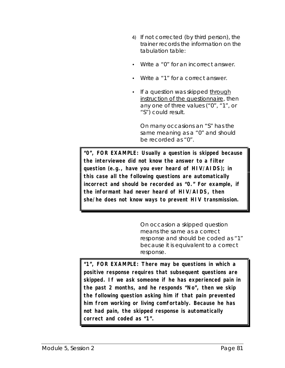- 4) If not corrected (by third person), the trainer records the information on the tabulation table:
- Write a "0" for an incorrect answer.
- Write a "1" for a correct answer.
- If a question was skipped through instruction of the questionnaire, then any one of three values ("0", "1", or "S") could result.

On many occasions an "S" has the same meaning as a "0" and should be recorded as "0".

**"0", FOR EXAMPLE: Usually a question is skipped because the interviewee did not know the answer to a filter question (e.g., have you ever heard of HIV/AIDS); in this case all the following questions are automatically incorrect and should be recorded as "0." For example, if the informant had never heard of HIV/AIDS, then she/he does not know ways to prevent HIV transmission.**

> On occasion a skipped question means the same as a correct response and should be coded as "1" because it is equivalent to a correct response.

**"1", FOR EXAMPLE: There may be questions in which a positive response requires that subsequent questions are skipped. If we ask someone if he has experienced pain in the past 2 months, and he responds "No", then we skip the following question asking him if that pain prevented him from working or living comfortably. Because he has not had pain, the skipped response is automatically correct and coded as "1".**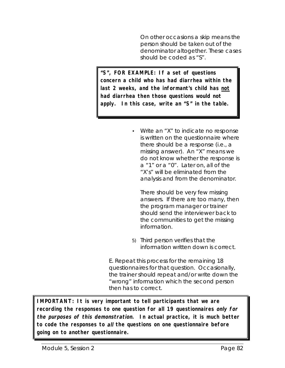On other occasions a skip means the person should be taken out of the denominator altogether. These cases should be coded as "S".

**"S", FOR EXAMPLE: If a set of questions concern a child who has had diarrhea within the last 2 weeks, and the informant's child has not had diarrhea then those questions would not apply. In this case, write an "S" in the table.**

> • Write an "X" to indicate no response is written on the questionnaire where there should be a response (i.e., a missing answer). An "X" means we do not know whether the response is a "1" or a "0". Later on, all of the "X's" will be eliminated from the analysis and from the denominator.

There should be very few missing answers. If there are too many, then the program manager or trainer should send the interviewer back to the communities to get the missing information.

5) Third person verifies that the information written down is correct.

E. Repeat this process for the remaining 18 questionnaires for that question. Occasionally, the trainer should repeat and/or write down the "wrong" information which the second person then has to correct.

**IMPORTANT: It is very important to tell participants that we are recording the responses to one question for all 19 questionnaires only for the purposes of this demonstration. In actual practice, it is much better to code the responses to all the questions on one questionnaire before going on to another questionnaire.**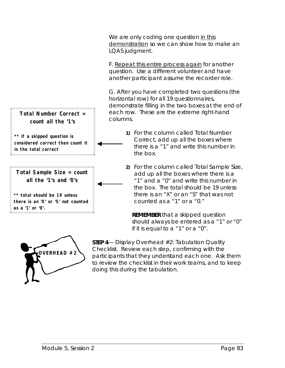We are only coding one question in this demonstration so we can show how to make an LQAS judgment.

F. Repeat this entire process again for another question. Use a different volunteer and have another participant assume the recorder role.

G. After you have completed two questions (the horizontal row) for all 19 questionnaires, demonstrate filling in the two boxes at the end of each row. These are the extreme right-hand columns.

- **1)** For the column called Total Number Correct, add up all the boxes where there is a "1" and write this number in the box.
- **2)** For the column called Total Sample Size, add up all the boxes where there is a "1" and a "0" and write this number in the box. The total should be 19 unless there is an "X" or an "S" that was not counted as a "1" or a "0."

**REMEMBER** that a skipped question should always be entered as a "1" or "0" if it is equal to a "1" or a "0".



**STEP 4**— Display Overhead #2: Tabulation Quality Checklist. Review each step, confirming with the participants that they understand each one. Ask them to review the checklist in their work teams, and to keep doing this during the tabulation.

### **Total Number Correct = count all the '1's**

**\*\* if a skipped question is considered correct then count it in the total correct** 

**Total Sample Size = count all the '1's and '0's**

**\*\* total should be 19 unless there is an 'X' or 'S' not counted as a '1' or '0'.**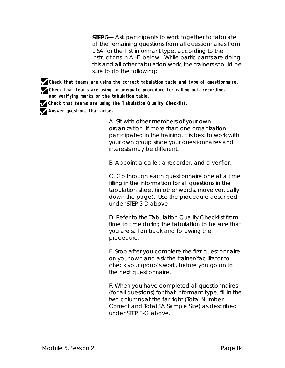**STEP 5**— Ask participants to work together to tabulate all the remaining questions from all questionnaires from 1 SA for the *first* informant type, according to the instructions in A.-F. below. While participants are doing this and all other tabulation work, the trainers should be sure to do the following:

**Check that teams are using the correct tabulation table and type of questionnaire. Check that teams are using an adequate procedure for calling out, recording, and verifying marks on the tabulation table.**

**Check that teams are using the Tabulation Quality Checklist.**

**Answer questions that arise.**

A. Sit with other members of your own organization. If more than one organization participated in the training, it is best to work with your own group since your questionnaires and interests may be different.

B. Appoint a caller, a recorder, and a verifier.

C. Go through each questionnaire one at a time filling in the information for all questions in the tabulation sheet (in other words, move vertically down the page). Use the procedure described under STEP 3-D above.

D. Refer to the Tabulation Quality Checklist from time to time during the tabulation to be sure that you are still on track and following the procedure.

E. Stop after you complete the first questionnaire on your own and ask the trainer/facilitator to check your group's work, before you go on to the next questionnaire.

F. When you have completed all questionnaires (for all questions) for that informant type, fill in the two columns at the far right (Total Number Correct and Total SA Sample Size) as described under STEP 3-G above.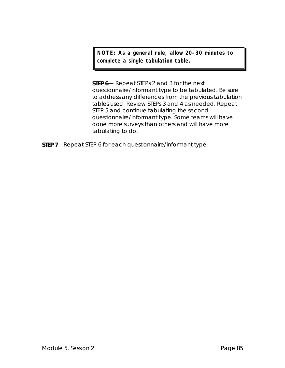**NOTE: As a general rule, allow 20-30 minutes to complete a single tabulation table.**

**STEP 6**— Repeat STEPs 2 and 3 for the next questionnaire/informant type to be tabulated. Be sure to address any differences from the previous tabulation tables used. Review STEPs 3 and 4 as needed. Repeat STEP 5 and continue tabulating the second questionnaire/informant type. Some teams will have done more surveys than others and will have more tabulating to do.

**STEP 7**—Repeat STEP 6 for each questionnaire/informant type.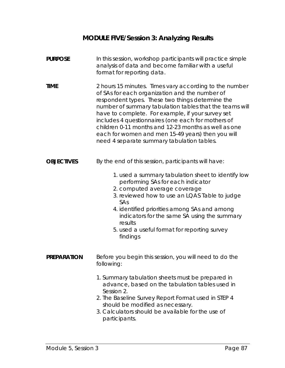## **MODULE FIVE/Session 3: Analyzing Results**

| <b>PURPOSE</b>     | In this session, workshop participants will practice simple<br>analysis of data and become familiar with a useful<br>format for reporting data.                                                                                                                                                                                                                                                                                                                                               |
|--------------------|-----------------------------------------------------------------------------------------------------------------------------------------------------------------------------------------------------------------------------------------------------------------------------------------------------------------------------------------------------------------------------------------------------------------------------------------------------------------------------------------------|
| <b>TIME</b>        | 2 hours 15 minutes. Times vary according to the number<br>of SAs for each organization and the number of<br>respondent types. These two things determine the<br>number of summary tabulation tables that the teams will<br>have to complete. For example, if your survey set<br>includes 4 questionnaires (one each for mothers of<br>children 0-11 months and 12-23 months as well as one<br>each for women and men 15-49 years) then you will<br>need 4 separate summary tabulation tables. |
| <b>OBJECTIVES</b>  | By the end of this session, participants will have:<br>1. used a summary tabulation sheet to identify low<br>performing SAs for each indicator<br>2. computed average coverage<br>3. reviewed how to use an LQAS Table to judge<br>SAs                                                                                                                                                                                                                                                        |
|                    | 4. identified priorities among SAs and among<br>indicators for the same SA using the summary<br>results<br>5. used a useful format for reporting survey<br>findings                                                                                                                                                                                                                                                                                                                           |
| <b>PREPARATION</b> | Before you begin this session, you will need to do the<br>following:                                                                                                                                                                                                                                                                                                                                                                                                                          |
|                    | 1. Summary tabulation sheets must be prepared in<br>advance, based on the tabulation tables used in<br>Session 2.<br>2. The Baseline Survey Report Format used in STEP 4<br>should be modified as necessary.<br>3. Calculators should be available for the use of<br>participants.                                                                                                                                                                                                            |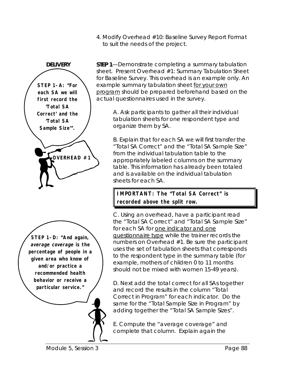4. Modify Overhead #10: Baseline Survey Report Format to suit the needs of the project.



**DELIVERY** STEP 1—Demonstrate completing a summary tabulation sheet. Present Overhead #1: Summary Tabulation Sheet for Baseline Survey. This overhead is an example only. An example summary tabulation sheet for your own program should be prepared beforehand based on the actual questionnaires used in the survey.

> A. Ask participants to gather all their individual tabulation sheets for one respondent type and organize them by SA.

B. Explain that for each SA we will first transfer the "Total SA Correct" and the "Total SA Sample Size" from the individual tabulation table to the appropriately labeled columns on the summary table. This information has already been totaled and is available on the individual tabulation sheets for each SA.

**IMPORTANT: The "Total SA Correct" is recorded above the split row.**

C. Using an overhead, have a participant read the "Total SA Correct" and "Total SA Sample Size" for each SA for one indicator and one questionnaire type while the trainer records the numbers on Overhead #1. Be sure the participant uses the set of tabulation sheets that corresponds to the respondent type in the summary table (for example, mothers of children 0 to 11 months should not be mixed with women 15-49 years).

D. Next add the total correct for all SAs together and record the results in the column "Total Correct in Program" for each indicator. Do the same for the "Total Sample Size in Program" by adding together the "Total SA Sample Sizes".

E. Compute the "average coverage" and complete that column. Explain again the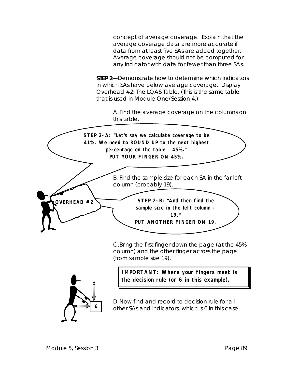concept of average coverage. Explain that the average coverage data are more accurate if data from at least five SAs are added together. Average coverage should not be computed for any indicator with data for fewer than three SAs.

**STEP 2**—Demonstrate how to determine which indicators in which SAs have below average coverage. Display Overhead #2: The LQAS Table. (This is the same table that is used in Module One/Session 4.)

> A.Find the average coverage on the columns on this table.



C.Bring the first finger down the page (at the 45% column) and the other finger across the page (from sample size 19).



**IMPORTANT: Where your fingers meet is the decision rule (or 6 in this example).**

D.Now find and record to decision rule for all other SAs and indicators, which is 6 in this case.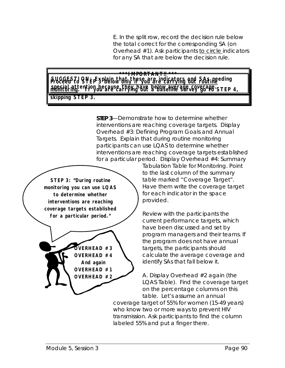E. In the split row, record the decision rule below the total correct for the corresponding SA (on Overhead #1). Ask participants to circle indicators for any SA that are below the decision rule.

#### SUGGESTI QN<sub>EP</sub> 3 plain that these are indicators and SAs needing **special attention because they have below average coverage. monitoring. If you are carrying out a baseline survey go to STEP 4, \*\*\*IMPORTANT!! \*\*\* skipping STEP 3.**

**STEP 3**—Demonstrate how to determine whether interventions are reaching coverage targets. Display Overhead #3: Defining Program Goals and Annual Targets. Explain that during routine monitoring participants can use LQAS to determine whether interventions are reaching coverage targets established for a particular period. Display Overhead #4: Summary



**OVERHEAD #3 OVERHEAD #4 And again OVERHEAD #1 OVERHEAD #2**

Tabulation Table for Monitoring. Point to the last column of the summary table marked "Coverage Target". Have them write the coverage target for each indicator in the space provided.

Review with the participants the current performance targets, which have been discussed and set by program managers and their teams. If the program does not have annual targets, the participants should calculate the average coverage and identify SAs that fall below it.

A. Display Overhead #2 again (the LQAS Table). Find the coverage target on the percentage columns on this table. Let's assume an annual

coverage target of 55% for women (15-49 years) who know two or more ways to prevent HIV transmission. Ask participants to find the column labeled 55% and put a finger there.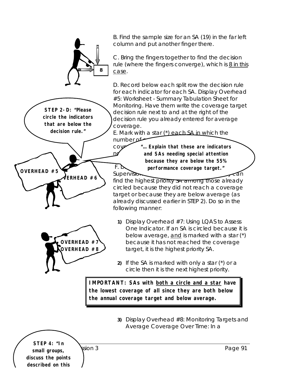B. Find the sample size for an SA (19) in the far left column and put another finger there.

C. Bring the fingers together to find the decision rule (where the fingers converge), which is 8 in this case.

D. Record below each split row the decision rule for each indicator for each SA. Display Overhead #5: Worksheet - Summary Tabulation Sheet for Monitoring. Have them write the *coverage target* decision rule next to and at the right of the decision rule you already entered for average coverage.

E. Mark with a star  $(*)$  each SA in which the number **of** 

*cove* "... Explain that these are indicators **not reach target target.** And SAs needing special attention F. Duster over **performance coverage target." because they are below the 55%**

Supervision find the highest priority on among those already circled because they did not reach a coverage target or because they are below average (as already discussed earlier in STEP 2). Do so in the following manner:

- **1)** Display Overhead #7: Using LQAS to Assess One Indicator. If an SA is circled because it is below average, and is marked with a star (\*) because it has not reached the coverage target, it is the highest priority SA.
- **2)** If the SA is marked with only a star (\*) or a circle then it is the next highest priority.

**IMPORTANT: SAs with both a circle and a star have the lowest coverage of all since they are both below the annual coverage target and below average.**

> **3)** Display Overhead #8: Monitoring Targets and Average Coverage Over Time: In a

example 5, and 5 and 5 session 3 and 5 and 5 and 5 and 5 and 5 and 5 and 5 and 5 and 5 and 5 and 5 and 5 and 5 and 5 and 5 and 5 and 5 and 5 and 5 and 5 and 5 and 5 and 5 and 5 and 5 and 5 and 5 and 5 and 5 and 5 and 5 and **STEP 4: "In small groups, discuss the points described on this**

**STEP 2-D: "Please circle the indicators that are below the decision rule."**

**OVERHEAD #5**

**)**<br>ERHEAD #6

**OVERHEAD #7 OVERHEAD #8**

**8**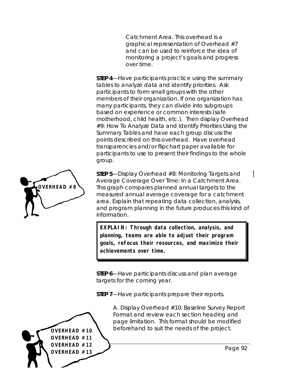Catchment Area. This overhead is a graphical representation of Overhead #7 and can be used to reinforce the idea of monitoring a project's goals and progress over time.

**STEP 4**—Have participants practice using the summary tables to analyze data and identify priorities. Ask participants to form small groups with the other members of their organization. If one organization has many participants, they can divide into subgroups based on experience or common interests (safe motherhood, child health, etc.). Then display Overhead #9: How To Analyze Data and Identify Priorities Using the Summary Tables and have each group discuss the points described on this overhead. Have overhead transparencies and/or flipchart paper available for participants to use to present their findings to the whole group.

**STEP 5**—Display Overhead #8: Monitoring Targets and Average Coverage Over Time: In a Catchment Area. This graph compares planned annual targets to the measured annual average coverage for a catchment area. Explain that repeating data collection, analysis, and program planning in the future produces this kind of information.

**EXPLAIN: Through data collection, analysis, and planning, teams are able to adjust their program goals, refocus their resources, and maximize their achievements over time.**

**STEP 6**—Have participants discuss and plan average targets for the coming year.

**STEP 7**—Have participants prepare their reports.



A. Display Overhead #10: Baseline Survey Report Format and review each section heading and page limitation. This format should be modified **OVERHEAD**  $\#10$  **beforehand to suit the needs of the project.** 

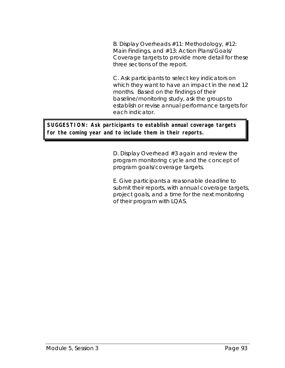B. Display Overheads #11: Methodology, #12: Main Findings, and #13: Action Plans/Goals/ Coverage targets to provide more detail for these three sections of the report.

C. Ask participants to select key indicators on which they want to have an impact in the next 12 months. Based on the findings of their baseline/monitoring study, ask the groups to establish or revise annual performance targets for each indicator.

**SUGGESTION: Ask participants to establish annual coverage targets for the coming year and to include them in their reports.**

> D. Display Overhead #3 again and review the program monitoring cycle and the concept of program goals/coverage targets.

E. Give participants a reasonable deadline to submit their reports, with annual coverage targets, project goals, and a time for the next monitoring of their program with LQAS.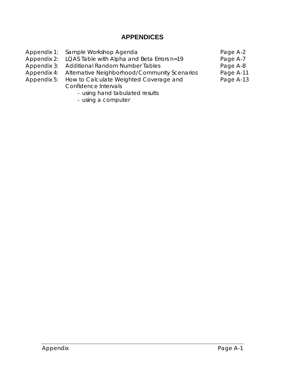### **APPENDICES**

|             | Appendix 1: Sample Workshop Agenda                       | Page A-2  |
|-------------|----------------------------------------------------------|-----------|
|             | Appendix 2: LQAS Table with Alpha and Beta Errors n=19   | Page A-7  |
|             | Appendix 3: Additional Random Number Tables              | Page A-8  |
|             | Appendix 4: Alternative Neighborhood/Community Scenarios | Page A-11 |
| Appendix 5: | How to Calculate Weighted Coverage and                   | Page A-13 |
|             | Confidence Intervals                                     |           |
|             | وملابيهم والمملول بماجلا امعرضها بممراورين               |           |

- using hand tabulated results
- using a computer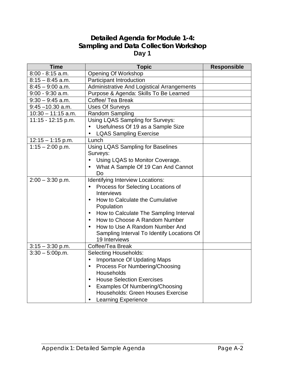#### **Detailed Agenda for Module 1-4: Sampling and Data Collection Workshop Day 1**

| <b>Time</b>          | <b>Topic</b>                                       | <b>Responsible</b> |
|----------------------|----------------------------------------------------|--------------------|
| $8:00 - 8:15$ a.m.   | <b>Opening Of Workshop</b>                         |                    |
| $8:15 - 8:45$ a.m.   | <b>Participant Introduction</b>                    |                    |
| $8:45 - 9:00$ a.m.   | <b>Administrative And Logistical Arrangements</b>  |                    |
| $9:00 - 9:30$ a.m.   | Purpose & Agenda: Skills To Be Learned             |                    |
| $9:30 - 9:45$ a.m.   | Coffee/ Tea Break                                  |                    |
| $9:45 - 10.30$ a.m.  | <b>Uses Of Surveys</b>                             |                    |
| $10:30 - 11:15$ a.m. | <b>Random Sampling</b>                             |                    |
| 11:15 - 12:15 p.m.   | Using LQAS Sampling for Surveys:                   |                    |
|                      | Usefulness Of 19 as a Sample Size                  |                    |
|                      | <b>LQAS Sampling Exercise</b>                      |                    |
| $12:15 - 1:15$ p.m.  | Lunch                                              |                    |
| $1:15 - 2:00$ p.m.   | Using LQAS Sampling for Baselines                  |                    |
|                      | Surveys:                                           |                    |
|                      | Using LQAS to Monitor Coverage.                    |                    |
|                      | What A Sample Of 19 Can And Cannot                 |                    |
|                      | Do                                                 |                    |
| $2:00 - 3:30$ p.m.   | Identifying Interview Locations:                   |                    |
|                      | Process for Selecting Locations of                 |                    |
|                      | Interviews                                         |                    |
|                      | How to Calculate the Cumulative                    |                    |
|                      | Population                                         |                    |
|                      | How to Calculate The Sampling Interval             |                    |
|                      | How to Choose A Random Number                      |                    |
|                      | How to Use A Random Number And                     |                    |
|                      | Sampling Interval To Identify Locations Of         |                    |
|                      | 19 Interviews                                      |                    |
| $3:15 - 3:30$ p.m.   | Coffee/Tea Break                                   |                    |
| $3:30 - 5:00p.m.$    | <b>Selecting Households:</b>                       |                    |
|                      | <b>Importance Of Updating Maps</b>                 |                    |
|                      | Process For Numbering/Choosing<br>$\bullet$        |                    |
|                      | Households                                         |                    |
|                      | <b>House Selection Exercises</b><br>$\bullet$      |                    |
|                      | <b>Examples Of Numbering/Choosing</b><br>$\bullet$ |                    |
|                      | <b>Households: Green Houses Exercise</b>           |                    |
|                      | <b>Learning Experience</b><br>$\bullet$            |                    |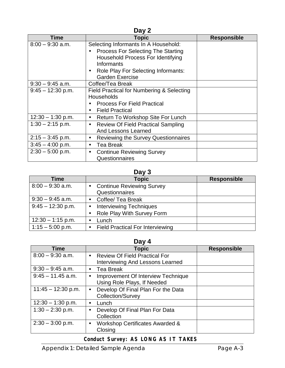| Day 2               |                                                        |                    |  |
|---------------------|--------------------------------------------------------|--------------------|--|
| <b>Time</b>         | <b>Topic</b>                                           | <b>Responsible</b> |  |
| $8:00 - 9:30$ a.m.  | Selecting Informants In A Household:                   |                    |  |
|                     | Process For Selecting The Starting<br>$\bullet$        |                    |  |
|                     | Household Process For Identifying                      |                    |  |
|                     | Informants                                             |                    |  |
|                     | Role Play For Selecting Informants:<br>$\bullet$       |                    |  |
|                     | <b>Garden Exercise</b>                                 |                    |  |
| $9:30 - 9:45$ a.m.  | Coffee/Tea Break                                       |                    |  |
| $9:45 - 12:30$ p.m. | Field Practical for Numbering & Selecting              |                    |  |
|                     | Households                                             |                    |  |
|                     | <b>Process For Field Practical</b>                     |                    |  |
|                     | <b>Field Practical</b><br>$\bullet$                    |                    |  |
| $12:30 - 1:30$ p.m. | Return To Workshop Site For Lunch<br>٠                 |                    |  |
| $1:30 - 2:15$ p.m.  | <b>Review Of Field Practical Sampling</b><br>$\bullet$ |                    |  |
|                     | <b>And Lessons Learned</b>                             |                    |  |
| $2:15 - 3:45$ p.m.  | <b>Reviewing the Survey Questionnaires</b><br>٠        |                    |  |
| $3:45 - 4:00$ p.m.  | <b>Tea Break</b><br>$\bullet$                          |                    |  |
| $2:30 - 5:00$ p.m.  | <b>Continue Reviewing Survey</b><br>$\bullet$          |                    |  |
|                     | Questionnaires                                         |                    |  |

#### **Day 3**

| Time                | Topic                                   | <b>Responsible</b> |
|---------------------|-----------------------------------------|--------------------|
| $8:00 - 9:30$ a.m.  | <b>Continue Reviewing Survey</b>        |                    |
|                     | Questionnaires                          |                    |
| $9:30 - 9:45$ a.m.  | Coffee/ Tea Break                       |                    |
| $9:45 - 12:30$ p.m. | <b>Interviewing Techniques</b>          |                    |
|                     | Role Play With Survey Form              |                    |
| $12:30 - 1:15$ p.m. | Lunch                                   |                    |
| $1:15 - 5:00$ p.m.  | <b>Field Practical For Interviewing</b> |                    |

#### **Day 4**

| $-4$ , $-$<br><b>Time</b>                              |                    |  |  |
|--------------------------------------------------------|--------------------|--|--|
|                                                        | <b>Responsible</b> |  |  |
| <b>Review Of Field Practical For</b><br>$\bullet$      |                    |  |  |
| Interviewing And Lessons Learned                       |                    |  |  |
| Tea Break<br>$\bullet$                                 |                    |  |  |
| <b>Improvement Of Interview Technique</b><br>$\bullet$ |                    |  |  |
| Using Role Plays, If Needed                            |                    |  |  |
| Develop Of Final Plan For the Data<br>$\bullet$        |                    |  |  |
| <b>Collection/Survey</b>                               |                    |  |  |
| Lunch<br>$\bullet$                                     |                    |  |  |
| Develop Of Final Plan For Data<br>$\bullet$            |                    |  |  |
| Collection                                             |                    |  |  |
| Workshop Certificates Awarded &<br>$\bullet$           |                    |  |  |
| Closing                                                |                    |  |  |
|                                                        | <b>Topic</b>       |  |  |

## **Conduct Survey: AS LONG AS IT TAKES**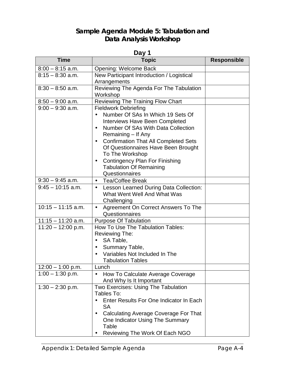## **Sample Agenda Module 5: Tabulation and Data Analysis Workshop**

| Day 1                |                                                          |                    |  |
|----------------------|----------------------------------------------------------|--------------------|--|
| <b>Time</b>          | <b>Topic</b>                                             | <b>Responsible</b> |  |
| $8:00 - 8:15$ a.m.   | <b>Opening: Welcome Back</b>                             |                    |  |
| $8:15 - 8:30$ a.m.   | New Participant Introduction / Logistical                |                    |  |
|                      | Arrangements                                             |                    |  |
| $8:30 - 8:50$ a.m.   | Reviewing The Agenda For The Tabulation                  |                    |  |
|                      | Workshop                                                 |                    |  |
| $8:50 - 9:00$ a.m.   | <b>Reviewing The Training Flow Chart</b>                 |                    |  |
| $9:00 - 9:30$ a.m.   | <b>Fieldwork Debriefing</b>                              |                    |  |
|                      | Number Of SAs In Which 19 Sets Of                        |                    |  |
|                      | <b>Interviews Have Been Completed</b>                    |                    |  |
|                      | Number Of SAs With Data Collection                       |                    |  |
|                      | Remaining – If Any                                       |                    |  |
|                      | <b>Confirmation That All Completed Sets</b><br>$\bullet$ |                    |  |
|                      | Of Questionnaires Have Been Brought                      |                    |  |
|                      | To The Workshop                                          |                    |  |
|                      | <b>Contingency Plan For Finishing</b>                    |                    |  |
|                      | <b>Tabulation Of Remaining</b>                           |                    |  |
|                      | Questionnaires                                           |                    |  |
| $9:30 - 9:45$ a.m.   | <b>Tea/Coffee Break</b><br>$\bullet$                     |                    |  |
| $9:45 - 10:15$ a.m.  | Lesson Learned During Data Collection:<br>$\bullet$      |                    |  |
|                      | What Went Well And What Was                              |                    |  |
|                      | Challenging                                              |                    |  |
| $10:15 - 11:15$ a.m. | Agreement On Correct Answers To The<br>$\bullet$         |                    |  |
|                      | Questionnaires                                           |                    |  |
| $11:15 - 11:20$ a.m. | <b>Purpose Of Tabulation</b>                             |                    |  |
| $11:20 - 12:00$ p.m. | How To Use The Tabulation Tables:                        |                    |  |
|                      | <b>Reviewing The:</b>                                    |                    |  |
|                      | SA Table,                                                |                    |  |
|                      | Summary Table,                                           |                    |  |
|                      | Variables Not Included In The                            |                    |  |
|                      | Tabulation Tables                                        |                    |  |
| $12:00 - 1:00$ p.m.  | Lunch                                                    |                    |  |
| $1:00 - 1:30$ p.m.   | How To Calculate Average Coverage                        |                    |  |
|                      | And Why Is It Important                                  |                    |  |
| $1:30 - 2:30$ p.m.   | Two Exercises: Using The Tabulation                      |                    |  |
|                      | Tables To:                                               |                    |  |
|                      | Enter Results For One Indicator In Each                  |                    |  |
|                      | <b>SA</b>                                                |                    |  |
|                      | Calculating Average Coverage For That                    |                    |  |
|                      | One Indicator Using The Summary                          |                    |  |
|                      | Table                                                    |                    |  |
|                      | Reviewing The Work Of Each NGO                           |                    |  |

 $\mathbf l$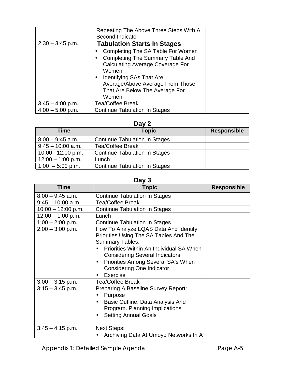|                    | Repeating The Above Three Steps With A<br>Second Indicator                                                                                                                                                                                                                                     |  |
|--------------------|------------------------------------------------------------------------------------------------------------------------------------------------------------------------------------------------------------------------------------------------------------------------------------------------|--|
| $2:30 - 3:45$ p.m. | <b>Tabulation Starts In Stages</b><br>Completing The SA Table For Women<br><b>Completing The Summary Table And</b><br><b>Calculating Average Coverage For</b><br>Women<br>Identifying SAs That Are<br>$\bullet$<br>Average/Above Average From Those<br>That Are Below The Average For<br>Women |  |
| $3:45 - 4:00$ p.m. | <b>Tea/Coffee Break</b>                                                                                                                                                                                                                                                                        |  |
| $4:00 - 5:00$ p.m. | <b>Continue Tabulation In Stages</b>                                                                                                                                                                                                                                                           |  |

#### **Day 2**

| <b>Time</b>          | <b>Topic</b>                         | <b>Responsible</b> |  |  |  |  |  |  |  |  |
|----------------------|--------------------------------------|--------------------|--|--|--|--|--|--|--|--|
| $8:00 - 9:45$ a.m.   | <b>Continue Tabulation In Stages</b> |                    |  |  |  |  |  |  |  |  |
| $9:45 - 10:00$ a.m.  | <b>Tea/Coffee Break</b>              |                    |  |  |  |  |  |  |  |  |
| $10:00 - 12:00$ p.m. | <b>Continue Tabulation In Stages</b> |                    |  |  |  |  |  |  |  |  |
| $12:00 - 1:00$ p.m.  | Lunch                                |                    |  |  |  |  |  |  |  |  |
| $1:00 - 5:00$ p.m.   | <b>Continue Tabulation In Stages</b> |                    |  |  |  |  |  |  |  |  |

#### **Day 3**

| Day J                |                                                                                                                                                                                                                                                                                                  |                    |  |  |  |  |  |  |  |  |
|----------------------|--------------------------------------------------------------------------------------------------------------------------------------------------------------------------------------------------------------------------------------------------------------------------------------------------|--------------------|--|--|--|--|--|--|--|--|
| Time                 | <b>Topic</b>                                                                                                                                                                                                                                                                                     | <b>Responsible</b> |  |  |  |  |  |  |  |  |
| $8:00 - 9:45$ a.m.   | <b>Continue Tabulation In Stages</b>                                                                                                                                                                                                                                                             |                    |  |  |  |  |  |  |  |  |
| $9:45 - 10:00$ a.m.  | <b>Tea/Coffee Break</b>                                                                                                                                                                                                                                                                          |                    |  |  |  |  |  |  |  |  |
| $10:00 - 12:00$ p.m. | <b>Continue Tabulation In Stages</b>                                                                                                                                                                                                                                                             |                    |  |  |  |  |  |  |  |  |
| $12:00 - 1:00$ p.m.  | Lunch                                                                                                                                                                                                                                                                                            |                    |  |  |  |  |  |  |  |  |
| $1:00 - 2:00$ p.m.   | <b>Continue Tabulation In Stages</b>                                                                                                                                                                                                                                                             |                    |  |  |  |  |  |  |  |  |
| $2:00 - 3:00$ p.m.   | How To Analyze LQAS Data And Identify<br>Priorities Using The SA Tables And The<br><b>Summary Tables:</b><br>Priorities Within An Individual SA When<br><b>Considering Several Indicators</b><br>Priorities Among Several SA's When<br>$\bullet$<br><b>Considering One Indicator</b><br>Exercise |                    |  |  |  |  |  |  |  |  |
| $3:00 - 3:15$ p.m.   | <b>Tea/Coffee Break</b>                                                                                                                                                                                                                                                                          |                    |  |  |  |  |  |  |  |  |
| $3:15 - 3:45$ p.m.   | <b>Preparing A Baseline Survey Report:</b><br>Purpose<br>$\bullet$<br>Basic Outline: Data Analysis And<br>$\bullet$<br>Program. Planning Implications<br><b>Setting Annual Goals</b><br>$\bullet$                                                                                                |                    |  |  |  |  |  |  |  |  |
| $3:45 - 4:15$ p.m.   | <b>Next Steps:</b><br>Archiving Data At Umoyo Networks In A                                                                                                                                                                                                                                      |                    |  |  |  |  |  |  |  |  |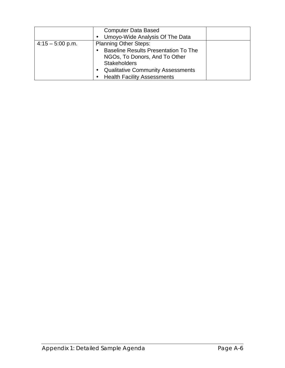|                    | <b>Computer Data Based</b><br>Umoyo-Wide Analysis Of The Data<br>$\bullet$                                                          |  |
|--------------------|-------------------------------------------------------------------------------------------------------------------------------------|--|
| $4:15 - 5:00$ p.m. | <b>Planning Other Steps:</b><br><b>Baseline Results Presentation To The</b><br>NGOs, To Donors, And To Other<br><b>Stakeholders</b> |  |
|                    | <b>Qualitative Community Assessments</b><br>$\bullet$<br><b>Health Facility Assessments</b>                                         |  |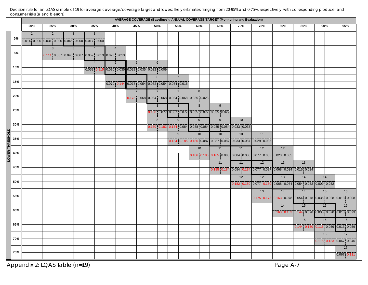Decision rule for an LQAS sample of 19 for average coverage/coverage target and lowest likely estimates ranging from 20-95% and 0-75%, respectively, with corresponding producer and consumer risks (a and b errors).

|         |     | AVERAGE COVERAGE (Baselines) / ANNUAL COVERAGE TARGET (Monitoring and Evaluation) |                |                                                 |                |                |                                                                                                                                                    |  |                                                 |  |                |                |                |                                                 |                |     |    |                                                                   |                                                                                                                                                                                                                                                                                                                                                                                                               |     |     |    |                                                                                       |               |  |
|---------|-----|-----------------------------------------------------------------------------------|----------------|-------------------------------------------------|----------------|----------------|----------------------------------------------------------------------------------------------------------------------------------------------------|--|-------------------------------------------------|--|----------------|----------------|----------------|-------------------------------------------------|----------------|-----|----|-------------------------------------------------------------------|---------------------------------------------------------------------------------------------------------------------------------------------------------------------------------------------------------------------------------------------------------------------------------------------------------------------------------------------------------------------------------------------------------------|-----|-----|----|---------------------------------------------------------------------------------------|---------------|--|
|         |     |                                                                                   | 20%            | 25%                                             | 30%            | 35%            | 40%                                                                                                                                                |  | 45%                                             |  | 50%            | 55%            |                |                                                 | 60%            | 65% |    | 70%                                                               | 75%                                                                                                                                                                                                                                                                                                                                                                                                           | 80% | 85% |    | 90%                                                                                   | 95%           |  |
|         | 0%  |                                                                                   | $\overline{1}$ | $\overline{2}$                                  | $\overline{3}$ | $\overline{3}$ |                                                                                                                                                    |  |                                                 |  |                |                |                |                                                 |                |     |    |                                                                   |                                                                                                                                                                                                                                                                                                                                                                                                               |     |     |    |                                                                                       |               |  |
|         |     |                                                                                   |                | 0.014 0.000 0.031 0.000 0.046 0.000 0.017 0.000 |                |                |                                                                                                                                                    |  |                                                 |  |                |                |                |                                                 |                |     |    |                                                                   |                                                                                                                                                                                                                                                                                                                                                                                                               |     |     |    |                                                                                       |               |  |
|         | 5%  |                                                                                   |                | $\mathbf{3}$                                    | $\overline{3}$ | $\overline{4}$ | $\overline{4}$                                                                                                                                     |  |                                                 |  |                |                |                |                                                 |                |     |    |                                                                   |                                                                                                                                                                                                                                                                                                                                                                                                               |     |     |    |                                                                                       |               |  |
|         |     |                                                                                   |                |                                                 |                |                | 0.111 0.067 0.046 0.067 0.059 0.013 0.023 0.013                                                                                                    |  |                                                 |  |                |                |                |                                                 |                |     |    |                                                                   |                                                                                                                                                                                                                                                                                                                                                                                                               |     |     |    |                                                                                       |               |  |
|         | 10% |                                                                                   |                |                                                 |                | $\overline{4}$ | $5\overline{)}$                                                                                                                                    |  | $\overline{5}$                                  |  | $6\phantom{a}$ |                |                |                                                 |                |     |    |                                                                   |                                                                                                                                                                                                                                                                                                                                                                                                               |     |     |    |                                                                                       |               |  |
|         |     |                                                                                   |                |                                                 |                |                | 0.059 0.115 0.070 0.035 0.028 0.035 0.032 0.009                                                                                                    |  |                                                 |  |                | $\overline{7}$ |                |                                                 |                |     |    |                                                                   |                                                                                                                                                                                                                                                                                                                                                                                                               |     |     |    |                                                                                       |               |  |
|         | 15% |                                                                                   |                |                                                 |                |                | $5\overline{)}$<br>$\boxed{0.070}$ $\boxed{0.144}$ $\boxed{0.078}$ $\boxed{0.054}$ $\boxed{0.032}$ $\boxed{0.054}$ $\boxed{0.034}$ $\boxed{0.034}$ |  | $6\phantom{1}$                                  |  | $6\phantom{1}$ |                |                |                                                 |                |     |    |                                                                   |                                                                                                                                                                                                                                                                                                                                                                                                               |     |     |    |                                                                                       |               |  |
|         |     |                                                                                   |                |                                                 |                |                |                                                                                                                                                    |  | $\overline{7}$                                  |  | $\overline{7}$ | $\overline{7}$ |                |                                                 | 8              |     |    |                                                                   |                                                                                                                                                                                                                                                                                                                                                                                                               |     |     |    |                                                                                       |               |  |
|         | 20% |                                                                                   |                |                                                 |                |                |                                                                                                                                                    |  | 0.173 0.068 0.084 0.068 0.034 0.068 0.035 0.023 |  |                |                |                |                                                 |                |     |    |                                                                   |                                                                                                                                                                                                                                                                                                                                                                                                               |     |     |    |                                                                                       |               |  |
|         |     |                                                                                   |                |                                                 |                |                |                                                                                                                                                    |  |                                                 |  | 8              | 8              |                |                                                 | 8              |     | 9  |                                                                   |                                                                                                                                                                                                                                                                                                                                                                                                               |     |     |    |                                                                                       |               |  |
|         | 25% |                                                                                   |                |                                                 |                |                |                                                                                                                                                    |  |                                                 |  |                |                |                | 0.180 0.077 0.087 0.077 0.035 0.077 0.035 0.029 |                |     |    |                                                                   |                                                                                                                                                                                                                                                                                                                                                                                                               |     |     |    |                                                                                       |               |  |
|         |     |                                                                                   |                |                                                 |                |                |                                                                                                                                                    |  |                                                 |  | 8              |                | $\overline{9}$ |                                                 | $\overline{9}$ |     | 9  | 10 <sup>1</sup>                                                   |                                                                                                                                                                                                                                                                                                                                                                                                               |     |     |    |                                                                                       |               |  |
|         | 30% |                                                                                   |                |                                                 |                |                |                                                                                                                                                    |  |                                                 |  |                |                |                |                                                 |                |     |    | 0.180 0.182 0.184 0.084 0.088 0.084 0.035 0.084 0.033 0.033       |                                                                                                                                                                                                                                                                                                                                                                                                               |     |     |    |                                                                                       |               |  |
| ≘<br>ō  |     |                                                                                   |                |                                                 |                |                |                                                                                                                                                    |  |                                                 |  |                |                | 9              |                                                 | 10             |     | 10 | 10                                                                | 11                                                                                                                                                                                                                                                                                                                                                                                                            |     |     |    |                                                                                       |               |  |
|         | 35% |                                                                                   |                |                                                 |                |                |                                                                                                                                                    |  |                                                 |  |                |                |                |                                                 |                |     |    | 0.184 0.185 0.186 0.087 0.087 0.087 0.033 0.087 0.029 0.035       |                                                                                                                                                                                                                                                                                                                                                                                                               |     |     |    |                                                                                       |               |  |
|         | 40% |                                                                                   |                |                                                 |                |                |                                                                                                                                                    |  |                                                 |  |                |                |                |                                                 | 10             |     | 11 | 11                                                                | 12                                                                                                                                                                                                                                                                                                                                                                                                            | 12  |     |    |                                                                                       |               |  |
| ర్<br>౦ |     |                                                                                   |                |                                                 |                |                |                                                                                                                                                    |  |                                                 |  |                |                |                |                                                 |                |     |    | 0.186 0.186 0.185 0.088 0.084 0.088 0.077 0.035 0.023 0.035       |                                                                                                                                                                                                                                                                                                                                                                                                               |     |     |    |                                                                                       |               |  |
|         | 45% |                                                                                   |                |                                                 |                |                |                                                                                                                                                    |  |                                                 |  |                |                |                |                                                 |                |     | 11 | 11                                                                | $\overline{12}$                                                                                                                                                                                                                                                                                                                                                                                               | 13  |     | 13 |                                                                                       |               |  |
|         |     |                                                                                   |                |                                                 |                |                |                                                                                                                                                    |  |                                                 |  |                |                |                |                                                 |                |     |    | 0.185 0.184 0.084 0.184 0.077 0.087 0.068 0.034 0.016 0.034       |                                                                                                                                                                                                                                                                                                                                                                                                               |     |     |    |                                                                                       |               |  |
|         | 50% |                                                                                   |                |                                                 |                |                |                                                                                                                                                    |  |                                                 |  |                |                |                |                                                 |                |     |    | 12<br>0.182 0.180 0.077 0.180 0.068 0.084 0.054 0.032 0.009 0.032 | 12                                                                                                                                                                                                                                                                                                                                                                                                            | 13  |     | 14 | 14                                                                                    |               |  |
|         |     |                                                                                   |                |                                                 |                |                |                                                                                                                                                    |  |                                                 |  |                |                |                |                                                 |                |     |    |                                                                   | 13                                                                                                                                                                                                                                                                                                                                                                                                            | 14  | 14  |    | 15                                                                                    | 16            |  |
|         | 55% |                                                                                   |                |                                                 |                |                |                                                                                                                                                    |  |                                                 |  |                |                |                |                                                 |                |     |    |                                                                   | $\fbox{\begin{bmatrix} 0.175 \end{bmatrix} } \fbox{\begin{bmatrix} 0.173 \end{bmatrix} } \fbox{\begin{bmatrix} 0.163 \end{bmatrix} } \fbox{\begin{bmatrix} 0.078 \end{bmatrix} } \fbox{\begin{bmatrix} 0.078 \end{bmatrix} } \fbox{\begin{bmatrix} 0.035 \end{bmatrix} } \fbox{\begin{bmatrix} 0.028 \end{bmatrix} } \fbox{\begin{bmatrix} 0.013 \end{bmatrix} } \fbox{\begin{bmatrix} 0.008 \end{bmatrix} }$ |     |     |    |                                                                                       |               |  |
|         |     |                                                                                   |                |                                                 |                |                |                                                                                                                                                    |  |                                                 |  |                |                |                |                                                 |                |     |    |                                                                   |                                                                                                                                                                                                                                                                                                                                                                                                               | 14  | 15  |    | 15                                                                                    | 16            |  |
|         | 60% |                                                                                   |                |                                                 |                |                |                                                                                                                                                    |  |                                                 |  |                |                |                |                                                 |                |     |    |                                                                   |                                                                                                                                                                                                                                                                                                                                                                                                               |     |     |    | $\boxed{0.163\, \,0.163\, \,0.144\, \,0.070\, \,0.035\, \,0.070\, \,0.013\, \,0.023}$ |               |  |
|         |     |                                                                                   |                |                                                 |                |                |                                                                                                                                                    |  |                                                 |  |                |                |                |                                                 |                |     |    |                                                                   |                                                                                                                                                                                                                                                                                                                                                                                                               |     |     | 15 | 16                                                                                    | 16            |  |
|         | 65% |                                                                                   |                |                                                 |                |                |                                                                                                                                                    |  |                                                 |  |                |                |                |                                                 |                |     |    |                                                                   |                                                                                                                                                                                                                                                                                                                                                                                                               |     |     |    | $0.144$ 0.150 0.115 0.059 0.013 0.059                                                 |               |  |
|         |     |                                                                                   |                |                                                 |                |                |                                                                                                                                                    |  |                                                 |  |                |                |                |                                                 |                |     |    |                                                                   |                                                                                                                                                                                                                                                                                                                                                                                                               |     |     |    | 16                                                                                    | 17            |  |
|         | 70% |                                                                                   |                |                                                 |                |                |                                                                                                                                                    |  |                                                 |  |                |                |                |                                                 |                |     |    |                                                                   |                                                                                                                                                                                                                                                                                                                                                                                                               |     |     |    | $0.115$ $0.133$ $0.067$ $0.046$                                                       |               |  |
|         | 75% |                                                                                   |                |                                                 |                |                |                                                                                                                                                    |  |                                                 |  |                |                |                |                                                 |                |     |    |                                                                   |                                                                                                                                                                                                                                                                                                                                                                                                               |     |     |    |                                                                                       | 17            |  |
|         |     |                                                                                   |                |                                                 |                |                |                                                                                                                                                    |  |                                                 |  |                |                |                |                                                 |                |     |    |                                                                   |                                                                                                                                                                                                                                                                                                                                                                                                               |     |     |    |                                                                                       | $0.067$ 0.111 |  |

Appendix 2: LQAS Table (n=19) **Page A-7**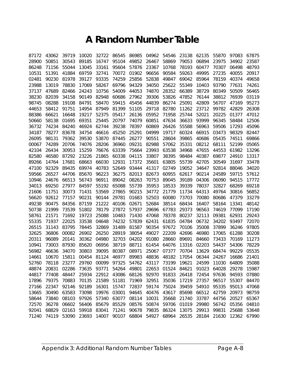### **A Random Number Table**

| 87172 | 43062          | 39719                | 10020 | 32722 | 86545 | 86985 | 04962 | 54546                | 23138 | 62135       | 55870          | 97083       | 67875          |
|-------|----------------|----------------------|-------|-------|-------|-------|-------|----------------------|-------|-------------|----------------|-------------|----------------|
| 28900 | 50851          | 30543                | 89185 | 16747 | 95104 | 49852 | 26467 | 58869                | 79053 | 06894       | 23975          | 34902       | 23587          |
| 86248 | 71156          | 55044                | 13045 | 33161 | 95604 | 57876 | 23367 | 10768                | 78193 | 60477       | 70307          | 06498       | 48793          |
| 10531 | 51391          | 41884                | 69759 | 32741 | 70072 | 01902 | 96656 | 90584                | 59263 | 49995       | 27235          | 40055       | 20917          |
| 02481 | 90230          | 81978                | 39127 | 93335 | 74259 | 25856 | 52838 | 49847                | 69042 | 85964       | 78159          | 40374       | 49658          |
| 23988 | 13019          | 78830                | 17069 | 58267 | 69796 | 94329 | 34050 | 25622                | 55349 | 10403       | 93790          | 77631       | 74261          |
| 37137 | 47689          | 82466                | 24243 | 10756 | 54009 | 44053 | 74870 | 28352                | 66389 | 38729       | 80349          | 50509       | 56465          |
| 38230 | 82039          | 34158                | 90149 | 82948 | 60686 | 27962 | 39306 | 53826                | 47852 | 76144       | 38812          | 76939       | 03119          |
| 98745 | 08288          | 19108                | 84791 | 58470 | 59415 | 45456 | 44839 | 86274                | 25091 | 42809       | 56707          | 47169       | 95273          |
| 44653 | 58412          | 91751                | 14954 | 87949 | 81399 | 51105 | 29718 | 82780                | 11262 | 23712       | 99782          | 42829       | 26308          |
| 88386 | 66621          | 16648                | 19217 | 52375 | 05417 | 26136 | 05952 | 71958                | 25744 | 52021       | 20225          | 01377       | 47012          |
| 50660 | 58138          | 01695                | 69351 | 25445 | 20797 | 74079 | 60851 | 47634                | 36633 | 93999       | 96345          | 58484       | 12506          |
| 36732 | 74234          | 84240                | 46924 | 62744 | 39238 | 78397 | 60869 | 26426                | 55588 | 56963       | 59506          | 17293       | 45096          |
| 34187 | 78277          | 83678                | 34754 | 46616 | 45250 | 25291 | 04999 | 19717                | 60324 | 66915       | 03473          | 98329       | 82447          |
| 26095 | 98131          | 79362                | 39530 | 53870 | 87445 | 26277 | 90551 | 28604                | 39865 | 40686       | 05435          | 74511       | 69866          |
| 00067 | 74289          | 20706                | 74076 | 28206 | 36960 | 09231 | 82988 | 57062                | 35331 | 08212       | 68111          | 52199       | 05065          |
| 42104 | 26434          | 30953                | 15259 | 76676 | 63339 | 75664 | 23993 | 63538                | 34968 | 47655       | 44553          | 61982       | 13296          |
| 82580 | 46580          | 87292                | 23226 | 21865 | 60338 | 04115 | 33807 | 38395                | 98484 | 40387       | 69877          | 24910       | 13317          |
| 89266 | 14764          | 17681                | 68663 | 66030 | 12931 | 17372 | 35601 | 63805                | 55739 | 42705       | 30549          | 31697       | 33478          |
| 47100 | 92329          | 89435                | 69974 | 40783 | 52649 | 93444 | 41317 | 02749                | 19052 | 34647       | 92814          | 88046       | 34020          |
| 59566 | 26527          | 44706                | 85670 | 96223 | 36275 | 82013 | 82673 | 60955                | 62617 | 90214       | 24589          | 59715       | 57612          |
| 10946 | 24676          | 66513                | 56743 | 96911 | 89042 | 08263 | 70753 | 89045                | 39189 | 04306       | 06090          | 94515       | 17772          |
| 34013 | 69250          | 27977                | 84597 | 55192 | 65088 | 55739 | 35953 | 18533                | 39339 | 78037       | 32827          | 68269       | 69218          |
| 21606 | 11751          | 30073                | 71431 | 53569 | 27865 | 90215 | 34772 | 21779                | 11734 | 64313       | 49764          | 30816       | 56852          |
| 56620 | 92612          | 77157                | 90231 | 90144 | 29781 | 01683 | 52503 | 60080                | 73703 | 70080       | 80686          | 47379       | 33279          |
| 49238 | 90475          | 84356                | 87159 | 21222 | 40106 | 02671 | 52684 | 38514                | 68434 | 16407       | 58164          | 13341       | 48142          |
| 50738 | 21999          | 73539                | 51802 | 78179 | 27872 | 57937 | 29696 | 67783                | 29373 | 96563       | 74619          | 77099       | 17190          |
| 58761 | 21571          | 71692                | 19723 | 25088 | 10483 | 71430 | 47068 | 78378                | 80237 | 32113       | 09381          | 62931       | 29243          |
| 55335 | 71937          | 22025                | 33538 | 04648 | 74232 | 57839 | 62431 | 61835                | 04784 | 06732       | 34202          | 93497       | 72070          |
| 26515 | 31143          | 83795                | 78445 | 32869 | 31489 | 81587 | 90354 | 97672                | 70106 | 35008       | 37899          | 36246       | 97805          |
| 32625 | 36806          | 00082                | 26902 | 26250 | 28919 | 38054 | 49027 | 22209                | 42696 | 46980       | 17065          | 61288       | 30208          |
| 20311 | 96089          | 20141                | 30362 | 04980 | 32703 | 04202 | 91080 | 28660                | 89691 | 84660       | 73433          | 70169       | 11273          |
| 10941 | 73003          | 87930                | 85620 | 06956 | 38719 | 88711 | 61454 | 64076                | 13316 | 02203       | 54437          | 54306       | 78229          |
| 56982 | 46636          | 34070                | 30803 | 39095 | 80387 | 08971 | 25067 | 07377                | 70704 | 13629       | 68474          | 99229       | 05535          |
| 14661 | 10670          | 15811                | 00454 | 81124 | 46977 | 89983 | 48836 | 48182                | 17054 | 06344       | 24267          | 16686       | 21401          |
| 52760 | 78118          | 23277                | 29760 | 00099 | 97325 | 54762 | 43117 | 73199                | 19621 | 24599       | 11030          | 64809       | 35088          |
| 48874 | 20831          | 02286                | 73635 | 93771 | 54264 | 49801 | 22653 | 01524                | 84621 | 91023       | 64028          | 29278       | 15987          |
| 44817 | 77408          | 48447                | 25934 | 22912 | 43086 | 68126 | 92970 | 91833                | 26418 | 72454       | 97636          | 94593       | 07880          |
| 17896 | 79375          | 70883                | 70135 | 21589 | 51181 | 71969 | 32951 | 35036                | 17219 | 27357       | 96517          | 55307       | 84470          |
| 27166 | 22347          | 92146                | 92189 | 16301 | 15747 | 72837 | 59174 | 75024                | 39459 | 54910       | 95335          | 95013       | 47068          |
| 13665 | 30490          | 63583                | 73098 | 19976 | 03001 | 94645 | 40476 | 43617                | 85698 | 66512       | 42759          | 20973       | 98759          |
| 58644 | 73840          | 08103                | 97926 | 57340 | 63077 | 08114 | 10031 | 35668                | 21740 | 33787       | 44756          | 20527       | 65367          |
| 72570 | 36278<br>68829 | 06602                | 56406 | 85679 | 85529 | 08576 | 50874 | 59706                | 01019 | 29980       | 56742<br>99831 | 05356       | 04810<br>53648 |
| 92041 | 74119          | 02163<br>53090 23693 | 59918 | 83041 | 71241 | 90678 | 79835 | 86324<br>54927 68964 | 13075 | 29913       |                | 25688       |                |
| 71240 |                |                      |       | 14007 | 90107 | 68804 |       |                      | 26535 | 28184 21630 |                | 12362 67990 |                |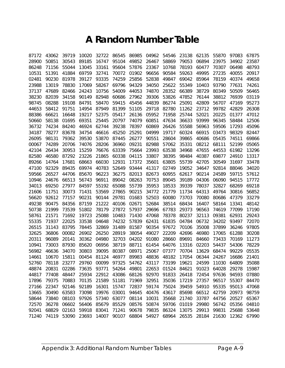### **A Random Number Table**

| 87172          | 43062          | 39719          | 10020          | 32722          | 86545          | 86985          | 04962          | 54546          | 23138          | 62135          | 55870          | 97083             | 67875          |
|----------------|----------------|----------------|----------------|----------------|----------------|----------------|----------------|----------------|----------------|----------------|----------------|-------------------|----------------|
| 28900          | 50851          | 30543          | 89185          | 16747          | 95104          | 49852          | 26467          | 58869          | 79053          | 06894          | 23975          | 34902             | 23587          |
| 86248          | 71156          | 55044          | 13045          | 33161          | 95604          | 57876          | 23367          | 10768          | 78193          | 60477          | 70307          | 06498             | 48793          |
| 10531          | 51391          | 41884          | 69759          | 32741          | 70072          | 01902          | 96656          | 90584          | 59263          | 49995          | 27235          | 40055             | 20917          |
| 02481          | 90230          | 81978          | 39127          | 93335          | 74259          | 25856          | 52838          | 49847          | 69042          | 85964          | 78159          | 40374             | 49658          |
| 23988          | 13019          | 78830          | 17069          | 58267          | 69796          | 94329          | 34050          | 25622          | 55349          | 10403          | 93790          | 77631             | 74261          |
| 37137          | 47689          | 82466          | 24243          | 10756          | 54009          | 44053          | 74870          | 28352          | 66389          | 38729          | 80349          | 50509             | 56465          |
| 38230          | 82039          | 34158          | 90149          | 82948          | 60686          | 27962          | 39306          | 53826          | 47852          | 76144          | 38812          | 76939             | 03119          |
| 98745          | 08288          | 19108          | 84791          | 58470          | 59415          | 45456          | 44839          | 86274          | 25091          | 42809          | 56707          | 47169             | 95273          |
| 44653          | 58412          | 91751          | 14954          | 87949          | 81399          | 51105          | 29718          | 82780          | 11262          | 23712          | 99782          | 42829             | 26308          |
| 88386          | 66621          | 16648          | 19217          | 52375          | 05417          | 26136          | 05952          | 71958          | 25744          | 52021          | 20225          | 01377             | 47012          |
| 50660          | 58138          | 01695          | 69351          | 25445          | 20797          | 74079          | 60851          | 47634          | 36633          | 93999          | 96345          | 58484             | 12506          |
| 36732          | 74234          | 84240          | 46924          | 62744          | 39238          | 78397          | 60869          | 26426          | 55588          | 56963          | 59506          | 17293             | 45096          |
| 34187          | 78277          | 83678          | 34754          | 46616          | 45250          | 25291          | 04999          | 19717          | 60324          | 66915          | 03473          | 98329             | 82447          |
| 26095          | 98131          | 79362          | 39530          | 53870          | 87445          | 26277          | 90551          | 28604          | 39865          | 40686          | 05435          | 74511             | 69866          |
| 00067          | 74289          | 20706          | 74076          | 28206          | 36960          | 09231          | 82988          | 57062          | 35331          | 08212          | 68111          | 52199             | 05065          |
| 42104          | 26434          | 30953          | 15259          | 76676          | 63339          | 75664          | 23993          | 63538          | 34968          | 47655          | 44553          | 61982             | 13296          |
| 82580          | 46580          | 87292          | 23226          | 21865          | 60338          | 04115          | 33807          | 38395          | 98484          | 40387          | 69877          | 24910             | 13317          |
| 89266          | 14764          | 17681          | 68663          | 66030          | 12931          | 17372          | 35601          | 63805          | 55739          | 42705          | 30549          | 31697             | 33478          |
| 47100          | 92329          | 89435          | 69974          | 40783          | 52649          | 93444          | 41317          | 02749          | 19052          | 34647          | 92814          | 88046             | 34020          |
| 59566          | 26527          | 44706          | 85670          | 96223          | 36275          | 82013          | 82673          | 60955          | 62617          | 90214          | 24589          | 59715             | 57612          |
| 10946          | 24676          | 66513          | 56743          | 96911          | 89042          | 08263          | 70753          | 89045          | 39189          | 04306          | 06090          | 94515             | 17772          |
| 34013          | 69250          | 27977          | 84597          | 55192          | 65088          | 55739          | 35953          | 18533          | 39339          | 78037          | 32827          | 68269             | 69218          |
| 21606          | 11751          | 30073          | 71431          | 53569          | 27865          | 90215          | 34772          | 21779          | 11734          | 64313          | 49764          | 30816             | 56852          |
| 56620          | 92612          | 77157          | 90231          | 90144          | 29781          | 01683          | 52503          | 60080          | 73703          | 70080          | 80686          | 47379             | 33279          |
| 49238          | 90475          | 84356          | 87159          | 21222          | 40106          | 02671          | 52684          | 38514          | 68434          | 16407          | 58164          | 13341             | 48142          |
| 50738          | 21999          | 73539          | 51802          | 78179          | 27872          | 57937          | 29696          | 67783          | 29373          | 96563          | 74619          | 77099             | 17190          |
| 58761          | 21571          | 71692          | 19723          | 25088          | 10483          | 71430          | 47068          | 78378          | 80237          | 32113          | 09381          | 62931             | 29243          |
| 55335          | 71937          | 22025          | 33538          | 04648          | 74232          | 57839          | 62431          | 61835          | 04784          | 06732          | 34202          | 93497             | 72070          |
| 26515          | 31143          | 83795          | 78445          | 32869          | 31489          | 81587          | 90354          | 97672          | 70106          | 35008          | 37899          | 36246             | 97805          |
| 32625          | 36806          | 00082          | 26902          | 26250          | 28919          | 38054          | 49027          | 22209          | 42696          | 46980          | 17065          | 61288             | 30208          |
| 20311          | 96089          | 20141          | 30362          | 04980          | 32703          | 04202          | 91080          | 28660          | 89691          | 84660          | 73433          | 70169             | 11273          |
| 10941          | 73003          | 87930          | 85620          | 06956          | 38719          | 88711          | 61454          | 64076          | 13316          | 02203          | 54437          | 54306             | 78229          |
| 56982          | 46636          | 34070          | 30803          | 39095          | 80387          | 08971          | 25067          | 07377          | 70704          | 13629          | 68474          | 99229             | 05535          |
| 14661          | 10670          | 15811          | 00454          | 81124          | 46977          | 89983          | 48836          | 48182          | 17054          | 06344          | 24267          | 16686             | 21401          |
| 52760          | 78118          | 23277          | 29760          | 00099          | 97325          | 54762          | 43117          | 73199          | 19621          | 24599          | 11030          | 64809             | 35088          |
| 48874          | 20831          | 02286          | 73635          | 93771          | 54264          | 49801          | 22653          | 01524          | 84621<br>26418 | 91023<br>72454 | 64028          | 29278             | 15987          |
| 44817          | 77408          | 48447          | 25934          | 22912          | 43086          | 68126          | 92970          | 91833          |                |                | 97636          | 94593             | 07880          |
| 17896          | 79375          | 70883          | 70135          | 21589          | 51181          | 71969          | 32951          | 35036          | 17219          | 27357          | 96517          | 55307             | 84470          |
| 27166          | 22347          | 92146          | 92189          | 16301          | 15747          | 72837          | 59174          | 75024          | 39459          | 54910          | 95335          | 95013             | 47068          |
| 13665          | 30490<br>73840 | 63583<br>08103 | 73098<br>97926 | 19976<br>57340 | 03001          | 94645          | 40476          | 43617<br>35668 | 85698          | 66512          | 42759<br>44756 | 20973             | 98759          |
| 58644          | 36278          | 06602          |                |                | 63077          | 08114          | 10031          | 59706          | 21740          | 33787          | 56742          | 20527<br>05356    | 65367          |
| 72570<br>92041 | 68829          | 02163          | 56406<br>59918 | 85679<br>83041 | 85529<br>71241 | 08576<br>90678 | 50874<br>79835 | 86324          | 01019<br>13075 | 29980<br>29913 | 99831          | 25688             | 04810<br>53648 |
| 71240          | 74119          |                | 53090 23693    | 14007          | 90107          | 68804          |                | 54927 68964    | 26535          | 28184          |                | 21630 12362 67990 |                |
|                |                |                |                |                |                |                |                |                |                |                |                |                   |                |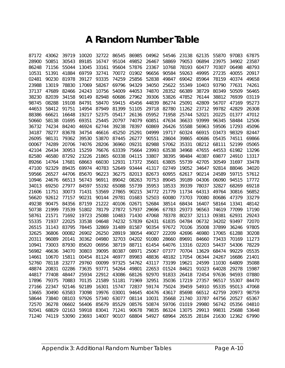### **A Random Number Table**

| 87172 | 43062 | 39719 | 10020 | 32722 | 86545 | 86985 | 04962 | 54546 | 23138 | 62135 | 55870 | 97083 | 67875 |
|-------|-------|-------|-------|-------|-------|-------|-------|-------|-------|-------|-------|-------|-------|
| 28900 | 50851 | 30543 | 89185 | 16747 | 95104 | 49852 | 26467 | 58869 | 79053 | 06894 | 23975 | 34902 | 23587 |
| 86248 | 71156 | 55044 | 13045 | 33161 | 95604 | 57876 | 23367 | 10768 | 78193 | 60477 | 70307 | 06498 | 48793 |
| 10531 | 51391 | 41884 | 69759 | 32741 | 70072 | 01902 | 96656 | 90584 | 59263 | 49995 | 27235 | 40055 | 20917 |
| 02481 | 90230 | 81978 | 39127 | 93335 | 74259 | 25856 | 52838 | 49847 | 69042 | 85964 | 78159 | 40374 | 49658 |
| 23988 | 13019 | 78830 | 17069 | 58267 | 69796 | 94329 | 34050 | 25622 | 55349 | 10403 | 93790 | 77631 | 74261 |
| 37137 | 47689 | 82466 | 24243 | 10756 | 54009 | 44053 | 74870 | 28352 | 66389 | 38729 | 80349 | 50509 | 56465 |
| 38230 | 82039 | 34158 | 90149 | 82948 | 60686 | 27962 | 39306 | 53826 | 47852 | 76144 | 38812 | 76939 | 03119 |
| 98745 | 08288 | 19108 | 84791 | 58470 | 59415 | 45456 | 44839 | 86274 | 25091 | 42809 | 56707 | 47169 | 95273 |
| 44653 | 58412 | 91751 | 14954 | 87949 | 81399 | 51105 | 29718 | 82780 | 11262 | 23712 | 99782 | 42829 | 26308 |
| 88386 | 66621 | 16648 | 19217 | 52375 | 05417 | 26136 | 05952 | 71958 | 25744 | 52021 | 20225 | 01377 | 47012 |
| 50660 | 58138 | 01695 | 69351 | 25445 | 20797 | 74079 | 60851 | 47634 | 36633 | 93999 | 96345 | 58484 | 12506 |
| 36732 | 74234 | 84240 | 46924 | 62744 | 39238 | 78397 | 60869 | 26426 | 55588 | 56963 | 59506 | 17293 | 45096 |
| 34187 | 78277 | 83678 | 34754 | 46616 | 45250 | 25291 | 04999 | 19717 | 60324 | 66915 | 03473 | 98329 | 82447 |
| 26095 | 98131 | 79362 | 39530 | 53870 | 87445 | 26277 | 90551 | 28604 | 39865 | 40686 | 05435 | 74511 | 69866 |
| 00067 | 74289 | 20706 | 74076 | 28206 | 36960 | 09231 | 82988 | 57062 | 35331 | 08212 | 68111 | 52199 | 05065 |
| 42104 | 26434 | 30953 | 15259 | 76676 | 63339 | 75664 | 23993 | 63538 | 34968 | 47655 | 44553 | 61982 | 13296 |
| 82580 | 46580 | 87292 | 23226 | 21865 | 60338 | 04115 | 33807 | 38395 | 98484 | 40387 | 69877 | 24910 | 13317 |
| 89266 | 14764 | 17681 | 68663 | 66030 | 12931 | 17372 | 35601 | 63805 | 55739 | 42705 | 30549 | 31697 | 33478 |
| 47100 | 92329 | 89435 | 69974 | 40783 | 52649 | 93444 | 41317 | 02749 | 19052 | 34647 | 92814 | 88046 | 34020 |
| 59566 | 26527 | 44706 | 85670 | 96223 | 36275 | 82013 | 82673 | 60955 | 62617 | 90214 | 24589 | 59715 | 57612 |
| 10946 | 24676 | 66513 | 56743 | 96911 | 89042 | 08263 | 70753 | 89045 | 39189 | 04306 | 06090 | 94515 | 17772 |
| 34013 | 69250 | 27977 | 84597 | 55192 | 65088 | 55739 | 35953 | 18533 | 39339 | 78037 | 32827 | 68269 | 69218 |
| 21606 | 11751 | 30073 | 71431 | 53569 | 27865 | 90215 | 34772 | 21779 | 11734 | 64313 | 49764 | 30816 | 56852 |
| 56620 | 92612 | 77157 | 90231 | 90144 | 29781 | 01683 | 52503 | 60080 | 73703 | 70080 | 80686 | 47379 | 33279 |
| 49238 | 90475 | 84356 | 87159 | 21222 | 40106 | 02671 | 52684 | 38514 | 68434 | 16407 | 58164 | 13341 | 48142 |
| 50738 | 21999 | 73539 | 51802 | 78179 | 27872 | 57937 | 29696 | 67783 | 29373 | 96563 | 74619 | 77099 | 17190 |
| 58761 | 21571 | 71692 | 19723 | 25088 | 10483 | 71430 | 47068 | 78378 | 80237 | 32113 | 09381 | 62931 | 29243 |
| 55335 | 71937 | 22025 | 33538 | 04648 | 74232 | 57839 | 62431 | 61835 | 04784 | 06732 | 34202 | 93497 | 72070 |
| 26515 | 31143 | 83795 | 78445 | 32869 | 31489 | 81587 | 90354 | 97672 | 70106 | 35008 | 37899 | 36246 | 97805 |
| 32625 | 36806 | 00082 | 26902 | 26250 | 28919 | 38054 | 49027 | 22209 | 42696 | 46980 | 17065 | 61288 | 30208 |
| 20311 | 96089 | 20141 | 30362 | 04980 | 32703 | 04202 | 91080 | 28660 | 89691 | 84660 | 73433 | 70169 | 11273 |
| 10941 | 73003 | 87930 | 85620 | 06956 | 38719 | 88711 | 61454 | 64076 | 13316 | 02203 | 54437 | 54306 | 78229 |
| 56982 | 46636 | 34070 | 30803 | 39095 | 80387 | 08971 | 25067 | 07377 | 70704 | 13629 | 68474 | 99229 | 05535 |
| 14661 | 10670 | 15811 | 00454 | 81124 | 46977 | 89983 | 48836 | 48182 | 17054 | 06344 | 24267 | 16686 | 21401 |
| 52760 | 78118 | 23277 | 29760 | 00099 | 97325 | 54762 | 43117 | 73199 | 19621 | 24599 | 11030 | 64809 | 35088 |
| 48874 | 20831 | 02286 | 73635 | 93771 | 54264 | 49801 | 22653 | 01524 | 84621 | 91023 | 64028 | 29278 | 15987 |
| 44817 | 77408 | 48447 | 25934 | 22912 | 43086 | 68126 | 92970 | 91833 | 26418 | 72454 | 97636 | 94593 | 07880 |
| 17896 | 79375 | 70883 | 70135 | 21589 | 51181 | 71969 | 32951 | 35036 | 17219 | 27357 | 96517 | 55307 | 84470 |
| 27166 | 22347 | 92146 | 92189 | 16301 | 15747 | 72837 | 59174 | 75024 | 39459 | 54910 | 95335 | 95013 | 47068 |
| 13665 | 30490 | 63583 | 73098 | 19976 | 03001 | 94645 | 40476 | 43617 | 85698 | 66512 | 42759 | 20973 | 98759 |
| 58644 | 73840 | 08103 | 97926 | 57340 | 63077 | 08114 | 10031 | 35668 | 21740 | 33787 | 44756 | 20527 | 65367 |
| 72570 | 36278 | 06602 | 56406 | 85679 | 85529 | 08576 | 50874 | 59706 | 01019 | 29980 | 56742 | 05356 | 04810 |
| 92041 | 68829 | 02163 | 59918 | 83041 | 71241 | 90678 | 79835 | 86324 | 13075 | 29913 | 99831 | 25688 | 53648 |
| 71240 | 74119 | 53090 | 23693 | 14007 | 90107 | 68804 | 54927 | 68964 | 26535 | 28184 | 21630 | 12362 | 67990 |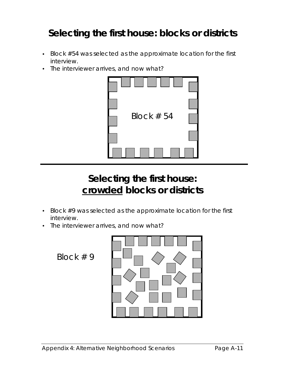## **Selecting the first house: blocks or districts**

- Block #54 was selected as the approximate location for the first interview.
- The interviewer arrives, and now what?



## **Selecting the first house: crowded blocks or districts**

- Block #9 was selected as the approximate location for the first interview.
- The interviewer arrives, and now what?

Block # 9

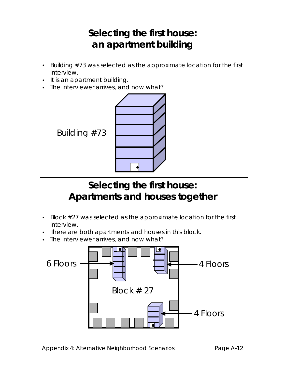# **Selecting the first house: an apartment building**

- Building #73 was selected as the approximate location for the first interview.
- It is an apartment building.
- The interviewer arrives, and now what?



# **Selecting the first house: Apartments and houses together**

- Block #27 was selected as the approximate location for the first interview.
- There are both apartments and houses in this block.
- The interviewer arrives, and now what?

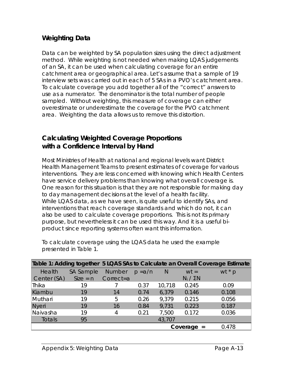#### **Weighting Data**

Data can be weighted by SA population sizes using the *direct adjustment method*. While weighting is not needed when making LQAS judgements of an SA, it can be used when calculating coverage for an entire catchment area or geographical area. Let's assume that a sample of 19 interview sets was carried out in each of 5 SAs in a PVO's catchment area. To calculate coverage you add together all of the "correct" answers to use as a numerator. The denominator is the total number of people sampled. Without weighting, this measure of coverage can either overestimate or underestimate the coverage for the PVO catchment area. Weighting the data allows us to remove this distortion.

#### **Calculating Weighted Coverage Proportions with a Confidence Interval by Hand**

Most Ministries of Health at national and regional levels want District Health Management Teams to present estimates of coverage for various interventions. They are less concerned with knowing which Health Centers have service delivery problems than knowing what overall coverage is. One reason for this situation is that they are not responsible for making day to day management decisions at the level of a health facility. While LQAS data, as we have seen, is quite useful to identify SAs, and interventions that reach coverage standards and which do not, it can also be used to calculate coverage proportions. This is not its primary purpose, but nevertheless it can be used this way. And it is a useful biproduct since reporting systems often want this information.

To calculate coverage using the LQAS data he used the example presented in Table 1.

|              |                  |               |           |        |                  | Table 1: Adding together 5 LQAS SAs to Calculate an Overall Coverage Estimate |
|--------------|------------------|---------------|-----------|--------|------------------|-------------------------------------------------------------------------------|
| Health       | <b>SA Sample</b> | <b>Number</b> | $p = a/n$ | N      | $wt =$           | wt $*$ p                                                                      |
| Center (SA)  | $Size = n$       | Correct=a     |           |        | $N_i / \Sigma N$ |                                                                               |
| Thika        | 19               |               | 0.37      | 10,718 | 0.245            | 0.09                                                                          |
| Kiambu       | 19               | 14            | 0.74      | 6,379  | 0.146            | 0.108                                                                         |
| Muthari      | 19               | 5             | 0.26      | 9,379  | 0.215            | 0.056                                                                         |
| <b>Nyeri</b> | 19               | 16            | 0.84      | 9,731  | 0.223            | 0.187                                                                         |
| Naivasha     | 19               | 4             | 0.21      | 7,500  | 0.172            | 0.036                                                                         |
| Totals       | 95               |               |           | 43,707 |                  |                                                                               |
|              |                  |               |           |        | Coverage $=$     | 0.478                                                                         |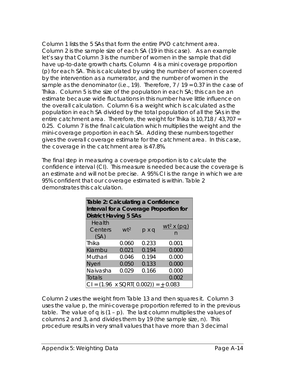Column 1 lists the 5 SAs that form the entire PVO catchment area. Column 2 is the sample size of each SA (19 in this case). As an example let's say that Column 3 is the number of women in the sample that did have up-to-date growth charts. Column 4 is a mini coverage proportion (p) for each SA. This is calculated by using the number of women covered by the intervention as a numerator, and the number of women in the sample as the denominator (i.e., 19). Therefore,  $7/19 = 0.37$  in the case of Thika. Column 5 is the size of the population in each SA; this can be an estimate because wide fluctuations in this number have little influence on the overall calculation. Column 6 is a *weight* which is calculated as the population in each SA divided by the total population of all the SAs in the entire catchment area. Therefore, the weight for Thika is 10,718 / 43,707 = 0.25. Column 7 is the final calculation which multiplies the *weight* and the mini-coverage proportion in each SA. Adding these numbers together gives the overall coverage estimate for the catchment area. In this case, the coverage in the catchment area is 47.8%.

The final step in measuring a coverage proportion is to calculate the confidence interval (CI). This measure is needed because the coverage is an estimate and will not be precise. A 95% CI is the range in which we are 95% confident that our coverage estimated is within. Table 2 demonstrates this calculation.

| Table 2: Calculating a Confidence<br>Interval for a Coverage Proportion for |                                                   |              |                    |  |  |  |  |  |  |  |
|-----------------------------------------------------------------------------|---------------------------------------------------|--------------|--------------------|--|--|--|--|--|--|--|
| <b>District Having 5 SAs</b>                                                |                                                   |              |                    |  |  |  |  |  |  |  |
| Health<br>Centers<br>(SA)                                                   | $wt^2$                                            | $p \times q$ | $wt^2$ x (pg)<br>n |  |  |  |  |  |  |  |
| Thika                                                                       | 0.060                                             | 0.233        | 0.001              |  |  |  |  |  |  |  |
| Kiambu                                                                      | 0.021                                             | 0.194        | 0.000              |  |  |  |  |  |  |  |
| Muthari                                                                     | 0.046                                             | 0.194        | 0.000              |  |  |  |  |  |  |  |
| <b>Nyeri</b>                                                                | 0.050                                             | 0.133        | 0.000              |  |  |  |  |  |  |  |
| Naivasha                                                                    | 0.029                                             | 0.166        | 0.000              |  |  |  |  |  |  |  |
| Totals                                                                      |                                                   |              | 0.002              |  |  |  |  |  |  |  |
|                                                                             | CI = $(1.96 \times \text{SORT} (0.002)) = +0.083$ |              |                    |  |  |  |  |  |  |  |

Column 2 uses the *weight* from Table 13 and then squares it. Column 3 uses the value *p*, the mini-coverage proportion referred to in the previous table. The value of *q* is (1 – p). The last column multiplies the values of columns 2 and 3, and divides them by 19 (the sample size, n). This procedure results in very small values that have more than 3 decimal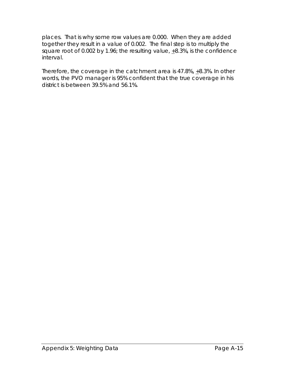places. That is why some row values are 0.000. When they are added together they result in a value of 0.002. The final step is to multiply the square root of 0.002 by 1.96; the resulting value,  $\pm$ 8.3%, is the confidence interval.

Therefore, the coverage in the catchment area is 47.8%, +8.3%. In other words, the PVO manager is 95% confident that the true coverage in his district is between 39.5% and 56.1%.